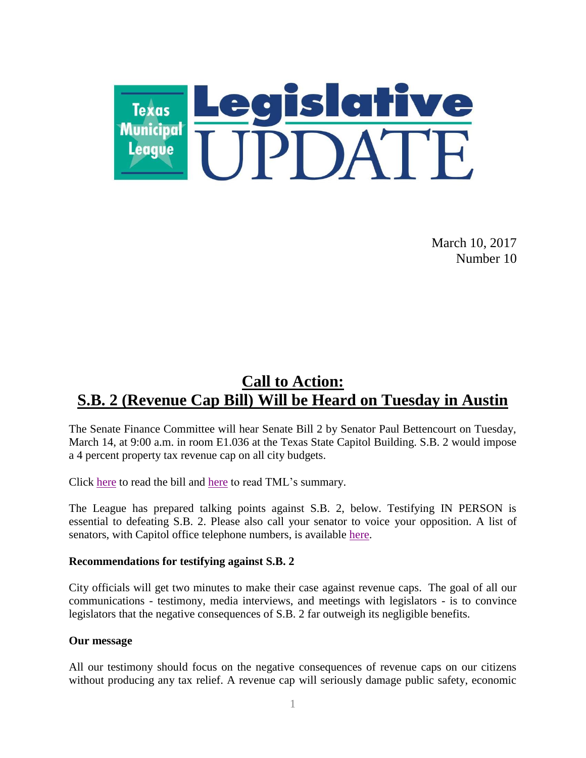

March 10, 2017 Number 10

# **Call to Action: S.B. 2 (Revenue Cap Bill) Will be Heard on Tuesday in Austin**

The Senate Finance Committee will hear Senate Bill 2 by Senator Paul Bettencourt on Tuesday, March 14, at 9:00 a.m. in room E1.036 at the Texas State Capitol Building. S.B. 2 would impose a 4 percent property tax revenue cap on all city budgets.

Click [here](http://r20.rs6.net/tn.jsp?f=001BpMdkO73VtWVO92idN76rpjrR3RKktRiuWMhnVa_OYespOCCsLSVOdxh7I3E9iMy87bDAKCCTGGLPDgm5jSTUM7oufxXHoMRN-yCKag4zv-H_RGN5knv0VEd_Z6eqr49uI21HEJhwJEmZmof9HO1dCMi6IaKL6Y9jBc9mmWxgdXtIEf2z4ahvjwPm0DecmQX&c=lLtOeKMVQ_Dzx3Z16VHSp8Y9aXrwLikpw4DSKL8NpLU93H50fmFhkA==&ch=qY_ONDxswPbzOfRnCQH5BgjNldT_trL7W6WyJOgENkuQchV462g83g==) to read the bill and here to read TML's summary.

The League has prepared talking points against S.B. 2, below. Testifying IN PERSON is essential to defeating S.B. 2. Please also call your senator to voice your opposition. A list of senators, with Capitol office telephone numbers, is available [here.](http://www.senate.texas.gov/directory.php)

#### **Recommendations for testifying against S.B. 2**

City officials will get two minutes to make their case against revenue caps. The goal of all our communications - testimony, media interviews, and meetings with legislators - is to convince legislators that the negative consequences of S.B. 2 far outweigh its negligible benefits.

#### **Our message**

All our testimony should focus on the negative consequences of revenue caps on our citizens without producing any tax relief. A revenue cap will seriously damage public safety, economic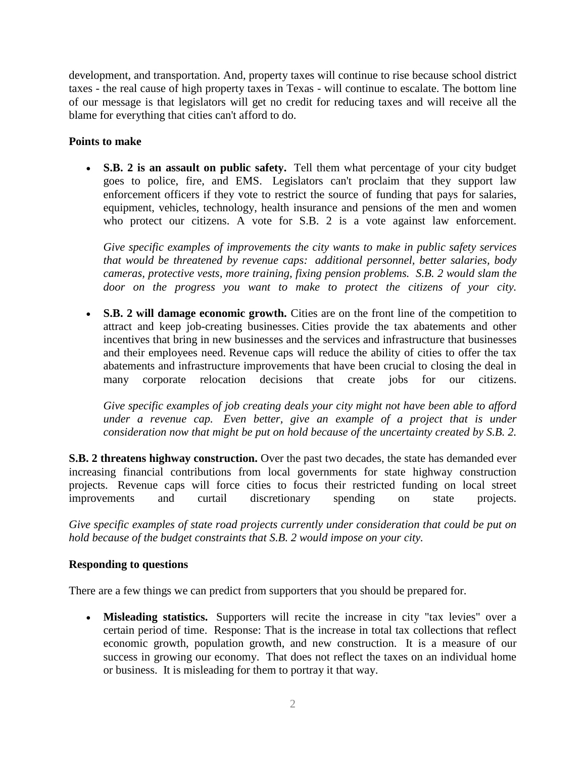development, and transportation. And, property taxes will continue to rise because school district taxes - the real cause of high property taxes in Texas - will continue to escalate. The bottom line of our message is that legislators will get no credit for reducing taxes and will receive all the blame for everything that cities can't afford to do.

### **Points to make**

 **S.B. 2 is an assault on public safety.** Tell them what percentage of your city budget goes to police, fire, and EMS. Legislators can't proclaim that they support law enforcement officers if they vote to restrict the source of funding that pays for salaries, equipment, vehicles, technology, health insurance and pensions of the men and women who protect our citizens. A vote for S.B. 2 is a vote against law enforcement.

*Give specific examples of improvements the city wants to make in public safety services that would be threatened by revenue caps: additional personnel, better salaries, body cameras, protective vests, more training, fixing pension problems. S.B. 2 would slam the door on the progress you want to make to protect the citizens of your city.*

• S.B. 2 will damage economic growth. Cities are on the front line of the competition to attract and keep job-creating businesses. Cities provide the tax abatements and other incentives that bring in new businesses and the services and infrastructure that businesses and their employees need. Revenue caps will reduce the ability of cities to offer the tax abatements and infrastructure improvements that have been crucial to closing the deal in many corporate relocation decisions that create jobs for our citizens.

*Give specific examples of job creating deals your city might not have been able to afford under a revenue cap. Even better, give an example of a project that is under consideration now that might be put on hold because of the uncertainty created by S.B. 2.*

**S.B. 2 threatens highway construction.** Over the past two decades, the state has demanded ever increasing financial contributions from local governments for state highway construction projects. Revenue caps will force cities to focus their restricted funding on local street improvements and curtail discretionary spending on state projects.

*Give specific examples of state road projects currently under consideration that could be put on hold because of the budget constraints that S.B. 2 would impose on your city.* 

#### **Responding to questions**

There are a few things we can predict from supporters that you should be prepared for.

 **Misleading statistics.** Supporters will recite the increase in city "tax levies" over a certain period of time. Response: That is the increase in total tax collections that reflect economic growth, population growth, and new construction. It is a measure of our success in growing our economy. That does not reflect the taxes on an individual home or business. It is misleading for them to portray it that way.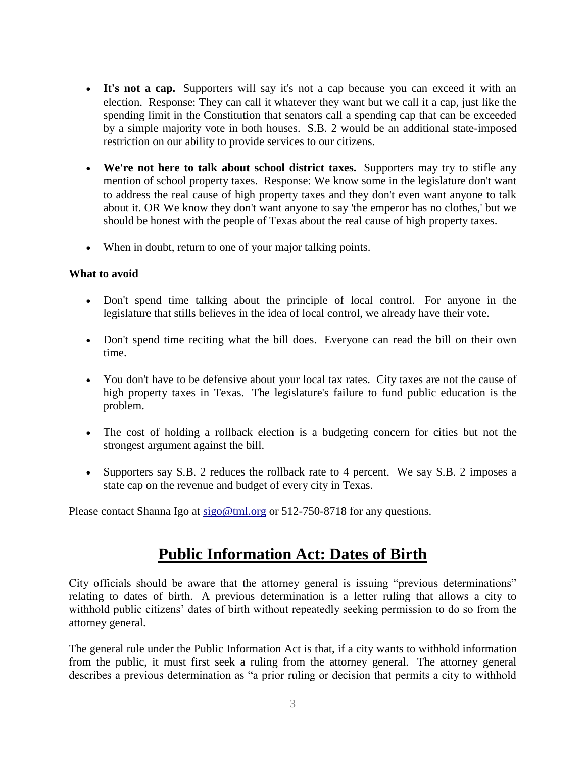- **It's not a cap.** Supporters will say it's not a cap because you can exceed it with an election. Response: They can call it whatever they want but we call it a cap, just like the spending limit in the Constitution that senators call a spending cap that can be exceeded by a simple majority vote in both houses. S.B. 2 would be an additional state-imposed restriction on our ability to provide services to our citizens.
- **We're not here to talk about school district taxes.** Supporters may try to stifle any mention of school property taxes. Response: We know some in the legislature don't want to address the real cause of high property taxes and they don't even want anyone to talk about it. OR We know they don't want anyone to say 'the emperor has no clothes,' but we should be honest with the people of Texas about the real cause of high property taxes.
- When in doubt, return to one of your major talking points.

#### **What to avoid**

- Don't spend time talking about the principle of local control. For anyone in the legislature that stills believes in the idea of local control, we already have their vote.
- Don't spend time reciting what the bill does. Everyone can read the bill on their own time.
- You don't have to be defensive about your local tax rates. City taxes are not the cause of high property taxes in Texas. The legislature's failure to fund public education is the problem.
- The cost of holding a rollback election is a budgeting concern for cities but not the strongest argument against the bill.
- Supporters say S.B. 2 reduces the rollback rate to 4 percent. We say S.B. 2 imposes a state cap on the revenue and budget of every city in Texas.

Please contact Shanna Igo at [sigo@tml.org](mailto:sigo@tml.org) or 512-750-8718 for any questions.

## **Public Information Act: Dates of Birth**

City officials should be aware that the attorney general is issuing "previous determinations" relating to dates of birth. A previous determination is a letter ruling that allows a city to withhold public citizens' dates of birth without repeatedly seeking permission to do so from the attorney general.

The general rule under the Public Information Act is that, if a city wants to withhold information from the public, it must first seek a ruling from the attorney general. The attorney general describes a previous determination as "a prior ruling or decision that permits a city to withhold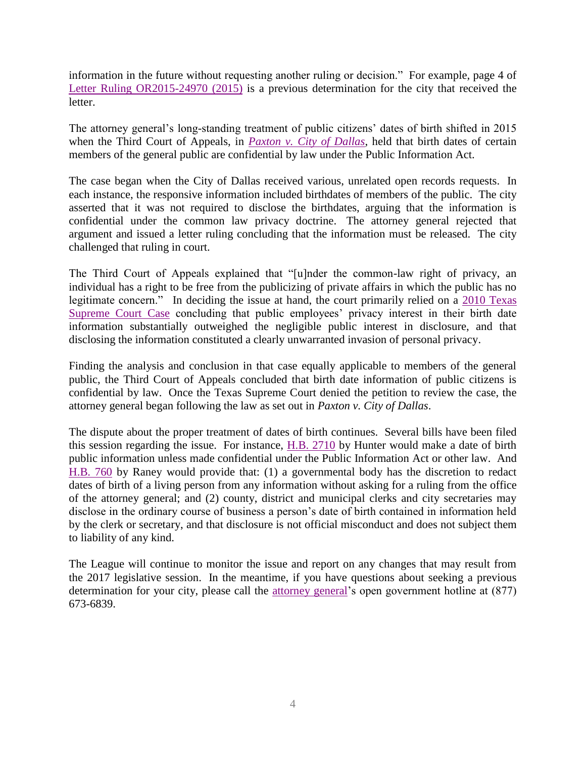information in the future without requesting another ruling or decision." For example, page 4 of [Letter Ruling OR2015-24970 \(2015\)](https://texasattorneygeneral.gov/opinions/openrecords/51paxton/orl/2015/pdf/or201524970.pdf) is a previous determination for the city that received the letter.

The attorney general's long-standing treatment of public citizens' dates of birth shifted in 2015 when the Third Court of Appeals, in *[Paxton v. City of Dallas](http://www.search.txcourts.gov/SearchMedia.aspx?MediaVersionID=3b7fabd2-8ddc-44a4-ad3a-fdb192c2e73f&MediaID=4eae1e5c-63e9-473e-b1ad-b616b4d946ae&coa=%22%20+%20this.CurrentWebState.CurrentCourt%20+%20@%22&DT=Opinion)*, held that birth dates of certain members of the general public are confidential by law under the Public Information Act.

The case began when the City of Dallas received various, unrelated open records requests. In each instance, the responsive information included birthdates of members of the public. The city asserted that it was not required to disclose the birthdates, arguing that the information is confidential under the common law privacy doctrine. The attorney general rejected that argument and issued a letter ruling concluding that the information must be released. The city challenged that ruling in court.

The Third Court of Appeals explained that "[u]nder the common-law right of privacy, an individual has a right to be free from the publicizing of private affairs in which the public has no legitimate concern." In deciding the issue at hand, the court primarily relied on a 2010 Texas [Supreme Court Case](https://www.tml.org/legis_updates/legis_update010711f_publicinfoact) concluding that public employees' privacy interest in their birth date information substantially outweighed the negligible public interest in disclosure, and that disclosing the information constituted a clearly unwarranted invasion of personal privacy.

Finding the analysis and conclusion in that case equally applicable to members of the general public, the Third Court of Appeals concluded that birth date information of public citizens is confidential by law. Once the Texas Supreme Court denied the petition to review the case, the attorney general began following the law as set out in *Paxton v. City of Dallas*.

The dispute about the proper treatment of dates of birth continues. Several bills have been filed this session regarding the issue. For instance,  $H.B. 2710$  by Hunter would make a date of birth public information unless made confidential under the Public Information Act or other law. And [H.B. 760](http://www.capitol.state.tx.us/BillLookup/History.aspx?LegSess=85R&Bill=HB760) by Raney would provide that: (1) a governmental body has the discretion to redact dates of birth of a living person from any information without asking for a ruling from the office of the attorney general; and (2) county, district and municipal clerks and city secretaries may disclose in the ordinary course of business a person's date of birth contained in information held by the clerk or secretary, and that disclosure is not official misconduct and does not subject them to liability of any kind.

The League will continue to monitor the issue and report on any changes that may result from the 2017 legislative session. In the meantime, if you have questions about seeking a previous determination for your city, please call the [attorney general'](https://www.texasattorneygeneral.gov/og/open-government)s open government hotline at (877) 673-6839.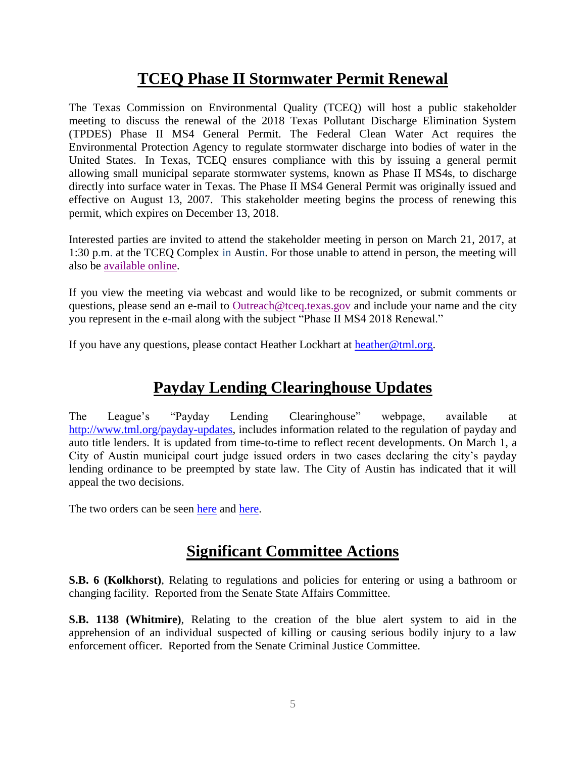# **TCEQ Phase II Stormwater Permit Renewal**

The Texas Commission on Environmental Quality (TCEQ) will host a public stakeholder meeting to discuss the renewal of the 2018 Texas Pollutant Discharge Elimination System (TPDES) Phase II MS4 General Permit. The Federal Clean Water Act requires the Environmental Protection Agency to regulate stormwater discharge into bodies of water in the United States. In Texas, TCEQ ensures compliance with this by issuing a general permit allowing small municipal separate stormwater systems, known as Phase II MS4s, to discharge directly into surface water in Texas. The Phase II MS4 General Permit was originally issued and effective on August 13, 2007. This stakeholder meeting begins the process of renewing this permit, which expires on December 13, 2018.

Interested parties are invited to attend the stakeholder meeting in person on March 21, 2017, at 1:30 p.m. at the TCEQ Complex in Austin. For those unable to attend in person, the meeting will also be [available online.](http://www.texasadmin.com/tceqs.shtml)

If you view the meeting via webcast and would like to be recognized, or submit comments or questions, please send an e-mail to [Outreach@tceq.texas.gov](mailto:Outreach@tceq.texas.gov) and include your name and the city you represent in the e-mail along with the subject "Phase II MS4 2018 Renewal."

If you have any questions, please contact Heather Lockhart at [heather@tml.org.](mailto:heather@tml.org)

# **Payday Lending Clearinghouse Updates**

The League's "Payday Lending Clearinghouse" webpage, available at [http://www.tml.org/payday-updates,](http://www.tml.org/payday-updates) includes information related to the regulation of payday and auto title lenders. It is updated from time-to-time to reflect recent developments. On March 1, a City of Austin municipal court judge issued orders in two cases declaring the city's payday lending ordinance to be preempted by state law. The City of Austin has indicated that it will appeal the two decisions.

The two orders can be seen [here](https://www.tml.org/p/State%20of%20Texas%20v.%20ASCO%20of%20Texas,%20LP%20Municipal%20Court%20Order%20-%20Preemption.PDF) and [here.](https://www.tml.org/p/State%20of%20Texas%20v.%20The%20Money%20Store,%20LP%20Municipal%20Court%20Order%20-%20Preemption.PDF)

# **Significant Committee Actions**

**S.B. 6 (Kolkhorst)**, Relating to regulations and policies for entering or using a bathroom or changing facility. Reported from the Senate State Affairs Committee.

**S.B. 1138 (Whitmire)**, Relating to the creation of the blue alert system to aid in the apprehension of an individual suspected of killing or causing serious bodily injury to a law enforcement officer. Reported from the Senate Criminal Justice Committee.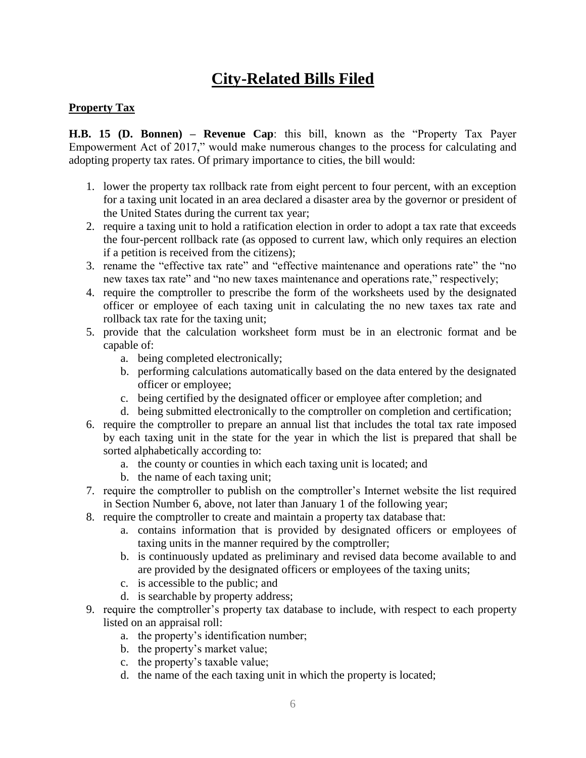# **City-Related Bills Filed**

### **Property Tax**

**H.B. 15 (D. Bonnen) – Revenue Cap**: this bill, known as the "Property Tax Payer Empowerment Act of 2017," would make numerous changes to the process for calculating and adopting property tax rates. Of primary importance to cities, the bill would:

- 1. lower the property tax rollback rate from eight percent to four percent, with an exception for a taxing unit located in an area declared a disaster area by the governor or president of the United States during the current tax year;
- 2. require a taxing unit to hold a ratification election in order to adopt a tax rate that exceeds the four-percent rollback rate (as opposed to current law, which only requires an election if a petition is received from the citizens);
- 3. rename the "effective tax rate" and "effective maintenance and operations rate" the "no new taxes tax rate" and "no new taxes maintenance and operations rate," respectively;
- 4. require the comptroller to prescribe the form of the worksheets used by the designated officer or employee of each taxing unit in calculating the no new taxes tax rate and rollback tax rate for the taxing unit;
- 5. provide that the calculation worksheet form must be in an electronic format and be capable of:
	- a. being completed electronically;
	- b. performing calculations automatically based on the data entered by the designated officer or employee;
	- c. being certified by the designated officer or employee after completion; and
	- d. being submitted electronically to the comptroller on completion and certification;
- 6. require the comptroller to prepare an annual list that includes the total tax rate imposed by each taxing unit in the state for the year in which the list is prepared that shall be sorted alphabetically according to:
	- a. the county or counties in which each taxing unit is located; and
	- b. the name of each taxing unit;
- 7. require the comptroller to publish on the comptroller's Internet website the list required in Section Number 6, above, not later than January 1 of the following year;
- 8. require the comptroller to create and maintain a property tax database that:
	- a. contains information that is provided by designated officers or employees of taxing units in the manner required by the comptroller;
	- b. is continuously updated as preliminary and revised data become available to and are provided by the designated officers or employees of the taxing units;
	- c. is accessible to the public; and
	- d. is searchable by property address;
- 9. require the comptroller's property tax database to include, with respect to each property listed on an appraisal roll:
	- a. the property's identification number;
	- b. the property's market value;
	- c. the property's taxable value;
	- d. the name of the each taxing unit in which the property is located;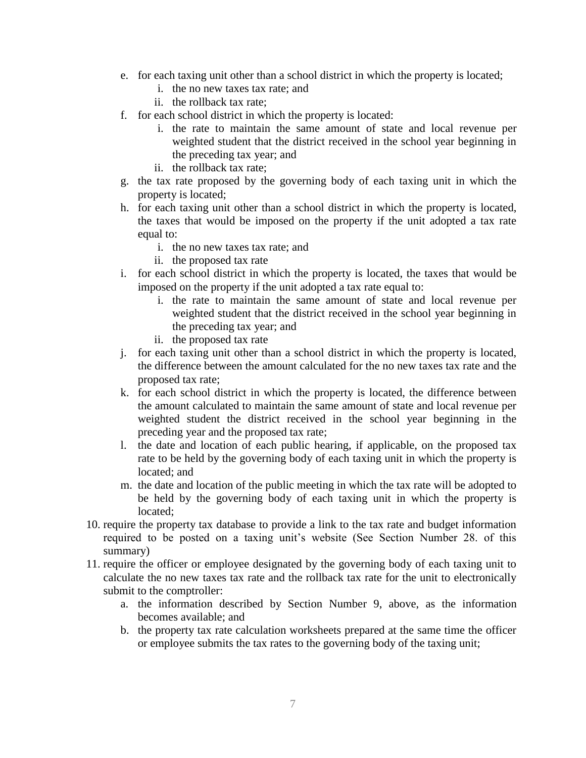- e. for each taxing unit other than a school district in which the property is located;
	- i. the no new taxes tax rate; and
	- ii. the rollback tax rate;
- f. for each school district in which the property is located:
	- i. the rate to maintain the same amount of state and local revenue per weighted student that the district received in the school year beginning in the preceding tax year; and
	- ii. the rollback tax rate;
- g. the tax rate proposed by the governing body of each taxing unit in which the property is located;
- h. for each taxing unit other than a school district in which the property is located, the taxes that would be imposed on the property if the unit adopted a tax rate equal to:
	- i. the no new taxes tax rate; and
	- ii. the proposed tax rate
- i. for each school district in which the property is located, the taxes that would be imposed on the property if the unit adopted a tax rate equal to:
	- i. the rate to maintain the same amount of state and local revenue per weighted student that the district received in the school year beginning in the preceding tax year; and
	- ii. the proposed tax rate
- j. for each taxing unit other than a school district in which the property is located, the difference between the amount calculated for the no new taxes tax rate and the proposed tax rate;
- k. for each school district in which the property is located, the difference between the amount calculated to maintain the same amount of state and local revenue per weighted student the district received in the school year beginning in the preceding year and the proposed tax rate;
- l. the date and location of each public hearing, if applicable, on the proposed tax rate to be held by the governing body of each taxing unit in which the property is located; and
- m. the date and location of the public meeting in which the tax rate will be adopted to be held by the governing body of each taxing unit in which the property is located;
- 10. require the property tax database to provide a link to the tax rate and budget information required to be posted on a taxing unit's website (See Section Number 28. of this summary)
- 11. require the officer or employee designated by the governing body of each taxing unit to calculate the no new taxes tax rate and the rollback tax rate for the unit to electronically submit to the comptroller:
	- a. the information described by Section Number 9, above, as the information becomes available; and
	- b. the property tax rate calculation worksheets prepared at the same time the officer or employee submits the tax rates to the governing body of the taxing unit;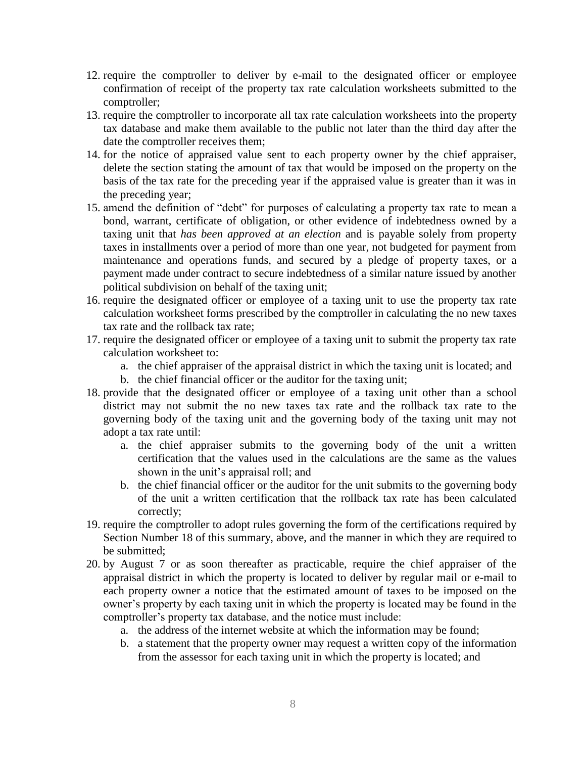- 12. require the comptroller to deliver by e-mail to the designated officer or employee confirmation of receipt of the property tax rate calculation worksheets submitted to the comptroller;
- 13. require the comptroller to incorporate all tax rate calculation worksheets into the property tax database and make them available to the public not later than the third day after the date the comptroller receives them;
- 14. for the notice of appraised value sent to each property owner by the chief appraiser, delete the section stating the amount of tax that would be imposed on the property on the basis of the tax rate for the preceding year if the appraised value is greater than it was in the preceding year;
- 15. amend the definition of "debt" for purposes of calculating a property tax rate to mean a bond, warrant, certificate of obligation, or other evidence of indebtedness owned by a taxing unit that *has been approved at an election* and is payable solely from property taxes in installments over a period of more than one year, not budgeted for payment from maintenance and operations funds, and secured by a pledge of property taxes, or a payment made under contract to secure indebtedness of a similar nature issued by another political subdivision on behalf of the taxing unit;
- 16. require the designated officer or employee of a taxing unit to use the property tax rate calculation worksheet forms prescribed by the comptroller in calculating the no new taxes tax rate and the rollback tax rate;
- 17. require the designated officer or employee of a taxing unit to submit the property tax rate calculation worksheet to:
	- a. the chief appraiser of the appraisal district in which the taxing unit is located; and
	- b. the chief financial officer or the auditor for the taxing unit;
- 18. provide that the designated officer or employee of a taxing unit other than a school district may not submit the no new taxes tax rate and the rollback tax rate to the governing body of the taxing unit and the governing body of the taxing unit may not adopt a tax rate until:
	- a. the chief appraiser submits to the governing body of the unit a written certification that the values used in the calculations are the same as the values shown in the unit's appraisal roll; and
	- b. the chief financial officer or the auditor for the unit submits to the governing body of the unit a written certification that the rollback tax rate has been calculated correctly;
- 19. require the comptroller to adopt rules governing the form of the certifications required by Section Number 18 of this summary, above, and the manner in which they are required to be submitted;
- 20. by August 7 or as soon thereafter as practicable, require the chief appraiser of the appraisal district in which the property is located to deliver by regular mail or e-mail to each property owner a notice that the estimated amount of taxes to be imposed on the owner's property by each taxing unit in which the property is located may be found in the comptroller's property tax database, and the notice must include:
	- a. the address of the internet website at which the information may be found;
	- b. a statement that the property owner may request a written copy of the information from the assessor for each taxing unit in which the property is located; and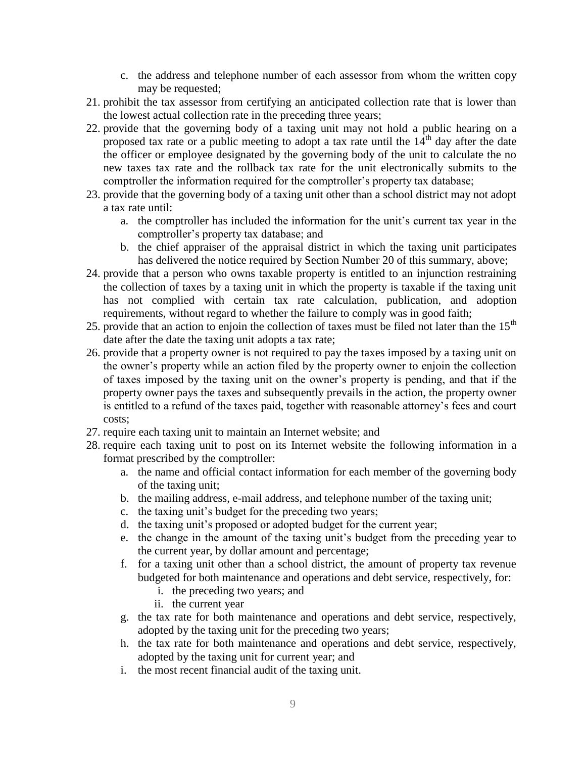- c. the address and telephone number of each assessor from whom the written copy may be requested;
- 21. prohibit the tax assessor from certifying an anticipated collection rate that is lower than the lowest actual collection rate in the preceding three years;
- 22. provide that the governing body of a taxing unit may not hold a public hearing on a proposed tax rate or a public meeting to adopt a tax rate until the  $14<sup>th</sup>$  day after the date the officer or employee designated by the governing body of the unit to calculate the no new taxes tax rate and the rollback tax rate for the unit electronically submits to the comptroller the information required for the comptroller's property tax database;
- 23. provide that the governing body of a taxing unit other than a school district may not adopt a tax rate until:
	- a. the comptroller has included the information for the unit's current tax year in the comptroller's property tax database; and
	- b. the chief appraiser of the appraisal district in which the taxing unit participates has delivered the notice required by Section Number 20 of this summary, above;
- 24. provide that a person who owns taxable property is entitled to an injunction restraining the collection of taxes by a taxing unit in which the property is taxable if the taxing unit has not complied with certain tax rate calculation, publication, and adoption requirements, without regard to whether the failure to comply was in good faith;
- 25. provide that an action to enjoin the collection of taxes must be filed not later than the  $15<sup>th</sup>$ date after the date the taxing unit adopts a tax rate;
- 26. provide that a property owner is not required to pay the taxes imposed by a taxing unit on the owner's property while an action filed by the property owner to enjoin the collection of taxes imposed by the taxing unit on the owner's property is pending, and that if the property owner pays the taxes and subsequently prevails in the action, the property owner is entitled to a refund of the taxes paid, together with reasonable attorney's fees and court costs;
- 27. require each taxing unit to maintain an Internet website; and
- 28. require each taxing unit to post on its Internet website the following information in a format prescribed by the comptroller:
	- a. the name and official contact information for each member of the governing body of the taxing unit;
	- b. the mailing address, e-mail address, and telephone number of the taxing unit;
	- c. the taxing unit's budget for the preceding two years;
	- d. the taxing unit's proposed or adopted budget for the current year;
	- e. the change in the amount of the taxing unit's budget from the preceding year to the current year, by dollar amount and percentage;
	- f. for a taxing unit other than a school district, the amount of property tax revenue budgeted for both maintenance and operations and debt service, respectively, for:
		- i. the preceding two years; and
		- ii. the current year
	- g. the tax rate for both maintenance and operations and debt service, respectively, adopted by the taxing unit for the preceding two years;
	- h. the tax rate for both maintenance and operations and debt service, respectively, adopted by the taxing unit for current year; and
	- i. the most recent financial audit of the taxing unit.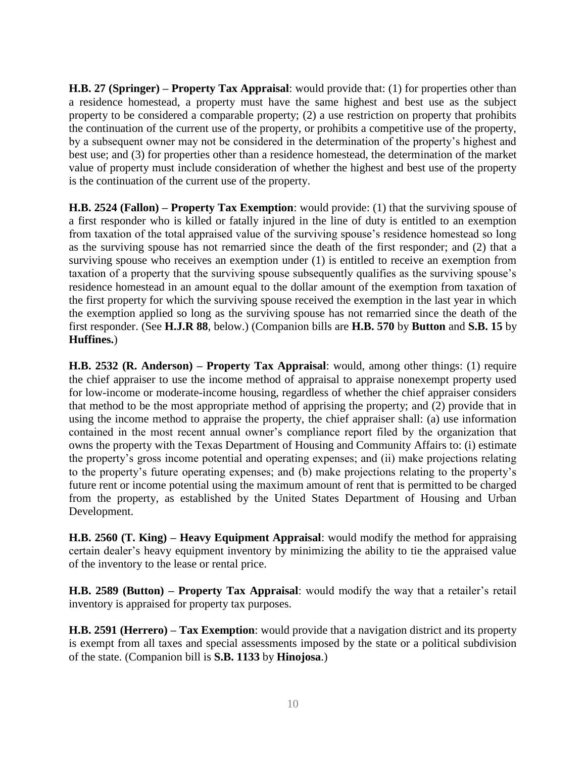**H.B. 27 (Springer) – Property Tax Appraisal**: would provide that: (1) for properties other than a residence homestead, a property must have the same highest and best use as the subject property to be considered a comparable property; (2) a use restriction on property that prohibits the continuation of the current use of the property, or prohibits a competitive use of the property, by a subsequent owner may not be considered in the determination of the property's highest and best use; and (3) for properties other than a residence homestead, the determination of the market value of property must include consideration of whether the highest and best use of the property is the continuation of the current use of the property.

**H.B. 2524 (Fallon) – Property Tax Exemption**: would provide: (1) that the surviving spouse of a first responder who is killed or fatally injured in the line of duty is entitled to an exemption from taxation of the total appraised value of the surviving spouse's residence homestead so long as the surviving spouse has not remarried since the death of the first responder; and (2) that a surviving spouse who receives an exemption under (1) is entitled to receive an exemption from taxation of a property that the surviving spouse subsequently qualifies as the surviving spouse's residence homestead in an amount equal to the dollar amount of the exemption from taxation of the first property for which the surviving spouse received the exemption in the last year in which the exemption applied so long as the surviving spouse has not remarried since the death of the first responder. (See **H.J.R 88**, below.) (Companion bills are **H.B. 570** by **Button** and **S.B. 15** by **Huffines.**)

**H.B. 2532 (R. Anderson) – Property Tax Appraisal**: would, among other things: (1) require the chief appraiser to use the income method of appraisal to appraise nonexempt property used for low-income or moderate-income housing, regardless of whether the chief appraiser considers that method to be the most appropriate method of apprising the property; and (2) provide that in using the income method to appraise the property, the chief appraiser shall: (a) use information contained in the most recent annual owner's compliance report filed by the organization that owns the property with the Texas Department of Housing and Community Affairs to: (i) estimate the property's gross income potential and operating expenses; and (ii) make projections relating to the property's future operating expenses; and (b) make projections relating to the property's future rent or income potential using the maximum amount of rent that is permitted to be charged from the property, as established by the United States Department of Housing and Urban Development.

**H.B. 2560 (T. King) – Heavy Equipment Appraisal**: would modify the method for appraising certain dealer's heavy equipment inventory by minimizing the ability to tie the appraised value of the inventory to the lease or rental price.

**H.B. 2589 (Button) – Property Tax Appraisal**: would modify the way that a retailer's retail inventory is appraised for property tax purposes.

**H.B. 2591 (Herrero) – Tax Exemption**: would provide that a navigation district and its property is exempt from all taxes and special assessments imposed by the state or a political subdivision of the state. (Companion bill is **S.B. 1133** by **Hinojosa**.)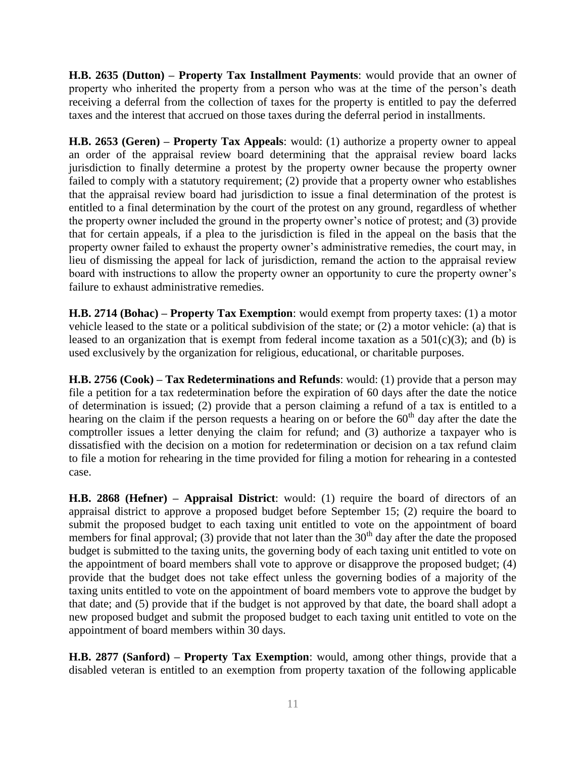**H.B. 2635 (Dutton) – Property Tax Installment Payments**: would provide that an owner of property who inherited the property from a person who was at the time of the person's death receiving a deferral from the collection of taxes for the property is entitled to pay the deferred taxes and the interest that accrued on those taxes during the deferral period in installments.

**H.B. 2653 (Geren) – Property Tax Appeals**: would: (1) authorize a property owner to appeal an order of the appraisal review board determining that the appraisal review board lacks jurisdiction to finally determine a protest by the property owner because the property owner failed to comply with a statutory requirement; (2) provide that a property owner who establishes that the appraisal review board had jurisdiction to issue a final determination of the protest is entitled to a final determination by the court of the protest on any ground, regardless of whether the property owner included the ground in the property owner's notice of protest; and (3) provide that for certain appeals, if a plea to the jurisdiction is filed in the appeal on the basis that the property owner failed to exhaust the property owner's administrative remedies, the court may, in lieu of dismissing the appeal for lack of jurisdiction, remand the action to the appraisal review board with instructions to allow the property owner an opportunity to cure the property owner's failure to exhaust administrative remedies.

**H.B. 2714 (Bohac) – Property Tax Exemption**: would exempt from property taxes: (1) a motor vehicle leased to the state or a political subdivision of the state; or (2) a motor vehicle: (a) that is leased to an organization that is exempt from federal income taxation as a  $501(c)(3)$ ; and (b) is used exclusively by the organization for religious, educational, or charitable purposes.

**H.B. 2756 (Cook) – Tax Redeterminations and Refunds**: would: (1) provide that a person may file a petition for a tax redetermination before the expiration of 60 days after the date the notice of determination is issued; (2) provide that a person claiming a refund of a tax is entitled to a hearing on the claim if the person requests a hearing on or before the  $60<sup>th</sup>$  day after the date the comptroller issues a letter denying the claim for refund; and (3) authorize a taxpayer who is dissatisfied with the decision on a motion for redetermination or decision on a tax refund claim to file a motion for rehearing in the time provided for filing a motion for rehearing in a contested case.

**H.B. 2868 (Hefner) – Appraisal District**: would: (1) require the board of directors of an appraisal district to approve a proposed budget before September 15; (2) require the board to submit the proposed budget to each taxing unit entitled to vote on the appointment of board members for final approval; (3) provide that not later than the  $30<sup>th</sup>$  day after the date the proposed budget is submitted to the taxing units, the governing body of each taxing unit entitled to vote on the appointment of board members shall vote to approve or disapprove the proposed budget; (4) provide that the budget does not take effect unless the governing bodies of a majority of the taxing units entitled to vote on the appointment of board members vote to approve the budget by that date; and (5) provide that if the budget is not approved by that date, the board shall adopt a new proposed budget and submit the proposed budget to each taxing unit entitled to vote on the appointment of board members within 30 days.

**H.B. 2877 (Sanford) – Property Tax Exemption**: would, among other things, provide that a disabled veteran is entitled to an exemption from property taxation of the following applicable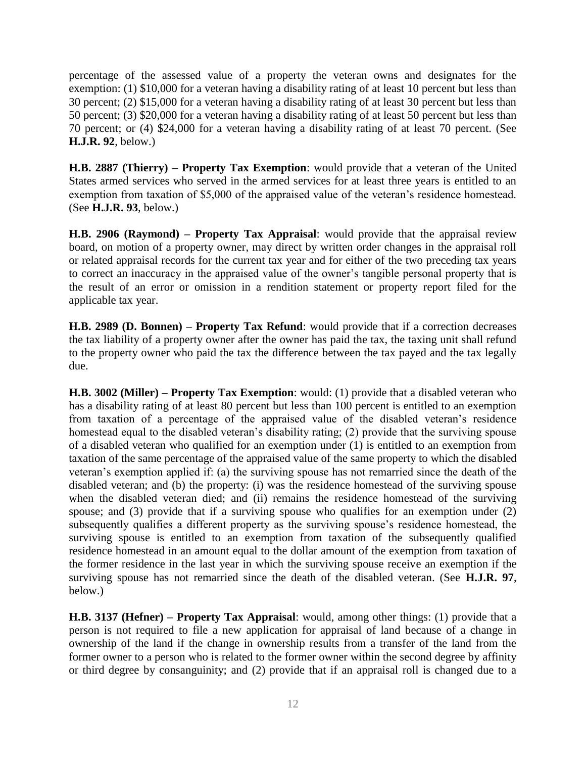percentage of the assessed value of a property the veteran owns and designates for the exemption: (1) \$10,000 for a veteran having a disability rating of at least 10 percent but less than 30 percent; (2) \$15,000 for a veteran having a disability rating of at least 30 percent but less than 50 percent; (3) \$20,000 for a veteran having a disability rating of at least 50 percent but less than 70 percent; or (4) \$24,000 for a veteran having a disability rating of at least 70 percent. (See **H.J.R. 92**, below.)

**H.B. 2887 (Thierry) – Property Tax Exemption**: would provide that a veteran of the United States armed services who served in the armed services for at least three years is entitled to an exemption from taxation of \$5,000 of the appraised value of the veteran's residence homestead. (See **H.J.R. 93**, below.)

**H.B. 2906 (Raymond) – Property Tax Appraisal**: would provide that the appraisal review board, on motion of a property owner, may direct by written order changes in the appraisal roll or related appraisal records for the current tax year and for either of the two preceding tax years to correct an inaccuracy in the appraised value of the owner's tangible personal property that is the result of an error or omission in a rendition statement or property report filed for the applicable tax year.

**H.B. 2989 (D. Bonnen) – Property Tax Refund**: would provide that if a correction decreases the tax liability of a property owner after the owner has paid the tax, the taxing unit shall refund to the property owner who paid the tax the difference between the tax payed and the tax legally due.

**H.B. 3002 (Miller) – Property Tax Exemption**: would: (1) provide that a disabled veteran who has a disability rating of at least 80 percent but less than 100 percent is entitled to an exemption from taxation of a percentage of the appraised value of the disabled veteran's residence homestead equal to the disabled veteran's disability rating; (2) provide that the surviving spouse of a disabled veteran who qualified for an exemption under (1) is entitled to an exemption from taxation of the same percentage of the appraised value of the same property to which the disabled veteran's exemption applied if: (a) the surviving spouse has not remarried since the death of the disabled veteran; and (b) the property: (i) was the residence homestead of the surviving spouse when the disabled veteran died; and (ii) remains the residence homestead of the surviving spouse; and (3) provide that if a surviving spouse who qualifies for an exemption under (2) subsequently qualifies a different property as the surviving spouse's residence homestead, the surviving spouse is entitled to an exemption from taxation of the subsequently qualified residence homestead in an amount equal to the dollar amount of the exemption from taxation of the former residence in the last year in which the surviving spouse receive an exemption if the surviving spouse has not remarried since the death of the disabled veteran. (See **H.J.R. 97**, below.)

**H.B. 3137 (Hefner) – Property Tax Appraisal**: would, among other things: (1) provide that a person is not required to file a new application for appraisal of land because of a change in ownership of the land if the change in ownership results from a transfer of the land from the former owner to a person who is related to the former owner within the second degree by affinity or third degree by consanguinity; and (2) provide that if an appraisal roll is changed due to a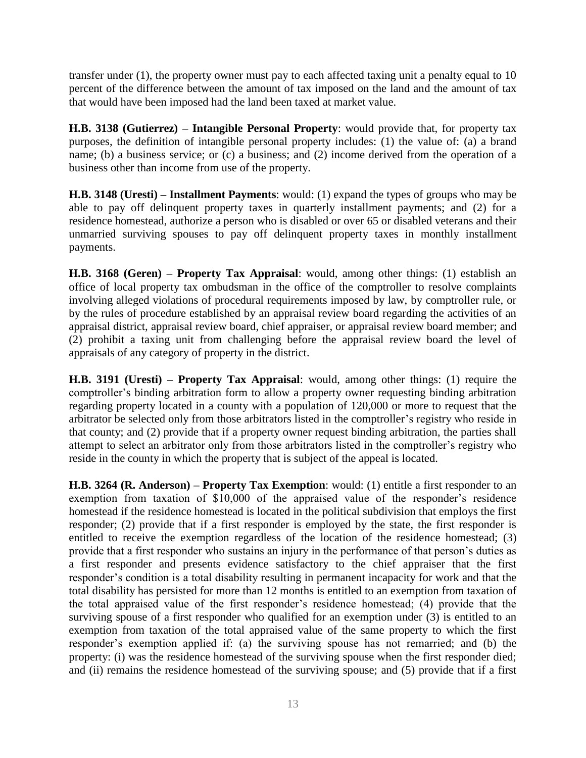transfer under (1), the property owner must pay to each affected taxing unit a penalty equal to 10 percent of the difference between the amount of tax imposed on the land and the amount of tax that would have been imposed had the land been taxed at market value.

**H.B. 3138 (Gutierrez) – Intangible Personal Property**: would provide that, for property tax purposes, the definition of intangible personal property includes: (1) the value of: (a) a brand name; (b) a business service; or (c) a business; and (2) income derived from the operation of a business other than income from use of the property.

**H.B. 3148 (Uresti) – Installment Payments**: would: (1) expand the types of groups who may be able to pay off delinquent property taxes in quarterly installment payments; and (2) for a residence homestead, authorize a person who is disabled or over 65 or disabled veterans and their unmarried surviving spouses to pay off delinquent property taxes in monthly installment payments.

**H.B. 3168 (Geren) – Property Tax Appraisal**: would, among other things: (1) establish an office of local property tax ombudsman in the office of the comptroller to resolve complaints involving alleged violations of procedural requirements imposed by law, by comptroller rule, or by the rules of procedure established by an appraisal review board regarding the activities of an appraisal district, appraisal review board, chief appraiser, or appraisal review board member; and (2) prohibit a taxing unit from challenging before the appraisal review board the level of appraisals of any category of property in the district.

**H.B. 3191 (Uresti) – Property Tax Appraisal**: would, among other things: (1) require the comptroller's binding arbitration form to allow a property owner requesting binding arbitration regarding property located in a county with a population of 120,000 or more to request that the arbitrator be selected only from those arbitrators listed in the comptroller's registry who reside in that county; and (2) provide that if a property owner request binding arbitration, the parties shall attempt to select an arbitrator only from those arbitrators listed in the comptroller's registry who reside in the county in which the property that is subject of the appeal is located.

**H.B. 3264 (R. Anderson) – Property Tax Exemption**: would: (1) entitle a first responder to an exemption from taxation of \$10,000 of the appraised value of the responder's residence homestead if the residence homestead is located in the political subdivision that employs the first responder; (2) provide that if a first responder is employed by the state, the first responder is entitled to receive the exemption regardless of the location of the residence homestead; (3) provide that a first responder who sustains an injury in the performance of that person's duties as a first responder and presents evidence satisfactory to the chief appraiser that the first responder's condition is a total disability resulting in permanent incapacity for work and that the total disability has persisted for more than 12 months is entitled to an exemption from taxation of the total appraised value of the first responder's residence homestead; (4) provide that the surviving spouse of a first responder who qualified for an exemption under (3) is entitled to an exemption from taxation of the total appraised value of the same property to which the first responder's exemption applied if: (a) the surviving spouse has not remarried; and (b) the property: (i) was the residence homestead of the surviving spouse when the first responder died; and (ii) remains the residence homestead of the surviving spouse; and (5) provide that if a first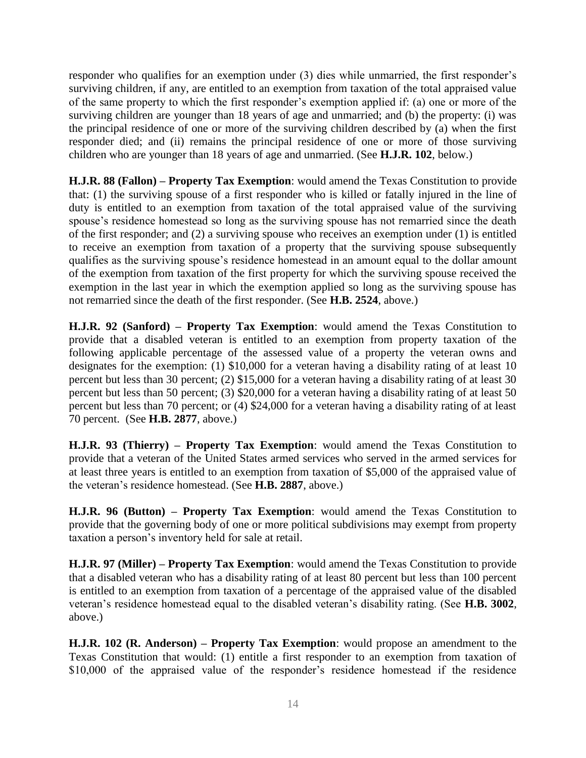responder who qualifies for an exemption under (3) dies while unmarried, the first responder's surviving children, if any, are entitled to an exemption from taxation of the total appraised value of the same property to which the first responder's exemption applied if: (a) one or more of the surviving children are younger than 18 years of age and unmarried; and (b) the property: (i) was the principal residence of one or more of the surviving children described by (a) when the first responder died; and (ii) remains the principal residence of one or more of those surviving children who are younger than 18 years of age and unmarried. (See **H.J.R. 102**, below.)

**H.J.R. 88 (Fallon) – Property Tax Exemption**: would amend the Texas Constitution to provide that: (1) the surviving spouse of a first responder who is killed or fatally injured in the line of duty is entitled to an exemption from taxation of the total appraised value of the surviving spouse's residence homestead so long as the surviving spouse has not remarried since the death of the first responder; and (2) a surviving spouse who receives an exemption under (1) is entitled to receive an exemption from taxation of a property that the surviving spouse subsequently qualifies as the surviving spouse's residence homestead in an amount equal to the dollar amount of the exemption from taxation of the first property for which the surviving spouse received the exemption in the last year in which the exemption applied so long as the surviving spouse has not remarried since the death of the first responder. (See **H.B. 2524**, above.)

**H.J.R. 92 (Sanford) – Property Tax Exemption**: would amend the Texas Constitution to provide that a disabled veteran is entitled to an exemption from property taxation of the following applicable percentage of the assessed value of a property the veteran owns and designates for the exemption: (1) \$10,000 for a veteran having a disability rating of at least 10 percent but less than 30 percent; (2) \$15,000 for a veteran having a disability rating of at least 30 percent but less than 50 percent; (3) \$20,000 for a veteran having a disability rating of at least 50 percent but less than 70 percent; or (4) \$24,000 for a veteran having a disability rating of at least 70 percent. (See **H.B. 2877**, above.)

**H.J.R. 93 (Thierry) – Property Tax Exemption**: would amend the Texas Constitution to provide that a veteran of the United States armed services who served in the armed services for at least three years is entitled to an exemption from taxation of \$5,000 of the appraised value of the veteran's residence homestead. (See **H.B. 2887**, above.)

**H.J.R. 96 (Button) – Property Tax Exemption**: would amend the Texas Constitution to provide that the governing body of one or more political subdivisions may exempt from property taxation a person's inventory held for sale at retail.

**H.J.R. 97 (Miller) – Property Tax Exemption**: would amend the Texas Constitution to provide that a disabled veteran who has a disability rating of at least 80 percent but less than 100 percent is entitled to an exemption from taxation of a percentage of the appraised value of the disabled veteran's residence homestead equal to the disabled veteran's disability rating. (See **H.B. 3002**, above.)

**H.J.R. 102 (R. Anderson) – Property Tax Exemption**: would propose an amendment to the Texas Constitution that would: (1) entitle a first responder to an exemption from taxation of \$10,000 of the appraised value of the responder's residence homestead if the residence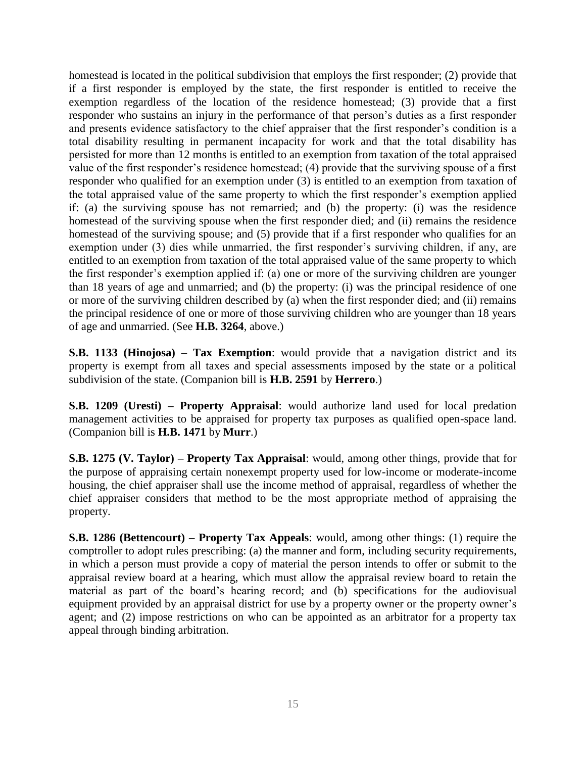homestead is located in the political subdivision that employs the first responder; (2) provide that if a first responder is employed by the state, the first responder is entitled to receive the exemption regardless of the location of the residence homestead; (3) provide that a first responder who sustains an injury in the performance of that person's duties as a first responder and presents evidence satisfactory to the chief appraiser that the first responder's condition is a total disability resulting in permanent incapacity for work and that the total disability has persisted for more than 12 months is entitled to an exemption from taxation of the total appraised value of the first responder's residence homestead; (4) provide that the surviving spouse of a first responder who qualified for an exemption under (3) is entitled to an exemption from taxation of the total appraised value of the same property to which the first responder's exemption applied if: (a) the surviving spouse has not remarried; and (b) the property: (i) was the residence homestead of the surviving spouse when the first responder died; and (ii) remains the residence homestead of the surviving spouse; and (5) provide that if a first responder who qualifies for an exemption under (3) dies while unmarried, the first responder's surviving children, if any, are entitled to an exemption from taxation of the total appraised value of the same property to which the first responder's exemption applied if: (a) one or more of the surviving children are younger than 18 years of age and unmarried; and (b) the property: (i) was the principal residence of one or more of the surviving children described by (a) when the first responder died; and (ii) remains the principal residence of one or more of those surviving children who are younger than 18 years of age and unmarried. (See **H.B. 3264**, above.)

**S.B. 1133 (Hinojosa) – Tax Exemption**: would provide that a navigation district and its property is exempt from all taxes and special assessments imposed by the state or a political subdivision of the state. (Companion bill is **H.B. 2591** by **Herrero**.)

**S.B. 1209 (Uresti) – Property Appraisal**: would authorize land used for local predation management activities to be appraised for property tax purposes as qualified open-space land. (Companion bill is **H.B. 1471** by **Murr**.)

**S.B. 1275 (V. Taylor) – Property Tax Appraisal**: would, among other things, provide that for the purpose of appraising certain nonexempt property used for low-income or moderate-income housing, the chief appraiser shall use the income method of appraisal, regardless of whether the chief appraiser considers that method to be the most appropriate method of appraising the property.

**S.B. 1286 (Bettencourt) – Property Tax Appeals**: would, among other things: (1) require the comptroller to adopt rules prescribing: (a) the manner and form, including security requirements, in which a person must provide a copy of material the person intends to offer or submit to the appraisal review board at a hearing, which must allow the appraisal review board to retain the material as part of the board's hearing record; and (b) specifications for the audiovisual equipment provided by an appraisal district for use by a property owner or the property owner's agent; and (2) impose restrictions on who can be appointed as an arbitrator for a property tax appeal through binding arbitration.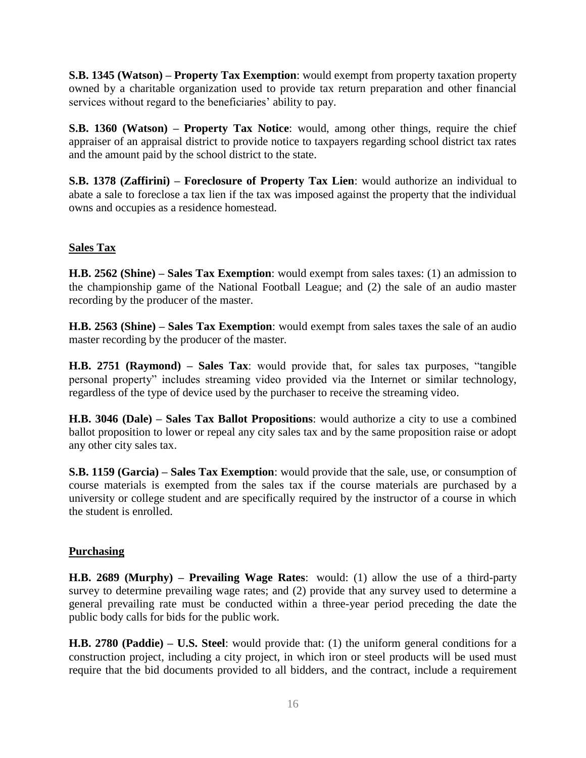**S.B. 1345 (Watson) – Property Tax Exemption**: would exempt from property taxation property owned by a charitable organization used to provide tax return preparation and other financial services without regard to the beneficiaries' ability to pay.

**S.B. 1360 (Watson) – Property Tax Notice**: would, among other things, require the chief appraiser of an appraisal district to provide notice to taxpayers regarding school district tax rates and the amount paid by the school district to the state.

**S.B. 1378 (Zaffirini) – Foreclosure of Property Tax Lien**: would authorize an individual to abate a sale to foreclose a tax lien if the tax was imposed against the property that the individual owns and occupies as a residence homestead.

## **Sales Tax**

**H.B. 2562 (Shine) – Sales Tax Exemption**: would exempt from sales taxes: (1) an admission to the championship game of the National Football League; and (2) the sale of an audio master recording by the producer of the master.

**H.B. 2563 (Shine) – Sales Tax Exemption**: would exempt from sales taxes the sale of an audio master recording by the producer of the master.

**H.B. 2751 (Raymond) – Sales Tax**: would provide that, for sales tax purposes, "tangible personal property" includes streaming video provided via the Internet or similar technology, regardless of the type of device used by the purchaser to receive the streaming video.

**H.B. 3046 (Dale) – Sales Tax Ballot Propositions**: would authorize a city to use a combined ballot proposition to lower or repeal any city sales tax and by the same proposition raise or adopt any other city sales tax.

**S.B. 1159 (Garcia) – Sales Tax Exemption**: would provide that the sale, use, or consumption of course materials is exempted from the sales tax if the course materials are purchased by a university or college student and are specifically required by the instructor of a course in which the student is enrolled.

### **Purchasing**

**H.B. 2689 (Murphy) – Prevailing Wage Rates**: would: (1) allow the use of a third-party survey to determine prevailing wage rates; and (2) provide that any survey used to determine a general prevailing rate must be conducted within a three-year period preceding the date the public body calls for bids for the public work.

**H.B. 2780 (Paddie) – U.S. Steel**: would provide that: (1) the uniform general conditions for a construction project, including a city project, in which iron or steel products will be used must require that the bid documents provided to all bidders, and the contract, include a requirement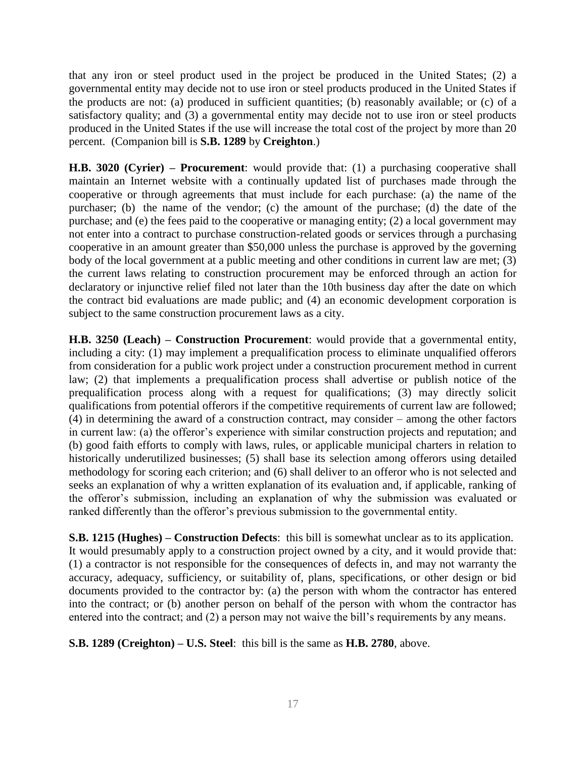that any iron or steel product used in the project be produced in the United States; (2) a governmental entity may decide not to use iron or steel products produced in the United States if the products are not: (a) produced in sufficient quantities; (b) reasonably available; or (c) of a satisfactory quality; and (3) a governmental entity may decide not to use iron or steel products produced in the United States if the use will increase the total cost of the project by more than 20 percent. (Companion bill is **S.B. 1289** by **Creighton**.)

**H.B. 3020 (Cyrier) – Procurement**: would provide that: (1) a purchasing cooperative shall maintain an Internet website with a continually updated list of purchases made through the cooperative or through agreements that must include for each purchase: (a) the name of the purchaser; (b) the name of the vendor; (c) the amount of the purchase; (d) the date of the purchase; and (e) the fees paid to the cooperative or managing entity; (2) a local government may not enter into a contract to purchase construction-related goods or services through a purchasing cooperative in an amount greater than \$50,000 unless the purchase is approved by the governing body of the local government at a public meeting and other conditions in current law are met; (3) the current laws relating to construction procurement may be enforced through an action for declaratory or injunctive relief filed not later than the 10th business day after the date on which the contract bid evaluations are made public; and (4) an economic development corporation is subject to the same construction procurement laws as a city.

**H.B. 3250 (Leach) – Construction Procurement**: would provide that a governmental entity, including a city: (1) may implement a prequalification process to eliminate unqualified offerors from consideration for a public work project under a construction procurement method in current law; (2) that implements a prequalification process shall advertise or publish notice of the prequalification process along with a request for qualifications; (3) may directly solicit qualifications from potential offerors if the competitive requirements of current law are followed; (4) in determining the award of a construction contract, may consider – among the other factors in current law: (a) the offeror's experience with similar construction projects and reputation; and (b) good faith efforts to comply with laws, rules, or applicable municipal charters in relation to historically underutilized businesses; (5) shall base its selection among offerors using detailed methodology for scoring each criterion; and (6) shall deliver to an offeror who is not selected and seeks an explanation of why a written explanation of its evaluation and, if applicable, ranking of the offeror's submission, including an explanation of why the submission was evaluated or ranked differently than the offeror's previous submission to the governmental entity.

**S.B. 1215 (Hughes) – Construction Defects**: this bill is somewhat unclear as to its application. It would presumably apply to a construction project owned by a city, and it would provide that: (1) a contractor is not responsible for the consequences of defects in, and may not warranty the accuracy, adequacy, sufficiency, or suitability of, plans, specifications, or other design or bid documents provided to the contractor by: (a) the person with whom the contractor has entered into the contract; or (b) another person on behalf of the person with whom the contractor has entered into the contract; and (2) a person may not waive the bill's requirements by any means.

**S.B. 1289 (Creighton) – U.S. Steel**: this bill is the same as **H.B. 2780**, above.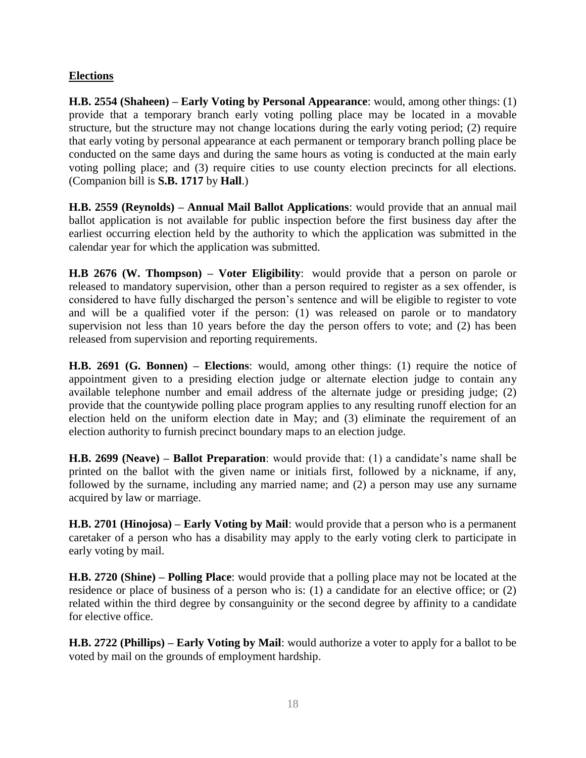## **Elections**

**H.B. 2554 (Shaheen) – Early Voting by Personal Appearance**: would, among other things: (1) provide that a temporary branch early voting polling place may be located in a movable structure, but the structure may not change locations during the early voting period; (2) require that early voting by personal appearance at each permanent or temporary branch polling place be conducted on the same days and during the same hours as voting is conducted at the main early voting polling place; and (3) require cities to use county election precincts for all elections. (Companion bill is **S.B. 1717** by **Hall**.)

**H.B. 2559 (Reynolds) – Annual Mail Ballot Applications**: would provide that an annual mail ballot application is not available for public inspection before the first business day after the earliest occurring election held by the authority to which the application was submitted in the calendar year for which the application was submitted.

**H.B 2676 (W. Thompson) – Voter Eligibility**: would provide that a person on parole or released to mandatory supervision, other than a person required to register as a sex offender, is considered to have fully discharged the person's sentence and will be eligible to register to vote and will be a qualified voter if the person: (1) was released on parole or to mandatory supervision not less than 10 years before the day the person offers to vote; and (2) has been released from supervision and reporting requirements.

**H.B. 2691 (G. Bonnen) – Elections**: would, among other things: (1) require the notice of appointment given to a presiding election judge or alternate election judge to contain any available telephone number and email address of the alternate judge or presiding judge; (2) provide that the countywide polling place program applies to any resulting runoff election for an election held on the uniform election date in May; and (3) eliminate the requirement of an election authority to furnish precinct boundary maps to an election judge.

**H.B. 2699 (Neave) – Ballot Preparation**: would provide that: (1) a candidate's name shall be printed on the ballot with the given name or initials first, followed by a nickname, if any, followed by the surname, including any married name; and (2) a person may use any surname acquired by law or marriage.

**H.B. 2701 (Hinojosa) – Early Voting by Mail**: would provide that a person who is a permanent caretaker of a person who has a disability may apply to the early voting clerk to participate in early voting by mail.

**H.B. 2720 (Shine) – Polling Place**: would provide that a polling place may not be located at the residence or place of business of a person who is: (1) a candidate for an elective office; or (2) related within the third degree by consanguinity or the second degree by affinity to a candidate for elective office.

**H.B. 2722 (Phillips) – Early Voting by Mail**: would authorize a voter to apply for a ballot to be voted by mail on the grounds of employment hardship.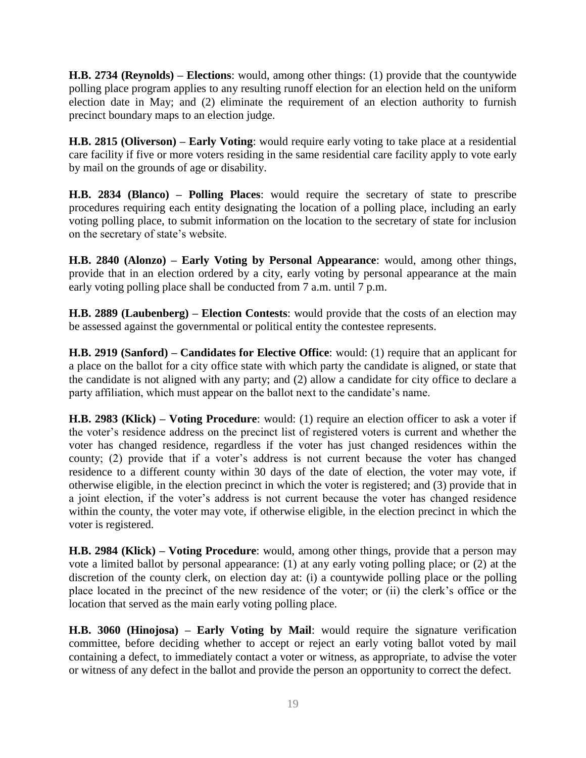**H.B. 2734 (Reynolds) – Elections**: would, among other things: (1) provide that the countywide polling place program applies to any resulting runoff election for an election held on the uniform election date in May; and (2) eliminate the requirement of an election authority to furnish precinct boundary maps to an election judge.

**H.B. 2815 (Oliverson) – Early Voting**: would require early voting to take place at a residential care facility if five or more voters residing in the same residential care facility apply to vote early by mail on the grounds of age or disability.

**H.B. 2834 (Blanco) – Polling Places**: would require the secretary of state to prescribe procedures requiring each entity designating the location of a polling place, including an early voting polling place, to submit information on the location to the secretary of state for inclusion on the secretary of state's website.

**H.B. 2840 (Alonzo) – Early Voting by Personal Appearance**: would, among other things, provide that in an election ordered by a city, early voting by personal appearance at the main early voting polling place shall be conducted from 7 a.m. until 7 p.m.

**H.B. 2889 (Laubenberg) – Election Contests**: would provide that the costs of an election may be assessed against the governmental or political entity the contestee represents.

**H.B. 2919 (Sanford) – Candidates for Elective Office**: would: (1) require that an applicant for a place on the ballot for a city office state with which party the candidate is aligned, or state that the candidate is not aligned with any party; and (2) allow a candidate for city office to declare a party affiliation, which must appear on the ballot next to the candidate's name.

**H.B. 2983 (Klick) – Voting Procedure**: would: (1) require an election officer to ask a voter if the voter's residence address on the precinct list of registered voters is current and whether the voter has changed residence, regardless if the voter has just changed residences within the county; (2) provide that if a voter's address is not current because the voter has changed residence to a different county within 30 days of the date of election, the voter may vote, if otherwise eligible, in the election precinct in which the voter is registered; and (3) provide that in a joint election, if the voter's address is not current because the voter has changed residence within the county, the voter may vote, if otherwise eligible, in the election precinct in which the voter is registered.

**H.B. 2984 (Klick) – Voting Procedure**: would, among other things, provide that a person may vote a limited ballot by personal appearance: (1) at any early voting polling place; or (2) at the discretion of the county clerk, on election day at: (i) a countywide polling place or the polling place located in the precinct of the new residence of the voter; or (ii) the clerk's office or the location that served as the main early voting polling place.

**H.B. 3060 (Hinojosa) – Early Voting by Mail**: would require the signature verification committee, before deciding whether to accept or reject an early voting ballot voted by mail containing a defect, to immediately contact a voter or witness, as appropriate, to advise the voter or witness of any defect in the ballot and provide the person an opportunity to correct the defect.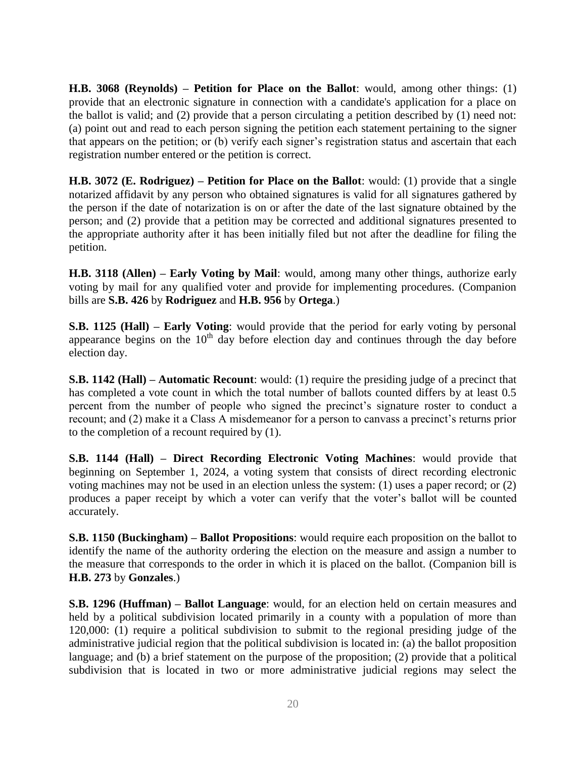**H.B. 3068 (Reynolds) – Petition for Place on the Ballot**: would, among other things: (1) provide that an electronic signature in connection with a candidate's application for a place on the ballot is valid; and (2) provide that a person circulating a petition described by (1) need not: (a) point out and read to each person signing the petition each statement pertaining to the signer that appears on the petition; or (b) verify each signer's registration status and ascertain that each registration number entered or the petition is correct.

**H.B. 3072 (E. Rodriguez) – Petition for Place on the Ballot**: would: (1) provide that a single notarized affidavit by any person who obtained signatures is valid for all signatures gathered by the person if the date of notarization is on or after the date of the last signature obtained by the person; and (2) provide that a petition may be corrected and additional signatures presented to the appropriate authority after it has been initially filed but not after the deadline for filing the petition.

**H.B. 3118 (Allen) – Early Voting by Mail**: would, among many other things, authorize early voting by mail for any qualified voter and provide for implementing procedures. (Companion bills are **S.B. 426** by **Rodriguez** and **H.B. 956** by **Ortega**.)

**S.B. 1125 (Hall) – Early Voting**: would provide that the period for early voting by personal appearance begins on the  $10<sup>th</sup>$  day before election day and continues through the day before election day.

**S.B. 1142 (Hall) – Automatic Recount**: would: (1) require the presiding judge of a precinct that has completed a vote count in which the total number of ballots counted differs by at least 0.5 percent from the number of people who signed the precinct's signature roster to conduct a recount; and (2) make it a Class A misdemeanor for a person to canvass a precinct's returns prior to the completion of a recount required by (1).

**S.B. 1144 (Hall) – Direct Recording Electronic Voting Machines**: would provide that beginning on September 1, 2024, a voting system that consists of direct recording electronic voting machines may not be used in an election unless the system: (1) uses a paper record; or (2) produces a paper receipt by which a voter can verify that the voter's ballot will be counted accurately.

**S.B. 1150 (Buckingham) – Ballot Propositions**: would require each proposition on the ballot to identify the name of the authority ordering the election on the measure and assign a number to the measure that corresponds to the order in which it is placed on the ballot. (Companion bill is **H.B. 273** by **Gonzales**.)

**S.B. 1296 (Huffman) – Ballot Language**: would, for an election held on certain measures and held by a political subdivision located primarily in a county with a population of more than 120,000: (1) require a political subdivision to submit to the regional presiding judge of the administrative judicial region that the political subdivision is located in: (a) the ballot proposition language; and (b) a brief statement on the purpose of the proposition; (2) provide that a political subdivision that is located in two or more administrative judicial regions may select the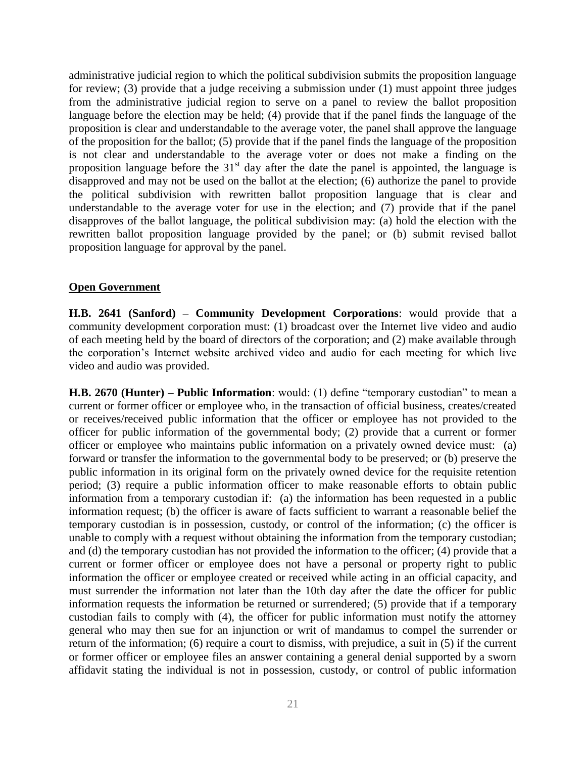administrative judicial region to which the political subdivision submits the proposition language for review; (3) provide that a judge receiving a submission under (1) must appoint three judges from the administrative judicial region to serve on a panel to review the ballot proposition language before the election may be held; (4) provide that if the panel finds the language of the proposition is clear and understandable to the average voter, the panel shall approve the language of the proposition for the ballot; (5) provide that if the panel finds the language of the proposition is not clear and understandable to the average voter or does not make a finding on the proposition language before the  $31<sup>st</sup>$  day after the date the panel is appointed, the language is disapproved and may not be used on the ballot at the election; (6) authorize the panel to provide the political subdivision with rewritten ballot proposition language that is clear and understandable to the average voter for use in the election; and  $(7)$  provide that if the panel disapproves of the ballot language, the political subdivision may: (a) hold the election with the rewritten ballot proposition language provided by the panel; or (b) submit revised ballot proposition language for approval by the panel.

#### **Open Government**

**H.B. 2641 (Sanford) – Community Development Corporations**: would provide that a community development corporation must: (1) broadcast over the Internet live video and audio of each meeting held by the board of directors of the corporation; and (2) make available through the corporation's Internet website archived video and audio for each meeting for which live video and audio was provided.

**H.B. 2670 (Hunter) – Public Information**: would: (1) define "temporary custodian" to mean a current or former officer or employee who, in the transaction of official business, creates/created or receives/received public information that the officer or employee has not provided to the officer for public information of the governmental body; (2) provide that a current or former officer or employee who maintains public information on a privately owned device must: (a) forward or transfer the information to the governmental body to be preserved; or (b) preserve the public information in its original form on the privately owned device for the requisite retention period; (3) require a public information officer to make reasonable efforts to obtain public information from a temporary custodian if: (a) the information has been requested in a public information request; (b) the officer is aware of facts sufficient to warrant a reasonable belief the temporary custodian is in possession, custody, or control of the information; (c) the officer is unable to comply with a request without obtaining the information from the temporary custodian; and (d) the temporary custodian has not provided the information to the officer; (4) provide that a current or former officer or employee does not have a personal or property right to public information the officer or employee created or received while acting in an official capacity, and must surrender the information not later than the 10th day after the date the officer for public information requests the information be returned or surrendered; (5) provide that if a temporary custodian fails to comply with (4), the officer for public information must notify the attorney general who may then sue for an injunction or writ of mandamus to compel the surrender or return of the information; (6) require a court to dismiss, with prejudice, a suit in (5) if the current or former officer or employee files an answer containing a general denial supported by a sworn affidavit stating the individual is not in possession, custody, or control of public information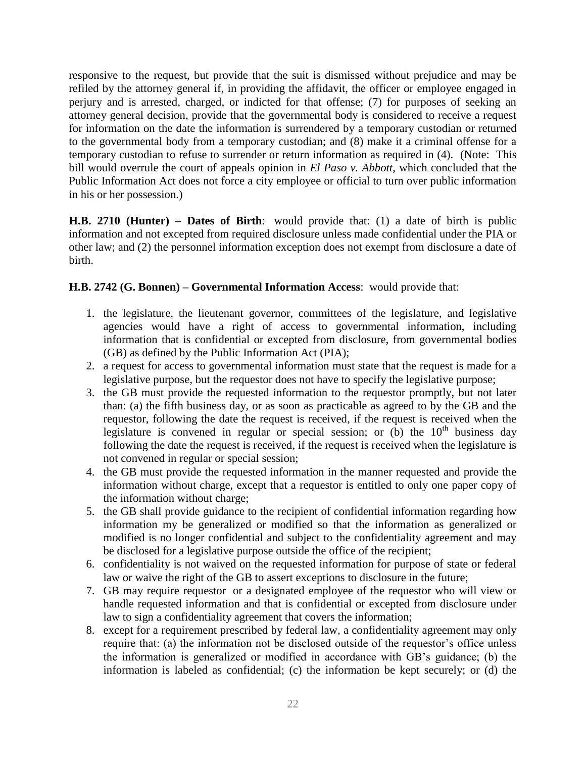responsive to the request, but provide that the suit is dismissed without prejudice and may be refiled by the attorney general if, in providing the affidavit, the officer or employee engaged in perjury and is arrested, charged, or indicted for that offense; (7) for purposes of seeking an attorney general decision, provide that the governmental body is considered to receive a request for information on the date the information is surrendered by a temporary custodian or returned to the governmental body from a temporary custodian; and (8) make it a criminal offense for a temporary custodian to refuse to surrender or return information as required in (4). (Note: This bill would overrule the court of appeals opinion in *El Paso v. Abbott*, which concluded that the Public Information Act does not force a city employee or official to turn over public information in his or her possession.)

**H.B. 2710 (Hunter) – Dates of Birth**: would provide that: (1) a date of birth is public information and not excepted from required disclosure unless made confidential under the PIA or other law; and (2) the personnel information exception does not exempt from disclosure a date of birth.

### **H.B. 2742 (G. Bonnen) – Governmental Information Access**: would provide that:

- 1. the legislature, the lieutenant governor, committees of the legislature, and legislative agencies would have a right of access to governmental information, including information that is confidential or excepted from disclosure, from governmental bodies (GB) as defined by the Public Information Act (PIA);
- 2. a request for access to governmental information must state that the request is made for a legislative purpose, but the requestor does not have to specify the legislative purpose;
- 3. the GB must provide the requested information to the requestor promptly, but not later than: (a) the fifth business day, or as soon as practicable as agreed to by the GB and the requestor, following the date the request is received, if the request is received when the legislature is convened in regular or special session; or  $(b)$  the  $10<sup>th</sup>$  business day following the date the request is received, if the request is received when the legislature is not convened in regular or special session;
- 4. the GB must provide the requested information in the manner requested and provide the information without charge, except that a requestor is entitled to only one paper copy of the information without charge;
- 5. the GB shall provide guidance to the recipient of confidential information regarding how information my be generalized or modified so that the information as generalized or modified is no longer confidential and subject to the confidentiality agreement and may be disclosed for a legislative purpose outside the office of the recipient;
- 6. confidentiality is not waived on the requested information for purpose of state or federal law or waive the right of the GB to assert exceptions to disclosure in the future;
- 7. GB may require requestor or a designated employee of the requestor who will view or handle requested information and that is confidential or excepted from disclosure under law to sign a confidentiality agreement that covers the information;
- 8. except for a requirement prescribed by federal law, a confidentiality agreement may only require that: (a) the information not be disclosed outside of the requestor's office unless the information is generalized or modified in accordance with GB's guidance; (b) the information is labeled as confidential; (c) the information be kept securely; or (d) the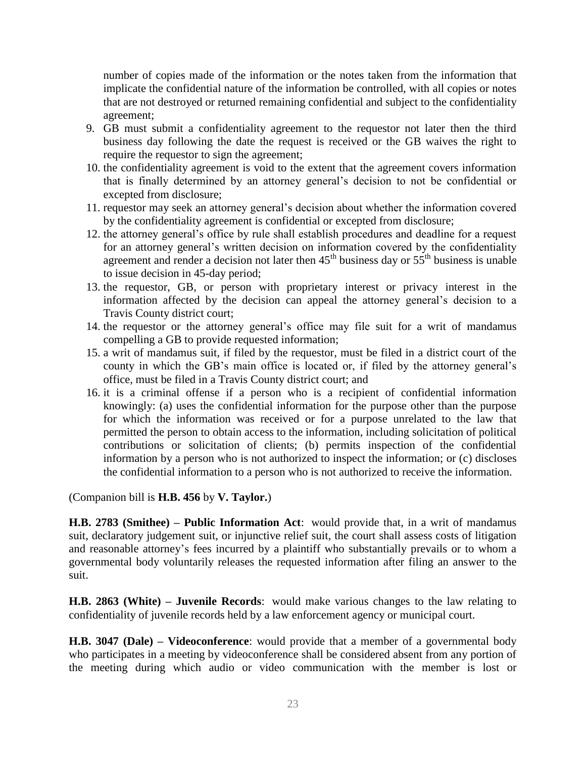number of copies made of the information or the notes taken from the information that implicate the confidential nature of the information be controlled, with all copies or notes that are not destroyed or returned remaining confidential and subject to the confidentiality agreement;

- 9. GB must submit a confidentiality agreement to the requestor not later then the third business day following the date the request is received or the GB waives the right to require the requestor to sign the agreement;
- 10. the confidentiality agreement is void to the extent that the agreement covers information that is finally determined by an attorney general's decision to not be confidential or excepted from disclosure;
- 11. requestor may seek an attorney general's decision about whether the information covered by the confidentiality agreement is confidential or excepted from disclosure;
- 12. the attorney general's office by rule shall establish procedures and deadline for a request for an attorney general's written decision on information covered by the confidentiality agreement and render a decision not later then  $45<sup>th</sup>$  business day or  $55<sup>th</sup>$  business is unable to issue decision in 45-day period;
- 13. the requestor, GB, or person with proprietary interest or privacy interest in the information affected by the decision can appeal the attorney general's decision to a Travis County district court;
- 14. the requestor or the attorney general's office may file suit for a writ of mandamus compelling a GB to provide requested information;
- 15. a writ of mandamus suit, if filed by the requestor, must be filed in a district court of the county in which the GB's main office is located or, if filed by the attorney general's office, must be filed in a Travis County district court; and
- 16. it is a criminal offense if a person who is a recipient of confidential information knowingly: (a) uses the confidential information for the purpose other than the purpose for which the information was received or for a purpose unrelated to the law that permitted the person to obtain access to the information, including solicitation of political contributions or solicitation of clients; (b) permits inspection of the confidential information by a person who is not authorized to inspect the information; or (c) discloses the confidential information to a person who is not authorized to receive the information.

(Companion bill is **H.B. 456** by **V. Taylor.**)

**H.B. 2783 (Smithee) – Public Information Act**: would provide that, in a writ of mandamus suit, declaratory judgement suit, or injunctive relief suit, the court shall assess costs of litigation and reasonable attorney's fees incurred by a plaintiff who substantially prevails or to whom a governmental body voluntarily releases the requested information after filing an answer to the suit.

**H.B. 2863 (White) – Juvenile Records**: would make various changes to the law relating to confidentiality of juvenile records held by a law enforcement agency or municipal court.

**H.B. 3047 (Dale) – Videoconference**: would provide that a member of a governmental body who participates in a meeting by videoconference shall be considered absent from any portion of the meeting during which audio or video communication with the member is lost or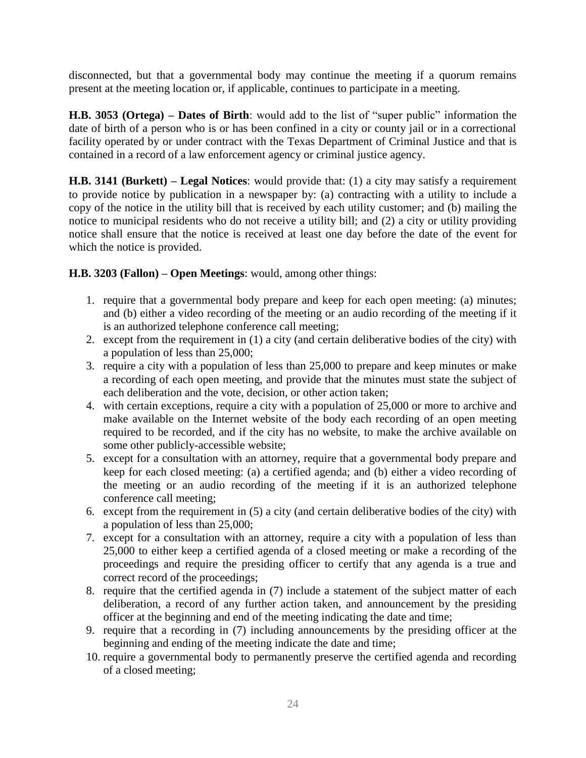disconnected, but that a governmental body may continue the meeting if a quorum remains present at the meeting location or, if applicable, continues to participate in a meeting.

**H.B. 3053 (Ortega) – Dates of Birth**: would add to the list of "super public" information the date of birth of a person who is or has been confined in a city or county jail or in a correctional facility operated by or under contract with the Texas Department of Criminal Justice and that is contained in a record of a law enforcement agency or criminal justice agency.

**H.B. 3141 (Burkett) – Legal Notices**: would provide that: (1) a city may satisfy a requirement to provide notice by publication in a newspaper by: (a) contracting with a utility to include a copy of the notice in the utility bill that is received by each utility customer; and (b) mailing the notice to municipal residents who do not receive a utility bill; and (2) a city or utility providing notice shall ensure that the notice is received at least one day before the date of the event for which the notice is provided.

## **H.B. 3203 (Fallon) – Open Meetings**: would, among other things:

- 1. require that a governmental body prepare and keep for each open meeting: (a) minutes; and (b) either a video recording of the meeting or an audio recording of the meeting if it is an authorized telephone conference call meeting;
- 2. except from the requirement in (1) a city (and certain deliberative bodies of the city) with a population of less than 25,000;
- 3. require a city with a population of less than 25,000 to prepare and keep minutes or make a recording of each open meeting, and provide that the minutes must state the subject of each deliberation and the vote, decision, or other action taken;
- 4. with certain exceptions, require a city with a population of 25,000 or more to archive and make available on the Internet website of the body each recording of an open meeting required to be recorded, and if the city has no website, to make the archive available on some other publicly-accessible website;
- 5. except for a consultation with an attorney, require that a governmental body prepare and keep for each closed meeting: (a) a certified agenda; and (b) either a video recording of the meeting or an audio recording of the meeting if it is an authorized telephone conference call meeting;
- 6. except from the requirement in (5) a city (and certain deliberative bodies of the city) with a population of less than 25,000;
- 7. except for a consultation with an attorney, require a city with a population of less than 25,000 to either keep a certified agenda of a closed meeting or make a recording of the proceedings and require the presiding officer to certify that any agenda is a true and correct record of the proceedings;
- 8. require that the certified agenda in (7) include a statement of the subject matter of each deliberation, a record of any further action taken, and announcement by the presiding officer at the beginning and end of the meeting indicating the date and time;
- 9. require that a recording in (7) including announcements by the presiding officer at the beginning and ending of the meeting indicate the date and time;
- 10. require a governmental body to permanently preserve the certified agenda and recording of a closed meeting;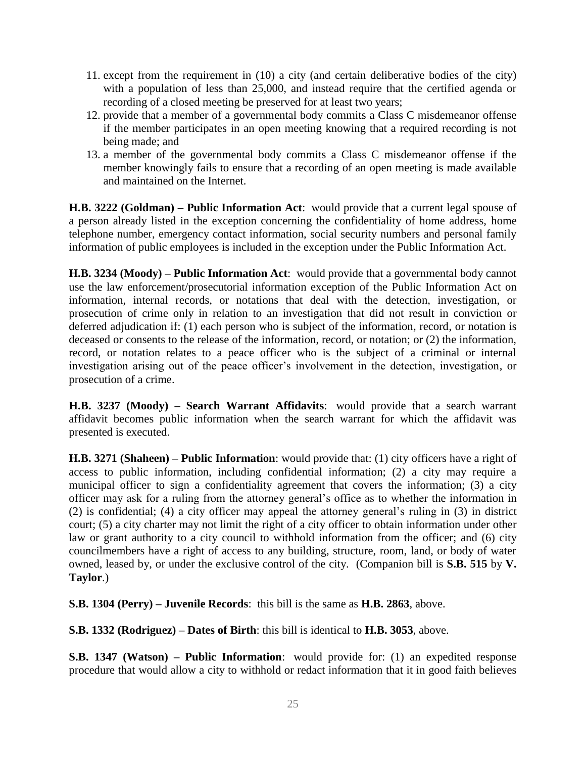- 11. except from the requirement in (10) a city (and certain deliberative bodies of the city) with a population of less than 25,000, and instead require that the certified agenda or recording of a closed meeting be preserved for at least two years;
- 12. provide that a member of a governmental body commits a Class C misdemeanor offense if the member participates in an open meeting knowing that a required recording is not being made; and
- 13. a member of the governmental body commits a Class C misdemeanor offense if the member knowingly fails to ensure that a recording of an open meeting is made available and maintained on the Internet.

**H.B. 3222 (Goldman) – Public Information Act**: would provide that a current legal spouse of a person already listed in the exception concerning the confidentiality of home address, home telephone number, emergency contact information, social security numbers and personal family information of public employees is included in the exception under the Public Information Act.

**H.B. 3234 (Moody) – Public Information Act**: would provide that a governmental body cannot use the law enforcement/prosecutorial information exception of the Public Information Act on information, internal records, or notations that deal with the detection, investigation, or prosecution of crime only in relation to an investigation that did not result in conviction or deferred adjudication if: (1) each person who is subject of the information, record, or notation is deceased or consents to the release of the information, record, or notation; or (2) the information, record, or notation relates to a peace officer who is the subject of a criminal or internal investigation arising out of the peace officer's involvement in the detection, investigation, or prosecution of a crime.

**H.B. 3237 (Moody) – Search Warrant Affidavits**: would provide that a search warrant affidavit becomes public information when the search warrant for which the affidavit was presented is executed.

**H.B. 3271 (Shaheen) – Public Information**: would provide that: (1) city officers have a right of access to public information, including confidential information; (2) a city may require a municipal officer to sign a confidentiality agreement that covers the information; (3) a city officer may ask for a ruling from the attorney general's office as to whether the information in (2) is confidential; (4) a city officer may appeal the attorney general's ruling in (3) in district court; (5) a city charter may not limit the right of a city officer to obtain information under other law or grant authority to a city council to withhold information from the officer; and (6) city councilmembers have a right of access to any building, structure, room, land, or body of water owned, leased by, or under the exclusive control of the city. (Companion bill is **S.B. 515** by **V. Taylor**.)

**S.B. 1304 (Perry) – Juvenile Records**: this bill is the same as **H.B. 2863**, above.

**S.B. 1332 (Rodriguez) – Dates of Birth**: this bill is identical to **H.B. 3053**, above.

**S.B. 1347 (Watson) – Public Information**: would provide for: (1) an expedited response procedure that would allow a city to withhold or redact information that it in good faith believes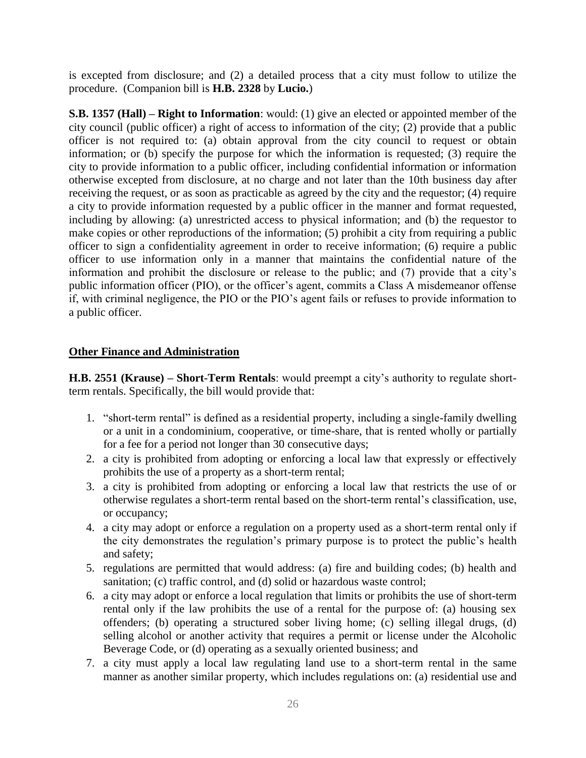is excepted from disclosure; and (2) a detailed process that a city must follow to utilize the procedure. (Companion bill is **H.B. 2328** by **Lucio.**)

**S.B. 1357 (Hall) – Right to Information**: would: (1) give an elected or appointed member of the city council (public officer) a right of access to information of the city; (2) provide that a public officer is not required to: (a) obtain approval from the city council to request or obtain information; or (b) specify the purpose for which the information is requested; (3) require the city to provide information to a public officer, including confidential information or information otherwise excepted from disclosure, at no charge and not later than the 10th business day after receiving the request, or as soon as practicable as agreed by the city and the requestor; (4) require a city to provide information requested by a public officer in the manner and format requested, including by allowing: (a) unrestricted access to physical information; and (b) the requestor to make copies or other reproductions of the information; (5) prohibit a city from requiring a public officer to sign a confidentiality agreement in order to receive information; (6) require a public officer to use information only in a manner that maintains the confidential nature of the information and prohibit the disclosure or release to the public; and (7) provide that a city's public information officer (PIO), or the officer's agent, commits a Class A misdemeanor offense if, with criminal negligence, the PIO or the PIO's agent fails or refuses to provide information to a public officer.

#### **Other Finance and Administration**

**H.B. 2551 (Krause) – Short-Term Rentals**: would preempt a city's authority to regulate shortterm rentals. Specifically, the bill would provide that:

- 1. "short-term rental" is defined as a residential property, including a single-family dwelling or a unit in a condominium, cooperative, or time-share, that is rented wholly or partially for a fee for a period not longer than 30 consecutive days;
- 2. a city is prohibited from adopting or enforcing a local law that expressly or effectively prohibits the use of a property as a short-term rental;
- 3. a city is prohibited from adopting or enforcing a local law that restricts the use of or otherwise regulates a short-term rental based on the short-term rental's classification, use, or occupancy;
- 4. a city may adopt or enforce a regulation on a property used as a short-term rental only if the city demonstrates the regulation's primary purpose is to protect the public's health and safety;
- 5. regulations are permitted that would address: (a) fire and building codes; (b) health and sanitation; (c) traffic control, and (d) solid or hazardous waste control;
- 6. a city may adopt or enforce a local regulation that limits or prohibits the use of short-term rental only if the law prohibits the use of a rental for the purpose of: (a) housing sex offenders; (b) operating a structured sober living home; (c) selling illegal drugs, (d) selling alcohol or another activity that requires a permit or license under the Alcoholic Beverage Code, or (d) operating as a sexually oriented business; and
- 7. a city must apply a local law regulating land use to a short-term rental in the same manner as another similar property, which includes regulations on: (a) residential use and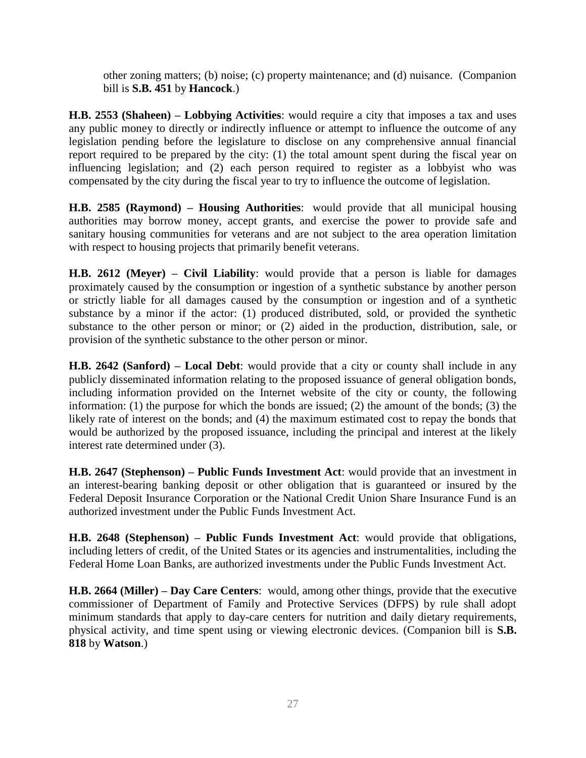other zoning matters; (b) noise; (c) property maintenance; and (d) nuisance. (Companion bill is **S.B. 451** by **Hancock**.)

**H.B. 2553 (Shaheen) – Lobbying Activities**: would require a city that imposes a tax and uses any public money to directly or indirectly influence or attempt to influence the outcome of any legislation pending before the legislature to disclose on any comprehensive annual financial report required to be prepared by the city: (1) the total amount spent during the fiscal year on influencing legislation; and (2) each person required to register as a lobbyist who was compensated by the city during the fiscal year to try to influence the outcome of legislation.

**H.B. 2585 (Raymond) – Housing Authorities**: would provide that all municipal housing authorities may borrow money, accept grants, and exercise the power to provide safe and sanitary housing communities for veterans and are not subject to the area operation limitation with respect to housing projects that primarily benefit veterans.

**H.B. 2612 (Meyer) – Civil Liability**: would provide that a person is liable for damages proximately caused by the consumption or ingestion of a synthetic substance by another person or strictly liable for all damages caused by the consumption or ingestion and of a synthetic substance by a minor if the actor: (1) produced distributed, sold, or provided the synthetic substance to the other person or minor; or (2) aided in the production, distribution, sale, or provision of the synthetic substance to the other person or minor.

**H.B. 2642 (Sanford) – Local Debt**: would provide that a city or county shall include in any publicly disseminated information relating to the proposed issuance of general obligation bonds, including information provided on the Internet website of the city or county, the following information: (1) the purpose for which the bonds are issued; (2) the amount of the bonds; (3) the likely rate of interest on the bonds; and (4) the maximum estimated cost to repay the bonds that would be authorized by the proposed issuance, including the principal and interest at the likely interest rate determined under (3).

**H.B. 2647 (Stephenson) – Public Funds Investment Act**: would provide that an investment in an interest-bearing banking deposit or other obligation that is guaranteed or insured by the Federal Deposit Insurance Corporation or the National Credit Union Share Insurance Fund is an authorized investment under the Public Funds Investment Act.

**H.B. 2648 (Stephenson) – Public Funds Investment Act**: would provide that obligations, including letters of credit, of the United States or its agencies and instrumentalities, including the Federal Home Loan Banks, are authorized investments under the Public Funds Investment Act.

**H.B. 2664 (Miller) – Day Care Centers**: would, among other things, provide that the executive commissioner of Department of Family and Protective Services (DFPS) by rule shall adopt minimum standards that apply to day-care centers for nutrition and daily dietary requirements, physical activity, and time spent using or viewing electronic devices. (Companion bill is **S.B. 818** by **Watson**.)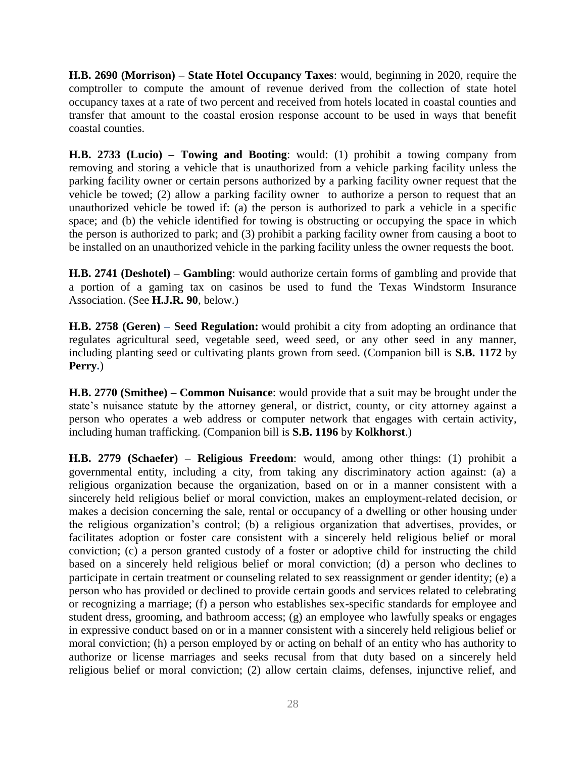**H.B. 2690 (Morrison) – State Hotel Occupancy Taxes**: would, beginning in 2020, require the comptroller to compute the amount of revenue derived from the collection of state hotel occupancy taxes at a rate of two percent and received from hotels located in coastal counties and transfer that amount to the coastal erosion response account to be used in ways that benefit coastal counties.

**H.B. 2733 (Lucio) – Towing and Booting**: would: (1) prohibit a towing company from removing and storing a vehicle that is unauthorized from a vehicle parking facility unless the parking facility owner or certain persons authorized by a parking facility owner request that the vehicle be towed; (2) allow a parking facility owner to authorize a person to request that an unauthorized vehicle be towed if: (a) the person is authorized to park a vehicle in a specific space; and (b) the vehicle identified for towing is obstructing or occupying the space in which the person is authorized to park; and (3) prohibit a parking facility owner from causing a boot to be installed on an unauthorized vehicle in the parking facility unless the owner requests the boot.

**H.B. 2741 (Deshotel) – Gambling**: would authorize certain forms of gambling and provide that a portion of a gaming tax on casinos be used to fund the Texas Windstorm Insurance Association. (See **H.J.R. 90**, below.)

**H.B. 2758 (Geren) – Seed Regulation:** would prohibit a city from adopting an ordinance that regulates agricultural seed, vegetable seed, weed seed, or any other seed in any manner, including planting seed or cultivating plants grown from seed. (Companion bill is **S.B. 1172** by **Perry.**)

**H.B. 2770 (Smithee) – Common Nuisance**: would provide that a suit may be brought under the state's nuisance statute by the attorney general, or district, county, or city attorney against a person who operates a web address or computer network that engages with certain activity, including human trafficking. (Companion bill is **S.B. 1196** by **Kolkhorst**.)

**H.B. 2779 (Schaefer) – Religious Freedom**: would, among other things: (1) prohibit a governmental entity, including a city, from taking any discriminatory action against: (a) a religious organization because the organization, based on or in a manner consistent with a sincerely held religious belief or moral conviction, makes an employment-related decision, or makes a decision concerning the sale, rental or occupancy of a dwelling or other housing under the religious organization's control; (b) a religious organization that advertises, provides, or facilitates adoption or foster care consistent with a sincerely held religious belief or moral conviction; (c) a person granted custody of a foster or adoptive child for instructing the child based on a sincerely held religious belief or moral conviction; (d) a person who declines to participate in certain treatment or counseling related to sex reassignment or gender identity; (e) a person who has provided or declined to provide certain goods and services related to celebrating or recognizing a marriage; (f) a person who establishes sex-specific standards for employee and student dress, grooming, and bathroom access; (g) an employee who lawfully speaks or engages in expressive conduct based on or in a manner consistent with a sincerely held religious belief or moral conviction; (h) a person employed by or acting on behalf of an entity who has authority to authorize or license marriages and seeks recusal from that duty based on a sincerely held religious belief or moral conviction; (2) allow certain claims, defenses, injunctive relief, and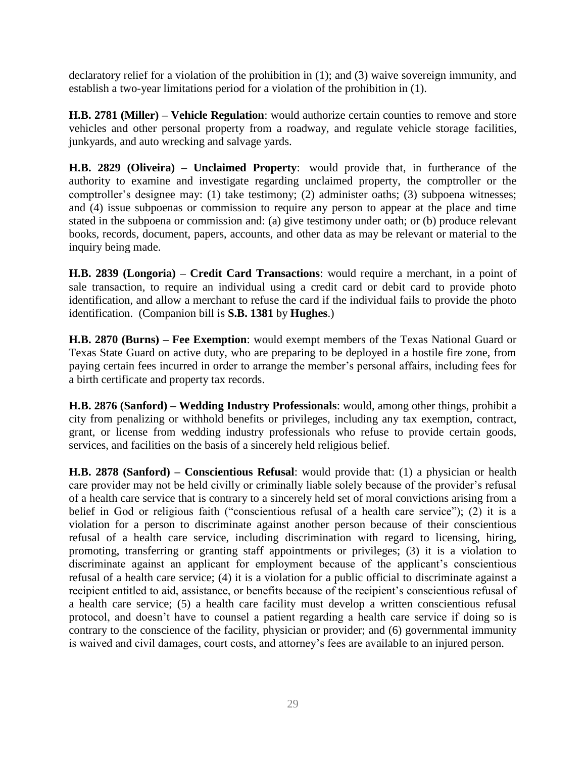declaratory relief for a violation of the prohibition in (1); and (3) waive sovereign immunity, and establish a two-year limitations period for a violation of the prohibition in (1).

**H.B. 2781 (Miller) – Vehicle Regulation**: would authorize certain counties to remove and store vehicles and other personal property from a roadway, and regulate vehicle storage facilities, junkyards, and auto wrecking and salvage yards.

**H.B. 2829 (Oliveira) – Unclaimed Property**: would provide that, in furtherance of the authority to examine and investigate regarding unclaimed property, the comptroller or the comptroller's designee may: (1) take testimony; (2) administer oaths; (3) subpoena witnesses; and (4) issue subpoenas or commission to require any person to appear at the place and time stated in the subpoena or commission and: (a) give testimony under oath; or (b) produce relevant books, records, document, papers, accounts, and other data as may be relevant or material to the inquiry being made.

**H.B. 2839 (Longoria) – Credit Card Transactions**: would require a merchant, in a point of sale transaction, to require an individual using a credit card or debit card to provide photo identification, and allow a merchant to refuse the card if the individual fails to provide the photo identification. (Companion bill is **S.B. 1381** by **Hughes**.)

**H.B. 2870 (Burns) – Fee Exemption**: would exempt members of the Texas National Guard or Texas State Guard on active duty, who are preparing to be deployed in a hostile fire zone, from paying certain fees incurred in order to arrange the member's personal affairs, including fees for a birth certificate and property tax records.

**H.B. 2876 (Sanford) – Wedding Industry Professionals**: would, among other things, prohibit a city from penalizing or withhold benefits or privileges, including any tax exemption, contract, grant, or license from wedding industry professionals who refuse to provide certain goods, services, and facilities on the basis of a sincerely held religious belief.

**H.B. 2878 (Sanford) – Conscientious Refusal**: would provide that: (1) a physician or health care provider may not be held civilly or criminally liable solely because of the provider's refusal of a health care service that is contrary to a sincerely held set of moral convictions arising from a belief in God or religious faith ("conscientious refusal of a health care service"); (2) it is a violation for a person to discriminate against another person because of their conscientious refusal of a health care service, including discrimination with regard to licensing, hiring, promoting, transferring or granting staff appointments or privileges; (3) it is a violation to discriminate against an applicant for employment because of the applicant's conscientious refusal of a health care service; (4) it is a violation for a public official to discriminate against a recipient entitled to aid, assistance, or benefits because of the recipient's conscientious refusal of a health care service; (5) a health care facility must develop a written conscientious refusal protocol, and doesn't have to counsel a patient regarding a health care service if doing so is contrary to the conscience of the facility, physician or provider; and (6) governmental immunity is waived and civil damages, court costs, and attorney's fees are available to an injured person.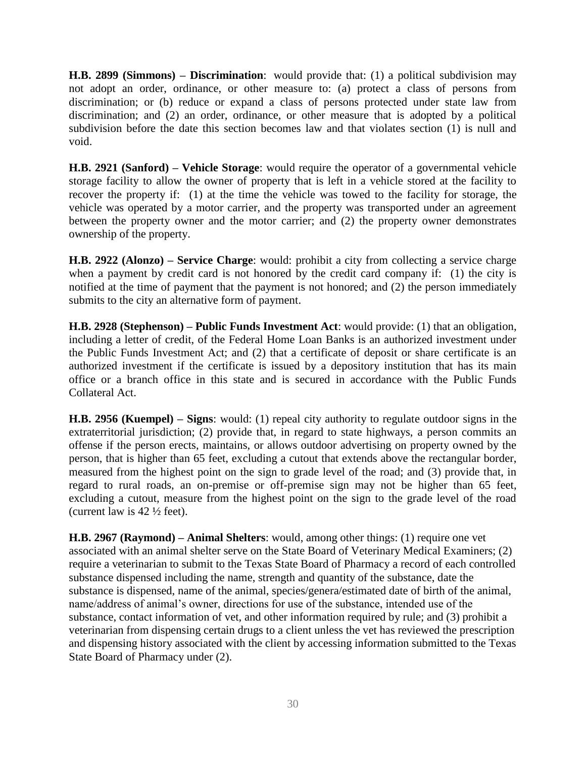**H.B. 2899 (Simmons) – Discrimination**: would provide that: (1) a political subdivision may not adopt an order, ordinance, or other measure to: (a) protect a class of persons from discrimination; or (b) reduce or expand a class of persons protected under state law from discrimination; and (2) an order, ordinance, or other measure that is adopted by a political subdivision before the date this section becomes law and that violates section (1) is null and void.

**H.B. 2921 (Sanford) – Vehicle Storage**: would require the operator of a governmental vehicle storage facility to allow the owner of property that is left in a vehicle stored at the facility to recover the property if: (1) at the time the vehicle was towed to the facility for storage, the vehicle was operated by a motor carrier, and the property was transported under an agreement between the property owner and the motor carrier; and (2) the property owner demonstrates ownership of the property.

**H.B. 2922 (Alonzo) – Service Charge**: would: prohibit a city from collecting a service charge when a payment by credit card is not honored by the credit card company if: (1) the city is notified at the time of payment that the payment is not honored; and (2) the person immediately submits to the city an alternative form of payment.

**H.B. 2928 (Stephenson) – Public Funds Investment Act**: would provide: (1) that an obligation, including a letter of credit, of the Federal Home Loan Banks is an authorized investment under the Public Funds Investment Act; and (2) that a certificate of deposit or share certificate is an authorized investment if the certificate is issued by a depository institution that has its main office or a branch office in this state and is secured in accordance with the Public Funds Collateral Act.

**H.B. 2956 (Kuempel) – Signs**: would: (1) repeal city authority to regulate outdoor signs in the extraterritorial jurisdiction; (2) provide that, in regard to state highways, a person commits an offense if the person erects, maintains, or allows outdoor advertising on property owned by the person, that is higher than 65 feet, excluding a cutout that extends above the rectangular border, measured from the highest point on the sign to grade level of the road; and (3) provide that, in regard to rural roads, an on-premise or off-premise sign may not be higher than 65 feet, excluding a cutout, measure from the highest point on the sign to the grade level of the road (current law is  $42\frac{1}{2}$  feet).

**H.B. 2967 (Raymond) – Animal Shelters**: would, among other things: (1) require one vet associated with an animal shelter serve on the State Board of Veterinary Medical Examiners; (2) require a veterinarian to submit to the Texas State Board of Pharmacy a record of each controlled substance dispensed including the name, strength and quantity of the substance, date the substance is dispensed, name of the animal, species/genera/estimated date of birth of the animal, name/address of animal's owner, directions for use of the substance, intended use of the substance, contact information of vet, and other information required by rule; and (3) prohibit a veterinarian from dispensing certain drugs to a client unless the vet has reviewed the prescription and dispensing history associated with the client by accessing information submitted to the Texas State Board of Pharmacy under (2).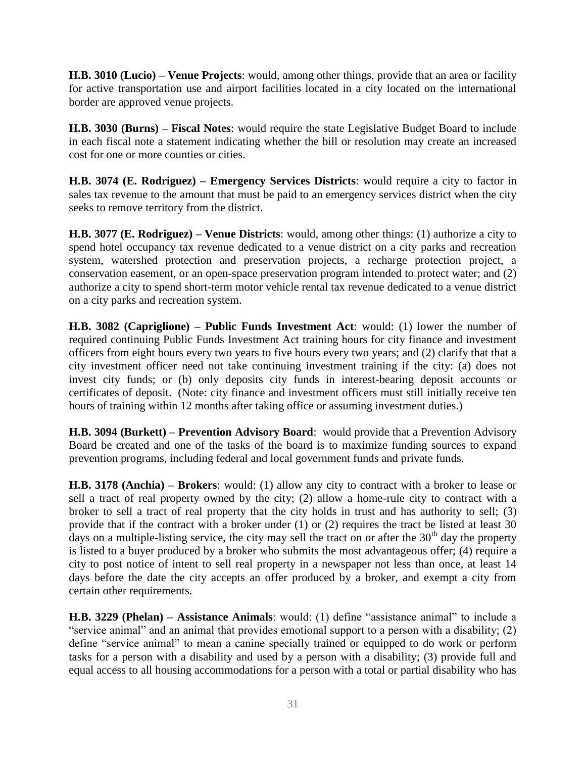**H.B. 3010 (Lucio) – Venue Projects**: would, among other things, provide that an area or facility for active transportation use and airport facilities located in a city located on the international border are approved venue projects.

**H.B. 3030 (Burns) – Fiscal Notes**: would require the state Legislative Budget Board to include in each fiscal note a statement indicating whether the bill or resolution may create an increased cost for one or more counties or cities.

**H.B. 3074 (E. Rodriguez) – Emergency Services Districts**: would require a city to factor in sales tax revenue to the amount that must be paid to an emergency services district when the city seeks to remove territory from the district.

**H.B. 3077 (E. Rodriguez) – Venue Districts**: would, among other things: (1) authorize a city to spend hotel occupancy tax revenue dedicated to a venue district on a city parks and recreation system, watershed protection and preservation projects, a recharge protection project, a conservation easement, or an open-space preservation program intended to protect water; and (2) authorize a city to spend short-term motor vehicle rental tax revenue dedicated to a venue district on a city parks and recreation system.

**H.B. 3082 (Capriglione) – Public Funds Investment Act**: would: (1) lower the number of required continuing Public Funds Investment Act training hours for city finance and investment officers from eight hours every two years to five hours every two years; and (2) clarify that that a city investment officer need not take continuing investment training if the city: (a) does not invest city funds; or (b) only deposits city funds in interest-bearing deposit accounts or certificates of deposit. (Note: city finance and investment officers must still initially receive ten hours of training within 12 months after taking office or assuming investment duties.)

**H.B. 3094 (Burkett) – Prevention Advisory Board**: would provide that a Prevention Advisory Board be created and one of the tasks of the board is to maximize funding sources to expand prevention programs, including federal and local government funds and private funds.

**H.B. 3178 (Anchia) – Brokers**: would: (1) allow any city to contract with a broker to lease or sell a tract of real property owned by the city; (2) allow a home-rule city to contract with a broker to sell a tract of real property that the city holds in trust and has authority to sell; (3) provide that if the contract with a broker under (1) or (2) requires the tract be listed at least 30 days on a multiple-listing service, the city may sell the tract on or after the  $30<sup>th</sup>$  day the property is listed to a buyer produced by a broker who submits the most advantageous offer; (4) require a city to post notice of intent to sell real property in a newspaper not less than once, at least 14 days before the date the city accepts an offer produced by a broker, and exempt a city from certain other requirements.

**H.B. 3229 (Phelan) – Assistance Animals**: would: (1) define "assistance animal" to include a "service animal" and an animal that provides emotional support to a person with a disability; (2) define "service animal" to mean a canine specially trained or equipped to do work or perform tasks for a person with a disability and used by a person with a disability; (3) provide full and equal access to all housing accommodations for a person with a total or partial disability who has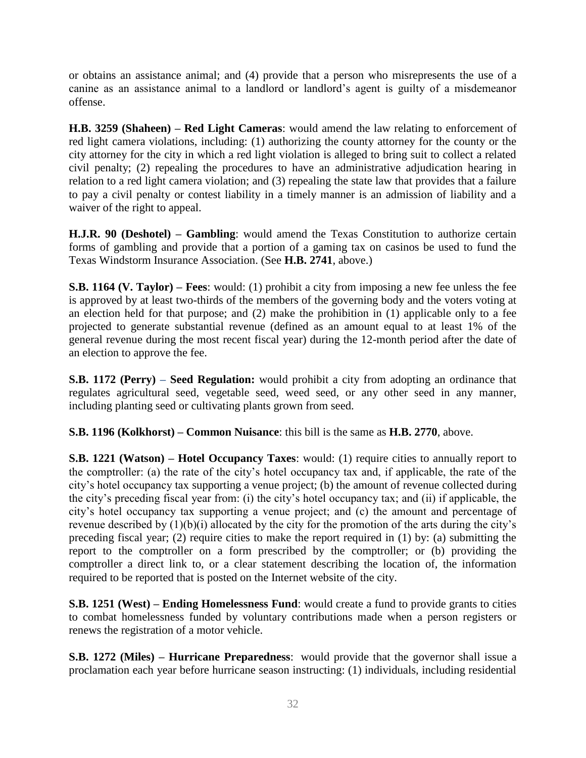or obtains an assistance animal; and (4) provide that a person who misrepresents the use of a canine as an assistance animal to a landlord or landlord's agent is guilty of a misdemeanor offense.

**H.B. 3259 (Shaheen) – Red Light Cameras**: would amend the law relating to enforcement of red light camera violations, including: (1) authorizing the county attorney for the county or the city attorney for the city in which a red light violation is alleged to bring suit to collect a related civil penalty; (2) repealing the procedures to have an administrative adjudication hearing in relation to a red light camera violation; and (3) repealing the state law that provides that a failure to pay a civil penalty or contest liability in a timely manner is an admission of liability and a waiver of the right to appeal.

**H.J.R. 90 (Deshotel) – Gambling**: would amend the Texas Constitution to authorize certain forms of gambling and provide that a portion of a gaming tax on casinos be used to fund the Texas Windstorm Insurance Association. (See **H.B. 2741**, above.)

**S.B. 1164 (V. Taylor) – Fees**: would: (1) prohibit a city from imposing a new fee unless the fee is approved by at least two-thirds of the members of the governing body and the voters voting at an election held for that purpose; and (2) make the prohibition in (1) applicable only to a fee projected to generate substantial revenue (defined as an amount equal to at least 1% of the general revenue during the most recent fiscal year) during the 12-month period after the date of an election to approve the fee.

**S.B. 1172 (Perry) – Seed Regulation:** would prohibit a city from adopting an ordinance that regulates agricultural seed, vegetable seed, weed seed, or any other seed in any manner, including planting seed or cultivating plants grown from seed.

**S.B. 1196 (Kolkhorst) – Common Nuisance**: this bill is the same as **H.B. 2770**, above.

**S.B. 1221 (Watson) – Hotel Occupancy Taxes**: would: (1) require cities to annually report to the comptroller: (a) the rate of the city's hotel occupancy tax and, if applicable, the rate of the city's hotel occupancy tax supporting a venue project; (b) the amount of revenue collected during the city's preceding fiscal year from: (i) the city's hotel occupancy tax; and (ii) if applicable, the city's hotel occupancy tax supporting a venue project; and (c) the amount and percentage of revenue described by (1)(b)(i) allocated by the city for the promotion of the arts during the city's preceding fiscal year;  $(2)$  require cities to make the report required in (1) by: (a) submitting the report to the comptroller on a form prescribed by the comptroller; or (b) providing the comptroller a direct link to, or a clear statement describing the location of, the information required to be reported that is posted on the Internet website of the city.

**S.B. 1251 (West) – Ending Homelessness Fund**: would create a fund to provide grants to cities to combat homelessness funded by voluntary contributions made when a person registers or renews the registration of a motor vehicle.

**S.B. 1272 (Miles) – Hurricane Preparedness**: would provide that the governor shall issue a proclamation each year before hurricane season instructing: (1) individuals, including residential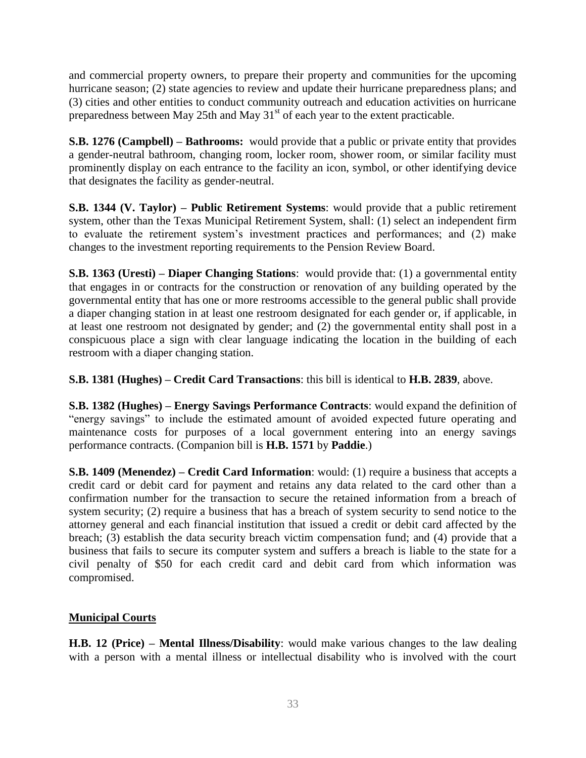and commercial property owners, to prepare their property and communities for the upcoming hurricane season; (2) state agencies to review and update their hurricane preparedness plans; and (3) cities and other entities to conduct community outreach and education activities on hurricane preparedness between May 25th and May 31<sup>st</sup> of each year to the extent practicable.

**S.B. 1276 (Campbell) – Bathrooms:** would provide that a public or private entity that provides a gender-neutral bathroom, changing room, locker room, shower room, or similar facility must prominently display on each entrance to the facility an icon, symbol, or other identifying device that designates the facility as gender-neutral.

**S.B. 1344 (V. Taylor) – Public Retirement Systems**: would provide that a public retirement system, other than the Texas Municipal Retirement System, shall: (1) select an independent firm to evaluate the retirement system's investment practices and performances; and (2) make changes to the investment reporting requirements to the Pension Review Board.

**S.B. 1363 (Uresti) – Diaper Changing Stations**: would provide that: (1) a governmental entity that engages in or contracts for the construction or renovation of any building operated by the governmental entity that has one or more restrooms accessible to the general public shall provide a diaper changing station in at least one restroom designated for each gender or, if applicable, in at least one restroom not designated by gender; and (2) the governmental entity shall post in a conspicuous place a sign with clear language indicating the location in the building of each restroom with a diaper changing station.

**S.B. 1381 (Hughes) – Credit Card Transactions**: this bill is identical to **H.B. 2839**, above.

**S.B. 1382 (Hughes) – Energy Savings Performance Contracts**: would expand the definition of "energy savings" to include the estimated amount of avoided expected future operating and maintenance costs for purposes of a local government entering into an energy savings performance contracts. (Companion bill is **H.B. 1571** by **Paddie**.)

**S.B. 1409 (Menendez) – Credit Card Information**: would: (1) require a business that accepts a credit card or debit card for payment and retains any data related to the card other than a confirmation number for the transaction to secure the retained information from a breach of system security; (2) require a business that has a breach of system security to send notice to the attorney general and each financial institution that issued a credit or debit card affected by the breach; (3) establish the data security breach victim compensation fund; and (4) provide that a business that fails to secure its computer system and suffers a breach is liable to the state for a civil penalty of \$50 for each credit card and debit card from which information was compromised.

## **Municipal Courts**

**H.B. 12 (Price) – Mental Illness/Disability**: would make various changes to the law dealing with a person with a mental illness or intellectual disability who is involved with the court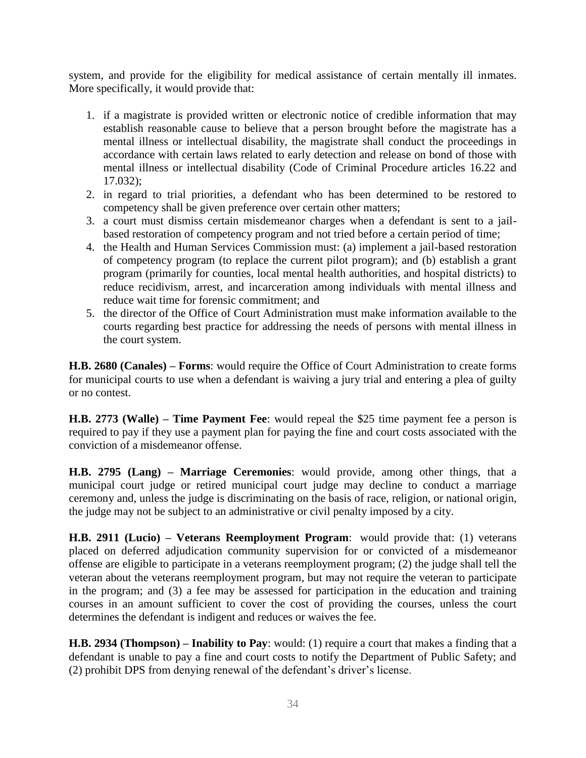system, and provide for the eligibility for medical assistance of certain mentally ill inmates. More specifically, it would provide that:

- 1. if a magistrate is provided written or electronic notice of credible information that may establish reasonable cause to believe that a person brought before the magistrate has a mental illness or intellectual disability, the magistrate shall conduct the proceedings in accordance with certain laws related to early detection and release on bond of those with mental illness or intellectual disability (Code of Criminal Procedure articles 16.22 and 17.032);
- 2. in regard to trial priorities, a defendant who has been determined to be restored to competency shall be given preference over certain other matters;
- 3. a court must dismiss certain misdemeanor charges when a defendant is sent to a jailbased restoration of competency program and not tried before a certain period of time;
- 4. the Health and Human Services Commission must: (a) implement a jail-based restoration of competency program (to replace the current pilot program); and (b) establish a grant program (primarily for counties, local mental health authorities, and hospital districts) to reduce recidivism, arrest, and incarceration among individuals with mental illness and reduce wait time for forensic commitment; and
- 5. the director of the Office of Court Administration must make information available to the courts regarding best practice for addressing the needs of persons with mental illness in the court system.

**H.B. 2680 (Canales) – Forms**: would require the Office of Court Administration to create forms for municipal courts to use when a defendant is waiving a jury trial and entering a plea of guilty or no contest.

**H.B. 2773 (Walle) – Time Payment Fee**: would repeal the \$25 time payment fee a person is required to pay if they use a payment plan for paying the fine and court costs associated with the conviction of a misdemeanor offense.

**H.B. 2795 (Lang) – Marriage Ceremonies**: would provide, among other things, that a municipal court judge or retired municipal court judge may decline to conduct a marriage ceremony and, unless the judge is discriminating on the basis of race, religion, or national origin, the judge may not be subject to an administrative or civil penalty imposed by a city.

**H.B. 2911 (Lucio) – Veterans Reemployment Program**: would provide that: (1) veterans placed on deferred adjudication community supervision for or convicted of a misdemeanor offense are eligible to participate in a veterans reemployment program; (2) the judge shall tell the veteran about the veterans reemployment program, but may not require the veteran to participate in the program; and (3) a fee may be assessed for participation in the education and training courses in an amount sufficient to cover the cost of providing the courses, unless the court determines the defendant is indigent and reduces or waives the fee.

**H.B. 2934 (Thompson) – Inability to Pay**: would: (1) require a court that makes a finding that a defendant is unable to pay a fine and court costs to notify the Department of Public Safety; and (2) prohibit DPS from denying renewal of the defendant's driver's license.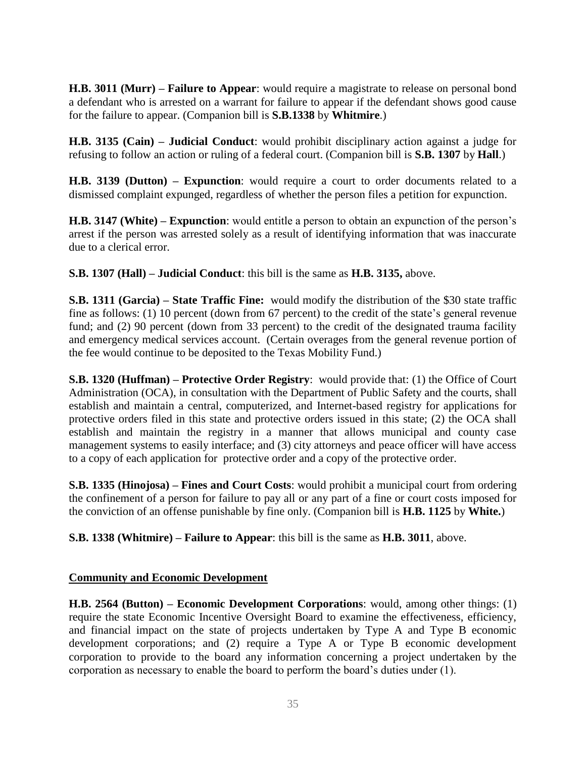**H.B. 3011 (Murr) – Failure to Appear**: would require a magistrate to release on personal bond a defendant who is arrested on a warrant for failure to appear if the defendant shows good cause for the failure to appear. (Companion bill is **S.B.1338** by **Whitmire**.)

**H.B. 3135 (Cain) – Judicial Conduct**: would prohibit disciplinary action against a judge for refusing to follow an action or ruling of a federal court. (Companion bill is **S.B. 1307** by **Hall**.)

**H.B. 3139 (Dutton) – Expunction**: would require a court to order documents related to a dismissed complaint expunged, regardless of whether the person files a petition for expunction.

**H.B. 3147 (White) – Expunction**: would entitle a person to obtain an expunction of the person's arrest if the person was arrested solely as a result of identifying information that was inaccurate due to a clerical error.

**S.B. 1307 (Hall) – Judicial Conduct**: this bill is the same as **H.B. 3135,** above.

**S.B. 1311 (Garcia) – State Traffic Fine:** would modify the distribution of the \$30 state traffic fine as follows: (1) 10 percent (down from 67 percent) to the credit of the state's general revenue fund; and (2) 90 percent (down from 33 percent) to the credit of the designated trauma facility and emergency medical services account. (Certain overages from the general revenue portion of the fee would continue to be deposited to the Texas Mobility Fund.)

**S.B. 1320 (Huffman) – Protective Order Registry**: would provide that: (1) the Office of Court Administration (OCA), in consultation with the Department of Public Safety and the courts, shall establish and maintain a central, computerized, and Internet-based registry for applications for protective orders filed in this state and protective orders issued in this state; (2) the OCA shall establish and maintain the registry in a manner that allows municipal and county case management systems to easily interface; and (3) city attorneys and peace officer will have access to a copy of each application for protective order and a copy of the protective order.

**S.B. 1335 (Hinojosa) – Fines and Court Costs**: would prohibit a municipal court from ordering the confinement of a person for failure to pay all or any part of a fine or court costs imposed for the conviction of an offense punishable by fine only. (Companion bill is **H.B. 1125** by **White.**)

**S.B. 1338 (Whitmire) – Failure to Appear**: this bill is the same as **H.B. 3011**, above.

### **Community and Economic Development**

**H.B. 2564 (Button) – Economic Development Corporations**: would, among other things: (1) require the state Economic Incentive Oversight Board to examine the effectiveness, efficiency, and financial impact on the state of projects undertaken by Type A and Type B economic development corporations; and (2) require a Type A or Type B economic development corporation to provide to the board any information concerning a project undertaken by the corporation as necessary to enable the board to perform the board's duties under (1).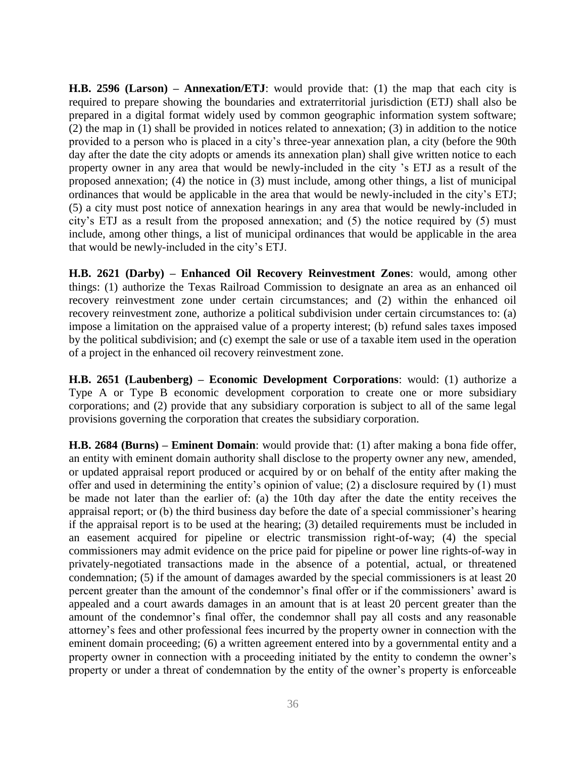**H.B. 2596 (Larson) – Annexation/ETJ**: would provide that: (1) the map that each city is required to prepare showing the boundaries and extraterritorial jurisdiction (ETJ) shall also be prepared in a digital format widely used by common geographic information system software; (2) the map in (1) shall be provided in notices related to annexation; (3) in addition to the notice provided to a person who is placed in a city's three-year annexation plan, a city (before the 90th day after the date the city adopts or amends its annexation plan) shall give written notice to each property owner in any area that would be newly-included in the city 's ETJ as a result of the proposed annexation; (4) the notice in (3) must include, among other things, a list of municipal ordinances that would be applicable in the area that would be newly-included in the city's ETJ; (5) a city must post notice of annexation hearings in any area that would be newly-included in city's ETJ as a result from the proposed annexation; and (5) the notice required by (5) must include, among other things, a list of municipal ordinances that would be applicable in the area that would be newly-included in the city's ETJ.

**H.B. 2621 (Darby) – Enhanced Oil Recovery Reinvestment Zones**: would, among other things: (1) authorize the Texas Railroad Commission to designate an area as an enhanced oil recovery reinvestment zone under certain circumstances; and (2) within the enhanced oil recovery reinvestment zone, authorize a political subdivision under certain circumstances to: (a) impose a limitation on the appraised value of a property interest; (b) refund sales taxes imposed by the political subdivision; and (c) exempt the sale or use of a taxable item used in the operation of a project in the enhanced oil recovery reinvestment zone.

**H.B. 2651 (Laubenberg) – Economic Development Corporations**: would: (1) authorize a Type A or Type B economic development corporation to create one or more subsidiary corporations; and (2) provide that any subsidiary corporation is subject to all of the same legal provisions governing the corporation that creates the subsidiary corporation.

**H.B. 2684 (Burns) – Eminent Domain**: would provide that: (1) after making a bona fide offer, an entity with eminent domain authority shall disclose to the property owner any new, amended, or updated appraisal report produced or acquired by or on behalf of the entity after making the offer and used in determining the entity's opinion of value; (2) a disclosure required by (1) must be made not later than the earlier of: (a) the 10th day after the date the entity receives the appraisal report; or (b) the third business day before the date of a special commissioner's hearing if the appraisal report is to be used at the hearing; (3) detailed requirements must be included in an easement acquired for pipeline or electric transmission right-of-way; (4) the special commissioners may admit evidence on the price paid for pipeline or power line rights-of-way in privately-negotiated transactions made in the absence of a potential, actual, or threatened condemnation; (5) if the amount of damages awarded by the special commissioners is at least 20 percent greater than the amount of the condemnor's final offer or if the commissioners' award is appealed and a court awards damages in an amount that is at least 20 percent greater than the amount of the condemnor's final offer, the condemnor shall pay all costs and any reasonable attorney's fees and other professional fees incurred by the property owner in connection with the eminent domain proceeding; (6) a written agreement entered into by a governmental entity and a property owner in connection with a proceeding initiated by the entity to condemn the owner's property or under a threat of condemnation by the entity of the owner's property is enforceable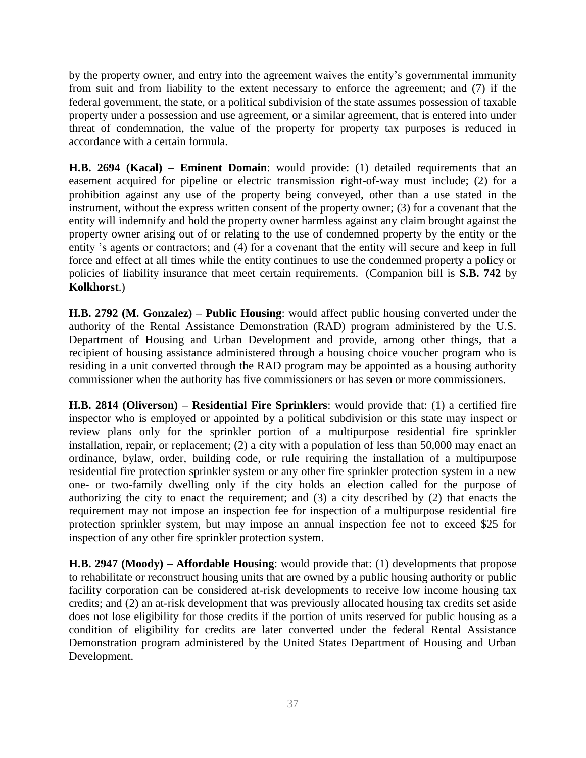by the property owner, and entry into the agreement waives the entity's governmental immunity from suit and from liability to the extent necessary to enforce the agreement; and (7) if the federal government, the state, or a political subdivision of the state assumes possession of taxable property under a possession and use agreement, or a similar agreement, that is entered into under threat of condemnation, the value of the property for property tax purposes is reduced in accordance with a certain formula.

**H.B. 2694 (Kacal) – Eminent Domain**: would provide: (1) detailed requirements that an easement acquired for pipeline or electric transmission right-of-way must include; (2) for a prohibition against any use of the property being conveyed, other than a use stated in the instrument, without the express written consent of the property owner; (3) for a covenant that the entity will indemnify and hold the property owner harmless against any claim brought against the property owner arising out of or relating to the use of condemned property by the entity or the entity 's agents or contractors; and (4) for a covenant that the entity will secure and keep in full force and effect at all times while the entity continues to use the condemned property a policy or policies of liability insurance that meet certain requirements. (Companion bill is **S.B. 742** by **Kolkhorst**.)

**H.B. 2792 (M. Gonzalez) – Public Housing**: would affect public housing converted under the authority of the Rental Assistance Demonstration (RAD) program administered by the U.S. Department of Housing and Urban Development and provide, among other things, that a recipient of housing assistance administered through a housing choice voucher program who is residing in a unit converted through the RAD program may be appointed as a housing authority commissioner when the authority has five commissioners or has seven or more commissioners.

**H.B. 2814 (Oliverson) – Residential Fire Sprinklers**: would provide that: (1) a certified fire inspector who is employed or appointed by a political subdivision or this state may inspect or review plans only for the sprinkler portion of a multipurpose residential fire sprinkler installation, repair, or replacement; (2) a city with a population of less than 50,000 may enact an ordinance, bylaw, order, building code, or rule requiring the installation of a multipurpose residential fire protection sprinkler system or any other fire sprinkler protection system in a new one- or two-family dwelling only if the city holds an election called for the purpose of authorizing the city to enact the requirement; and (3) a city described by (2) that enacts the requirement may not impose an inspection fee for inspection of a multipurpose residential fire protection sprinkler system, but may impose an annual inspection fee not to exceed \$25 for inspection of any other fire sprinkler protection system.

**H.B. 2947 (Moody) – Affordable Housing**: would provide that: (1) developments that propose to rehabilitate or reconstruct housing units that are owned by a public housing authority or public facility corporation can be considered at-risk developments to receive low income housing tax credits; and (2) an at-risk development that was previously allocated housing tax credits set aside does not lose eligibility for those credits if the portion of units reserved for public housing as a condition of eligibility for credits are later converted under the federal Rental Assistance Demonstration program administered by the United States Department of Housing and Urban Development.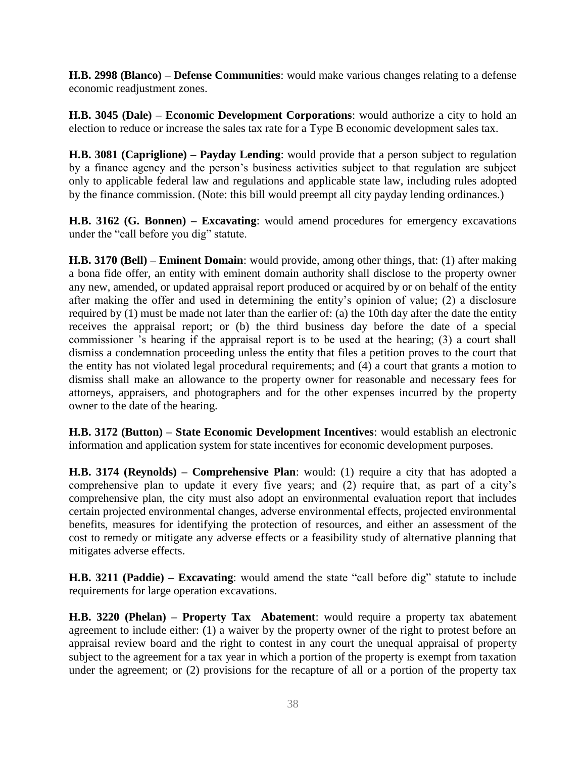**H.B. 2998 (Blanco) – Defense Communities**: would make various changes relating to a defense economic readjustment zones.

**H.B. 3045 (Dale) – Economic Development Corporations**: would authorize a city to hold an election to reduce or increase the sales tax rate for a Type B economic development sales tax.

**H.B. 3081 (Capriglione) – Payday Lending**: would provide that a person subject to regulation by a finance agency and the person's business activities subject to that regulation are subject only to applicable federal law and regulations and applicable state law, including rules adopted by the finance commission. (Note: this bill would preempt all city payday lending ordinances.)

**H.B. 3162 (G. Bonnen) – Excavating**: would amend procedures for emergency excavations under the "call before you dig" statute.

**H.B. 3170 (Bell) – Eminent Domain**: would provide, among other things, that: (1) after making a bona fide offer, an entity with eminent domain authority shall disclose to the property owner any new, amended, or updated appraisal report produced or acquired by or on behalf of the entity after making the offer and used in determining the entity's opinion of value; (2) a disclosure required by (1) must be made not later than the earlier of: (a) the 10th day after the date the entity receives the appraisal report; or (b) the third business day before the date of a special commissioner 's hearing if the appraisal report is to be used at the hearing; (3) a court shall dismiss a condemnation proceeding unless the entity that files a petition proves to the court that the entity has not violated legal procedural requirements; and (4) a court that grants a motion to dismiss shall make an allowance to the property owner for reasonable and necessary fees for attorneys, appraisers, and photographers and for the other expenses incurred by the property owner to the date of the hearing.

**H.B. 3172 (Button) – State Economic Development Incentives**: would establish an electronic information and application system for state incentives for economic development purposes.

**H.B. 3174 (Reynolds) – Comprehensive Plan**: would: (1) require a city that has adopted a comprehensive plan to update it every five years; and (2) require that, as part of a city's comprehensive plan, the city must also adopt an environmental evaluation report that includes certain projected environmental changes, adverse environmental effects, projected environmental benefits, measures for identifying the protection of resources, and either an assessment of the cost to remedy or mitigate any adverse effects or a feasibility study of alternative planning that mitigates adverse effects.

**H.B. 3211 (Paddie) – Excavating**: would amend the state "call before dig" statute to include requirements for large operation excavations.

**H.B. 3220 (Phelan) – Property Tax Abatement**: would require a property tax abatement agreement to include either: (1) a waiver by the property owner of the right to protest before an appraisal review board and the right to contest in any court the unequal appraisal of property subject to the agreement for a tax year in which a portion of the property is exempt from taxation under the agreement; or (2) provisions for the recapture of all or a portion of the property tax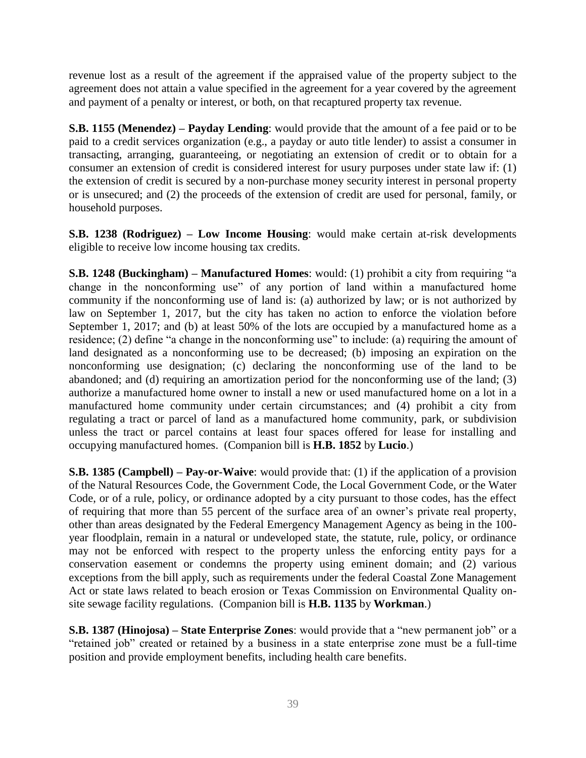revenue lost as a result of the agreement if the appraised value of the property subject to the agreement does not attain a value specified in the agreement for a year covered by the agreement and payment of a penalty or interest, or both, on that recaptured property tax revenue.

**S.B. 1155 (Menendez) – Payday Lending**: would provide that the amount of a fee paid or to be paid to a credit services organization (e.g., a payday or auto title lender) to assist a consumer in transacting, arranging, guaranteeing, or negotiating an extension of credit or to obtain for a consumer an extension of credit is considered interest for usury purposes under state law if: (1) the extension of credit is secured by a non-purchase money security interest in personal property or is unsecured; and (2) the proceeds of the extension of credit are used for personal, family, or household purposes.

**S.B. 1238 (Rodriguez) – Low Income Housing**: would make certain at-risk developments eligible to receive low income housing tax credits.

**S.B. 1248 (Buckingham) – Manufactured Homes**: would: (1) prohibit a city from requiring "a change in the nonconforming use" of any portion of land within a manufactured home community if the nonconforming use of land is: (a) authorized by law; or is not authorized by law on September 1, 2017, but the city has taken no action to enforce the violation before September 1, 2017; and (b) at least 50% of the lots are occupied by a manufactured home as a residence; (2) define "a change in the nonconforming use" to include: (a) requiring the amount of land designated as a nonconforming use to be decreased; (b) imposing an expiration on the nonconforming use designation; (c) declaring the nonconforming use of the land to be abandoned; and (d) requiring an amortization period for the nonconforming use of the land; (3) authorize a manufactured home owner to install a new or used manufactured home on a lot in a manufactured home community under certain circumstances; and (4) prohibit a city from regulating a tract or parcel of land as a manufactured home community, park, or subdivision unless the tract or parcel contains at least four spaces offered for lease for installing and occupying manufactured homes. (Companion bill is **H.B. 1852** by **Lucio**.)

**S.B. 1385 (Campbell) – Pay-or-Waive**: would provide that: (1) if the application of a provision of the Natural Resources Code, the Government Code, the Local Government Code, or the Water Code, or of a rule, policy, or ordinance adopted by a city pursuant to those codes, has the effect of requiring that more than 55 percent of the surface area of an owner's private real property, other than areas designated by the Federal Emergency Management Agency as being in the 100 year floodplain, remain in a natural or undeveloped state, the statute, rule, policy, or ordinance may not be enforced with respect to the property unless the enforcing entity pays for a conservation easement or condemns the property using eminent domain; and (2) various exceptions from the bill apply, such as requirements under the federal Coastal Zone Management Act or state laws related to beach erosion or Texas Commission on Environmental Quality onsite sewage facility regulations. (Companion bill is **H.B. 1135** by **Workman**.)

**S.B. 1387 (Hinojosa) – State Enterprise Zones**: would provide that a "new permanent job" or a "retained job" created or retained by a business in a state enterprise zone must be a full-time position and provide employment benefits, including health care benefits.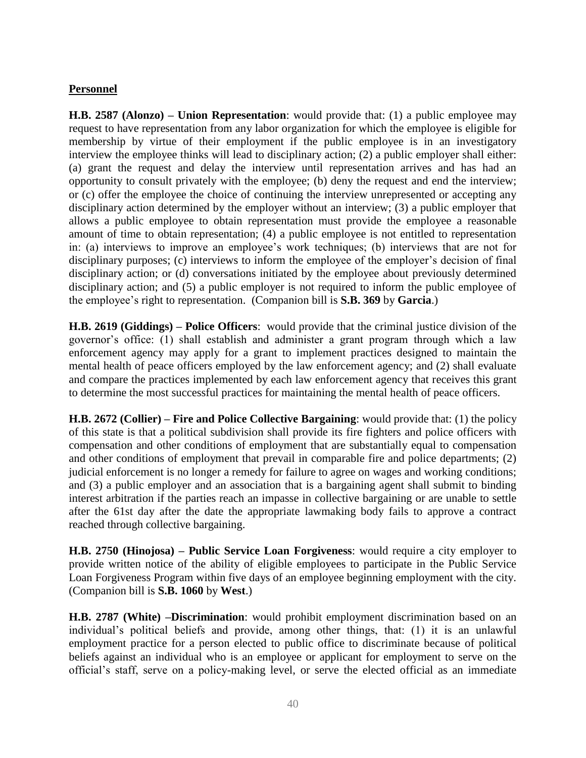### **Personnel**

**H.B. 2587 (Alonzo) – Union Representation**: would provide that: (1) a public employee may request to have representation from any labor organization for which the employee is eligible for membership by virtue of their employment if the public employee is in an investigatory interview the employee thinks will lead to disciplinary action; (2) a public employer shall either: (a) grant the request and delay the interview until representation arrives and has had an opportunity to consult privately with the employee; (b) deny the request and end the interview; or (c) offer the employee the choice of continuing the interview unrepresented or accepting any disciplinary action determined by the employer without an interview; (3) a public employer that allows a public employee to obtain representation must provide the employee a reasonable amount of time to obtain representation; (4) a public employee is not entitled to representation in: (a) interviews to improve an employee's work techniques; (b) interviews that are not for disciplinary purposes; (c) interviews to inform the employee of the employer's decision of final disciplinary action; or (d) conversations initiated by the employee about previously determined disciplinary action; and (5) a public employer is not required to inform the public employee of the employee's right to representation. (Companion bill is **S.B. 369** by **Garcia**.)

**H.B. 2619 (Giddings) – Police Officers**: would provide that the criminal justice division of the governor's office: (1) shall establish and administer a grant program through which a law enforcement agency may apply for a grant to implement practices designed to maintain the mental health of peace officers employed by the law enforcement agency; and (2) shall evaluate and compare the practices implemented by each law enforcement agency that receives this grant to determine the most successful practices for maintaining the mental health of peace officers.

**H.B. 2672 (Collier) – Fire and Police Collective Bargaining**: would provide that: (1) the policy of this state is that a political subdivision shall provide its fire fighters and police officers with compensation and other conditions of employment that are substantially equal to compensation and other conditions of employment that prevail in comparable fire and police departments; (2) judicial enforcement is no longer a remedy for failure to agree on wages and working conditions; and (3) a public employer and an association that is a bargaining agent shall submit to binding interest arbitration if the parties reach an impasse in collective bargaining or are unable to settle after the 61st day after the date the appropriate lawmaking body fails to approve a contract reached through collective bargaining.

**H.B. 2750 (Hinojosa) – Public Service Loan Forgiveness**: would require a city employer to provide written notice of the ability of eligible employees to participate in the Public Service Loan Forgiveness Program within five days of an employee beginning employment with the city. (Companion bill is **S.B. 1060** by **West**.)

**H.B. 2787 (White) –Discrimination**: would prohibit employment discrimination based on an individual's political beliefs and provide, among other things, that: (1) it is an unlawful employment practice for a person elected to public office to discriminate because of political beliefs against an individual who is an employee or applicant for employment to serve on the official's staff, serve on a policy-making level, or serve the elected official as an immediate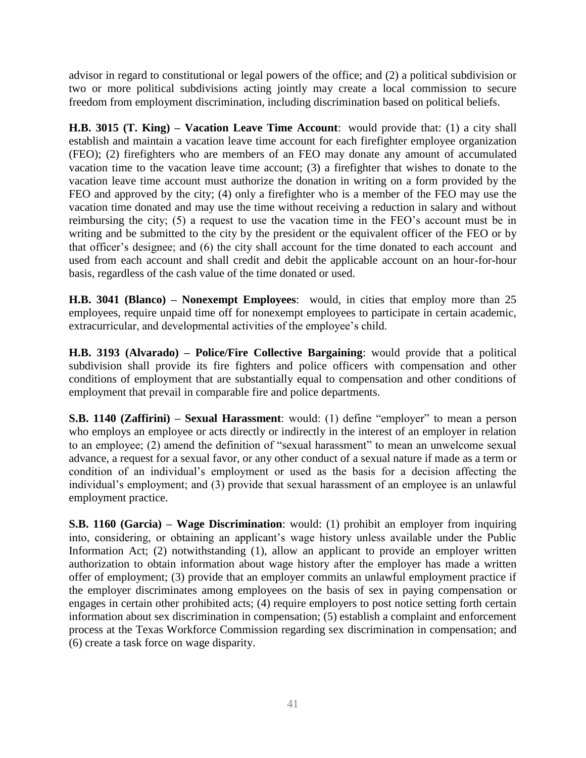advisor in regard to constitutional or legal powers of the office; and (2) a political subdivision or two or more political subdivisions acting jointly may create a local commission to secure freedom from employment discrimination, including discrimination based on political beliefs.

**H.B. 3015 (T. King) – Vacation Leave Time Account**: would provide that: (1) a city shall establish and maintain a vacation leave time account for each firefighter employee organization (FEO); (2) firefighters who are members of an FEO may donate any amount of accumulated vacation time to the vacation leave time account; (3) a firefighter that wishes to donate to the vacation leave time account must authorize the donation in writing on a form provided by the FEO and approved by the city; (4) only a firefighter who is a member of the FEO may use the vacation time donated and may use the time without receiving a reduction in salary and without reimbursing the city; (5) a request to use the vacation time in the FEO's account must be in writing and be submitted to the city by the president or the equivalent officer of the FEO or by that officer's designee; and (6) the city shall account for the time donated to each account and used from each account and shall credit and debit the applicable account on an hour-for-hour basis, regardless of the cash value of the time donated or used.

**H.B. 3041 (Blanco) – Nonexempt Employees**: would, in cities that employ more than 25 employees, require unpaid time off for nonexempt employees to participate in certain academic, extracurricular, and developmental activities of the employee's child.

**H.B. 3193 (Alvarado) – Police/Fire Collective Bargaining**: would provide that a political subdivision shall provide its fire fighters and police officers with compensation and other conditions of employment that are substantially equal to compensation and other conditions of employment that prevail in comparable fire and police departments.

**S.B. 1140 (Zaffirini) – Sexual Harassment**: would: (1) define "employer" to mean a person who employs an employee or acts directly or indirectly in the interest of an employer in relation to an employee; (2) amend the definition of "sexual harassment" to mean an unwelcome sexual advance, a request for a sexual favor, or any other conduct of a sexual nature if made as a term or condition of an individual's employment or used as the basis for a decision affecting the individual's employment; and (3) provide that sexual harassment of an employee is an unlawful employment practice.

**S.B. 1160 (Garcia) – Wage Discrimination**: would: (1) prohibit an employer from inquiring into, considering, or obtaining an applicant's wage history unless available under the Public Information Act; (2) notwithstanding (1), allow an applicant to provide an employer written authorization to obtain information about wage history after the employer has made a written offer of employment; (3) provide that an employer commits an unlawful employment practice if the employer discriminates among employees on the basis of sex in paying compensation or engages in certain other prohibited acts; (4) require employers to post notice setting forth certain information about sex discrimination in compensation; (5) establish a complaint and enforcement process at the Texas Workforce Commission regarding sex discrimination in compensation; and (6) create a task force on wage disparity.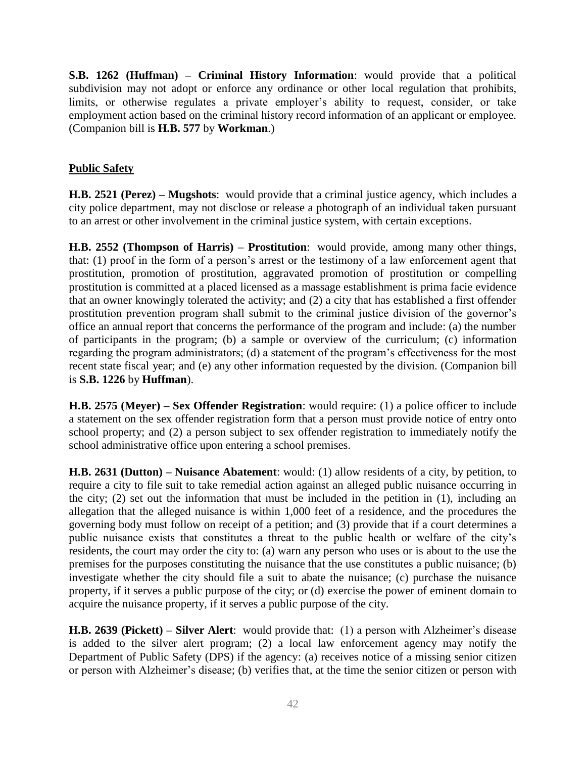**S.B. 1262 (Huffman) – Criminal History Information**: would provide that a political subdivision may not adopt or enforce any ordinance or other local regulation that prohibits, limits, or otherwise regulates a private employer's ability to request, consider, or take employment action based on the criminal history record information of an applicant or employee. (Companion bill is **H.B. 577** by **Workman**.)

### **Public Safety**

**H.B. 2521 (Perez) – Mugshots**: would provide that a criminal justice agency, which includes a city police department, may not disclose or release a photograph of an individual taken pursuant to an arrest or other involvement in the criminal justice system, with certain exceptions.

**H.B. 2552 (Thompson of Harris) – Prostitution**: would provide, among many other things, that: (1) proof in the form of a person's arrest or the testimony of a law enforcement agent that prostitution, promotion of prostitution, aggravated promotion of prostitution or compelling prostitution is committed at a placed licensed as a massage establishment is prima facie evidence that an owner knowingly tolerated the activity; and (2) a city that has established a first offender prostitution prevention program shall submit to the criminal justice division of the governor's office an annual report that concerns the performance of the program and include: (a) the number of participants in the program; (b) a sample or overview of the curriculum; (c) information regarding the program administrators; (d) a statement of the program's effectiveness for the most recent state fiscal year; and (e) any other information requested by the division. (Companion bill is **S.B. 1226** by **Huffman**).

**H.B. 2575 (Meyer) – Sex Offender Registration**: would require: (1) a police officer to include a statement on the sex offender registration form that a person must provide notice of entry onto school property; and (2) a person subject to sex offender registration to immediately notify the school administrative office upon entering a school premises.

**H.B. 2631 (Dutton) – Nuisance Abatement**: would: (1) allow residents of a city, by petition, to require a city to file suit to take remedial action against an alleged public nuisance occurring in the city; (2) set out the information that must be included in the petition in (1), including an allegation that the alleged nuisance is within 1,000 feet of a residence, and the procedures the governing body must follow on receipt of a petition; and (3) provide that if a court determines a public nuisance exists that constitutes a threat to the public health or welfare of the city's residents, the court may order the city to: (a) warn any person who uses or is about to the use the premises for the purposes constituting the nuisance that the use constitutes a public nuisance; (b) investigate whether the city should file a suit to abate the nuisance; (c) purchase the nuisance property, if it serves a public purpose of the city; or (d) exercise the power of eminent domain to acquire the nuisance property, if it serves a public purpose of the city.

**H.B. 2639 (Pickett) – Silver Alert**: would provide that: (1) a person with Alzheimer's disease is added to the silver alert program; (2) a local law enforcement agency may notify the Department of Public Safety (DPS) if the agency: (a) receives notice of a missing senior citizen or person with Alzheimer's disease; (b) verifies that, at the time the senior citizen or person with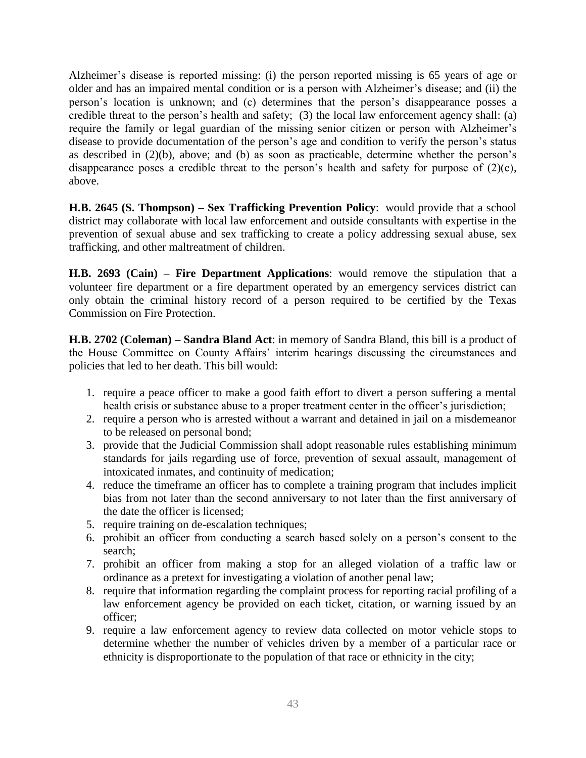Alzheimer's disease is reported missing: (i) the person reported missing is 65 years of age or older and has an impaired mental condition or is a person with Alzheimer's disease; and (ii) the person's location is unknown; and (c) determines that the person's disappearance posses a credible threat to the person's health and safety; (3) the local law enforcement agency shall: (a) require the family or legal guardian of the missing senior citizen or person with Alzheimer's disease to provide documentation of the person's age and condition to verify the person's status as described in (2)(b), above; and (b) as soon as practicable, determine whether the person's disappearance poses a credible threat to the person's health and safety for purpose of (2)(c), above.

**H.B. 2645 (S. Thompson) – Sex Trafficking Prevention Policy**: would provide that a school district may collaborate with local law enforcement and outside consultants with expertise in the prevention of sexual abuse and sex trafficking to create a policy addressing sexual abuse, sex trafficking, and other maltreatment of children.

**H.B. 2693 (Cain) – Fire Department Applications**: would remove the stipulation that a volunteer fire department or a fire department operated by an emergency services district can only obtain the criminal history record of a person required to be certified by the Texas Commission on Fire Protection.

**H.B. 2702 (Coleman) – Sandra Bland Act**: in memory of Sandra Bland, this bill is a product of the House Committee on County Affairs' interim hearings discussing the circumstances and policies that led to her death. This bill would:

- 1. require a peace officer to make a good faith effort to divert a person suffering a mental health crisis or substance abuse to a proper treatment center in the officer's jurisdiction;
- 2. require a person who is arrested without a warrant and detained in jail on a misdemeanor to be released on personal bond;
- 3. provide that the Judicial Commission shall adopt reasonable rules establishing minimum standards for jails regarding use of force, prevention of sexual assault, management of intoxicated inmates, and continuity of medication;
- 4. reduce the timeframe an officer has to complete a training program that includes implicit bias from not later than the second anniversary to not later than the first anniversary of the date the officer is licensed;
- 5. require training on de-escalation techniques;
- 6. prohibit an officer from conducting a search based solely on a person's consent to the search;
- 7. prohibit an officer from making a stop for an alleged violation of a traffic law or ordinance as a pretext for investigating a violation of another penal law;
- 8. require that information regarding the complaint process for reporting racial profiling of a law enforcement agency be provided on each ticket, citation, or warning issued by an officer;
- 9. require a law enforcement agency to review data collected on motor vehicle stops to determine whether the number of vehicles driven by a member of a particular race or ethnicity is disproportionate to the population of that race or ethnicity in the city;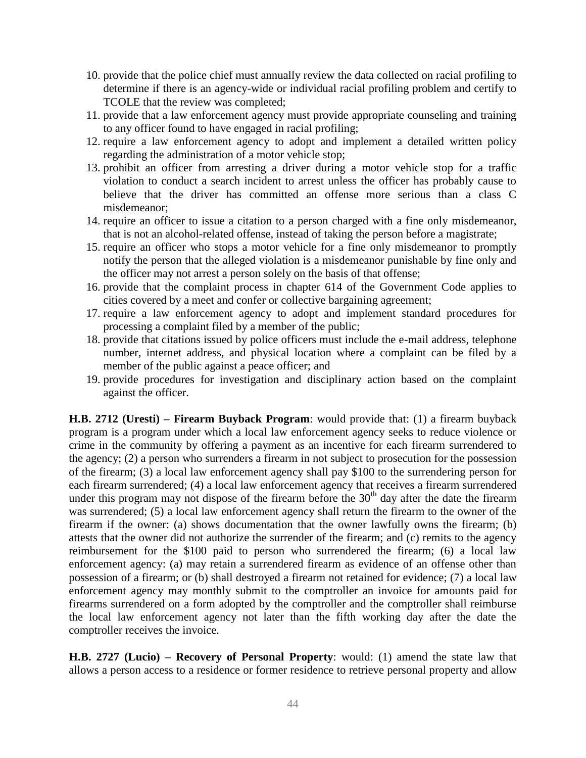- 10. provide that the police chief must annually review the data collected on racial profiling to determine if there is an agency-wide or individual racial profiling problem and certify to TCOLE that the review was completed;
- 11. provide that a law enforcement agency must provide appropriate counseling and training to any officer found to have engaged in racial profiling;
- 12. require a law enforcement agency to adopt and implement a detailed written policy regarding the administration of a motor vehicle stop;
- 13. prohibit an officer from arresting a driver during a motor vehicle stop for a traffic violation to conduct a search incident to arrest unless the officer has probably cause to believe that the driver has committed an offense more serious than a class C misdemeanor;
- 14. require an officer to issue a citation to a person charged with a fine only misdemeanor, that is not an alcohol-related offense, instead of taking the person before a magistrate;
- 15. require an officer who stops a motor vehicle for a fine only misdemeanor to promptly notify the person that the alleged violation is a misdemeanor punishable by fine only and the officer may not arrest a person solely on the basis of that offense;
- 16. provide that the complaint process in chapter 614 of the Government Code applies to cities covered by a meet and confer or collective bargaining agreement;
- 17. require a law enforcement agency to adopt and implement standard procedures for processing a complaint filed by a member of the public;
- 18. provide that citations issued by police officers must include the e-mail address, telephone number, internet address, and physical location where a complaint can be filed by a member of the public against a peace officer; and
- 19. provide procedures for investigation and disciplinary action based on the complaint against the officer.

**H.B. 2712 (Uresti) – Firearm Buyback Program**: would provide that: (1) a firearm buyback program is a program under which a local law enforcement agency seeks to reduce violence or crime in the community by offering a payment as an incentive for each firearm surrendered to the agency; (2) a person who surrenders a firearm in not subject to prosecution for the possession of the firearm; (3) a local law enforcement agency shall pay \$100 to the surrendering person for each firearm surrendered; (4) a local law enforcement agency that receives a firearm surrendered under this program may not dispose of the firearm before the  $30<sup>th</sup>$  day after the date the firearm was surrendered; (5) a local law enforcement agency shall return the firearm to the owner of the firearm if the owner: (a) shows documentation that the owner lawfully owns the firearm; (b) attests that the owner did not authorize the surrender of the firearm; and (c) remits to the agency reimbursement for the \$100 paid to person who surrendered the firearm; (6) a local law enforcement agency: (a) may retain a surrendered firearm as evidence of an offense other than possession of a firearm; or (b) shall destroyed a firearm not retained for evidence; (7) a local law enforcement agency may monthly submit to the comptroller an invoice for amounts paid for firearms surrendered on a form adopted by the comptroller and the comptroller shall reimburse the local law enforcement agency not later than the fifth working day after the date the comptroller receives the invoice.

**H.B. 2727 (Lucio) – Recovery of Personal Property**: would: (1) amend the state law that allows a person access to a residence or former residence to retrieve personal property and allow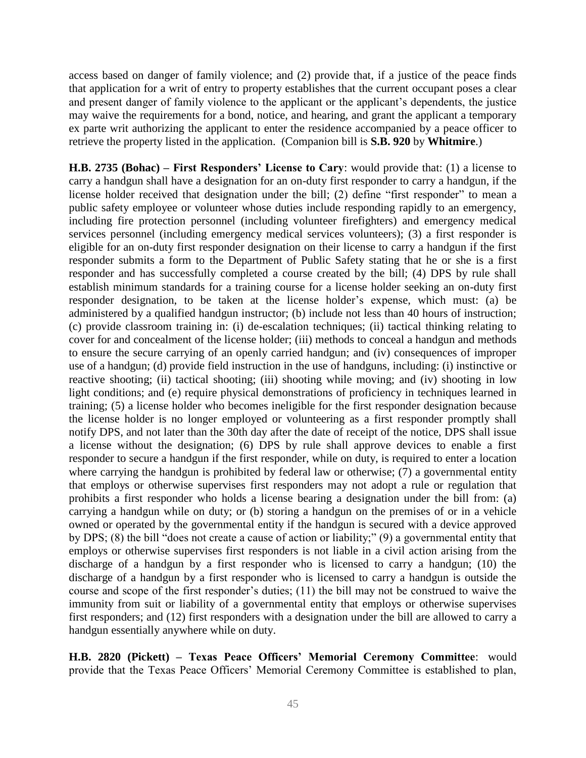access based on danger of family violence; and (2) provide that, if a justice of the peace finds that application for a writ of entry to property establishes that the current occupant poses a clear and present danger of family violence to the applicant or the applicant's dependents, the justice may waive the requirements for a bond, notice, and hearing, and grant the applicant a temporary ex parte writ authorizing the applicant to enter the residence accompanied by a peace officer to retrieve the property listed in the application. (Companion bill is **S.B. 920** by **Whitmire**.)

**H.B. 2735 (Bohac) – First Responders' License to Cary**: would provide that: (1) a license to carry a handgun shall have a designation for an on-duty first responder to carry a handgun, if the license holder received that designation under the bill; (2) define "first responder" to mean a public safety employee or volunteer whose duties include responding rapidly to an emergency, including fire protection personnel (including volunteer firefighters) and emergency medical services personnel (including emergency medical services volunteers); (3) a first responder is eligible for an on-duty first responder designation on their license to carry a handgun if the first responder submits a form to the Department of Public Safety stating that he or she is a first responder and has successfully completed a course created by the bill; (4) DPS by rule shall establish minimum standards for a training course for a license holder seeking an on-duty first responder designation, to be taken at the license holder's expense, which must: (a) be administered by a qualified handgun instructor; (b) include not less than 40 hours of instruction; (c) provide classroom training in: (i) de-escalation techniques; (ii) tactical thinking relating to cover for and concealment of the license holder; (iii) methods to conceal a handgun and methods to ensure the secure carrying of an openly carried handgun; and (iv) consequences of improper use of a handgun; (d) provide field instruction in the use of handguns, including: (i) instinctive or reactive shooting; (ii) tactical shooting; (iii) shooting while moving; and (iv) shooting in low light conditions; and (e) require physical demonstrations of proficiency in techniques learned in training; (5) a license holder who becomes ineligible for the first responder designation because the license holder is no longer employed or volunteering as a first responder promptly shall notify DPS, and not later than the 30th day after the date of receipt of the notice, DPS shall issue a license without the designation; (6) DPS by rule shall approve devices to enable a first responder to secure a handgun if the first responder, while on duty, is required to enter a location where carrying the handgun is prohibited by federal law or otherwise; (7) a governmental entity that employs or otherwise supervises first responders may not adopt a rule or regulation that prohibits a first responder who holds a license bearing a designation under the bill from: (a) carrying a handgun while on duty; or (b) storing a handgun on the premises of or in a vehicle owned or operated by the governmental entity if the handgun is secured with a device approved by DPS; (8) the bill "does not create a cause of action or liability;" (9) a governmental entity that employs or otherwise supervises first responders is not liable in a civil action arising from the discharge of a handgun by a first responder who is licensed to carry a handgun; (10) the discharge of a handgun by a first responder who is licensed to carry a handgun is outside the course and scope of the first responder's duties; (11) the bill may not be construed to waive the immunity from suit or liability of a governmental entity that employs or otherwise supervises first responders; and (12) first responders with a designation under the bill are allowed to carry a handgun essentially anywhere while on duty.

**H.B. 2820 (Pickett) – Texas Peace Officers' Memorial Ceremony Committee**: would provide that the Texas Peace Officers' Memorial Ceremony Committee is established to plan,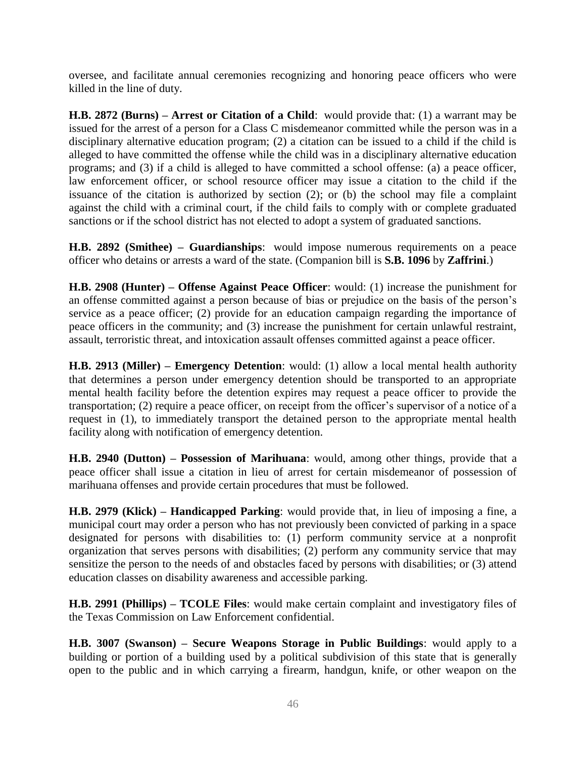oversee, and facilitate annual ceremonies recognizing and honoring peace officers who were killed in the line of duty.

**H.B. 2872 (Burns) – Arrest or Citation of a Child**: would provide that: (1) a warrant may be issued for the arrest of a person for a Class C misdemeanor committed while the person was in a disciplinary alternative education program; (2) a citation can be issued to a child if the child is alleged to have committed the offense while the child was in a disciplinary alternative education programs; and (3) if a child is alleged to have committed a school offense: (a) a peace officer, law enforcement officer, or school resource officer may issue a citation to the child if the issuance of the citation is authorized by section (2); or (b) the school may file a complaint against the child with a criminal court, if the child fails to comply with or complete graduated sanctions or if the school district has not elected to adopt a system of graduated sanctions.

**H.B. 2892 (Smithee) – Guardianships**: would impose numerous requirements on a peace officer who detains or arrests a ward of the state. (Companion bill is **S.B. 1096** by **Zaffrini**.)

**H.B. 2908 (Hunter) – Offense Against Peace Officer**: would: (1) increase the punishment for an offense committed against a person because of bias or prejudice on the basis of the person's service as a peace officer; (2) provide for an education campaign regarding the importance of peace officers in the community; and (3) increase the punishment for certain unlawful restraint, assault, terroristic threat, and intoxication assault offenses committed against a peace officer.

**H.B. 2913 (Miller) – Emergency Detention**: would: (1) allow a local mental health authority that determines a person under emergency detention should be transported to an appropriate mental health facility before the detention expires may request a peace officer to provide the transportation; (2) require a peace officer, on receipt from the officer's supervisor of a notice of a request in (1), to immediately transport the detained person to the appropriate mental health facility along with notification of emergency detention.

**H.B. 2940 (Dutton) – Possession of Marihuana**: would, among other things, provide that a peace officer shall issue a citation in lieu of arrest for certain misdemeanor of possession of marihuana offenses and provide certain procedures that must be followed.

**H.B. 2979 (Klick) – Handicapped Parking**: would provide that, in lieu of imposing a fine, a municipal court may order a person who has not previously been convicted of parking in a space designated for persons with disabilities to: (1) perform community service at a nonprofit organization that serves persons with disabilities; (2) perform any community service that may sensitize the person to the needs of and obstacles faced by persons with disabilities; or (3) attend education classes on disability awareness and accessible parking.

**H.B. 2991 (Phillips) – TCOLE Files**: would make certain complaint and investigatory files of the Texas Commission on Law Enforcement confidential.

**H.B. 3007 (Swanson) – Secure Weapons Storage in Public Buildings**: would apply to a building or portion of a building used by a political subdivision of this state that is generally open to the public and in which carrying a firearm, handgun, knife, or other weapon on the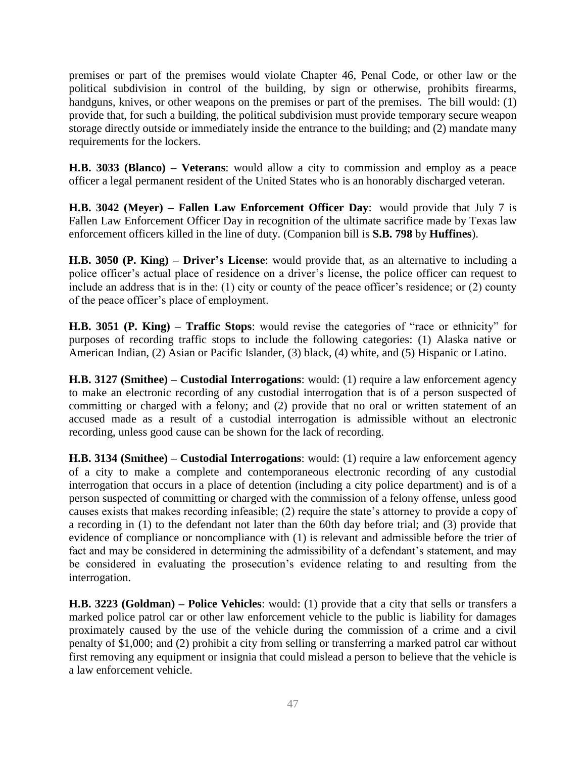premises or part of the premises would violate Chapter 46, Penal Code, or other law or the political subdivision in control of the building, by sign or otherwise, prohibits firearms, handguns, knives, or other weapons on the premises or part of the premises. The bill would: (1) provide that, for such a building, the political subdivision must provide temporary secure weapon storage directly outside or immediately inside the entrance to the building; and (2) mandate many requirements for the lockers.

**H.B. 3033 (Blanco) – Veterans**: would allow a city to commission and employ as a peace officer a legal permanent resident of the United States who is an honorably discharged veteran.

**H.B. 3042 (Meyer) – Fallen Law Enforcement Officer Day**: would provide that July 7 is Fallen Law Enforcement Officer Day in recognition of the ultimate sacrifice made by Texas law enforcement officers killed in the line of duty. (Companion bill is **S.B. 798** by **Huffines**).

**H.B. 3050 (P. King) – Driver's License**: would provide that, as an alternative to including a police officer's actual place of residence on a driver's license, the police officer can request to include an address that is in the: (1) city or county of the peace officer's residence; or (2) county of the peace officer's place of employment.

**H.B. 3051 (P. King) – Traffic Stops**: would revise the categories of "race or ethnicity" for purposes of recording traffic stops to include the following categories: (1) Alaska native or American Indian, (2) Asian or Pacific Islander, (3) black, (4) white, and (5) Hispanic or Latino.

**H.B. 3127 (Smithee) – Custodial Interrogations**: would: (1) require a law enforcement agency to make an electronic recording of any custodial interrogation that is of a person suspected of committing or charged with a felony; and (2) provide that no oral or written statement of an accused made as a result of a custodial interrogation is admissible without an electronic recording, unless good cause can be shown for the lack of recording.

**H.B. 3134 (Smithee) – Custodial Interrogations**: would: (1) require a law enforcement agency of a city to make a complete and contemporaneous electronic recording of any custodial interrogation that occurs in a place of detention (including a city police department) and is of a person suspected of committing or charged with the commission of a felony offense, unless good causes exists that makes recording infeasible; (2) require the state's attorney to provide a copy of a recording in (1) to the defendant not later than the 60th day before trial; and (3) provide that evidence of compliance or noncompliance with (1) is relevant and admissible before the trier of fact and may be considered in determining the admissibility of a defendant's statement, and may be considered in evaluating the prosecution's evidence relating to and resulting from the interrogation.

**H.B. 3223 (Goldman) – Police Vehicles**: would: (1) provide that a city that sells or transfers a marked police patrol car or other law enforcement vehicle to the public is liability for damages proximately caused by the use of the vehicle during the commission of a crime and a civil penalty of \$1,000; and (2) prohibit a city from selling or transferring a marked patrol car without first removing any equipment or insignia that could mislead a person to believe that the vehicle is a law enforcement vehicle.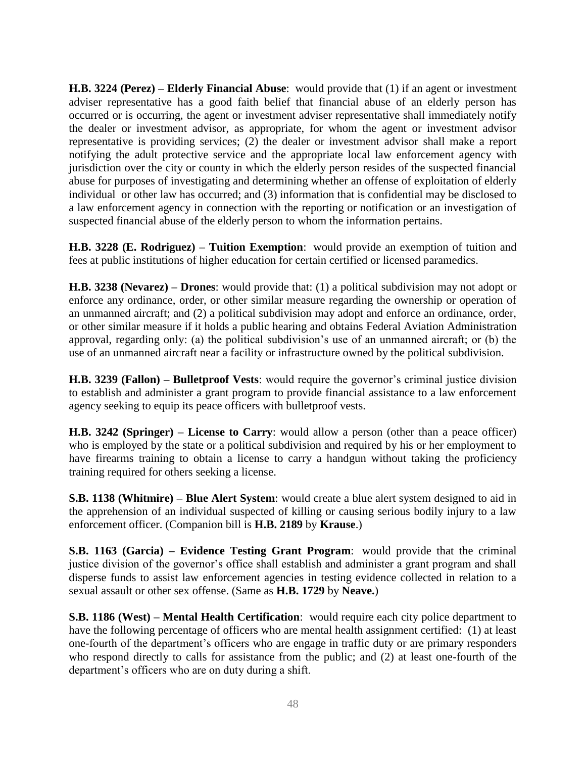**H.B. 3224 (Perez) – Elderly Financial Abuse**: would provide that (1) if an agent or investment adviser representative has a good faith belief that financial abuse of an elderly person has occurred or is occurring, the agent or investment adviser representative shall immediately notify the dealer or investment advisor, as appropriate, for whom the agent or investment advisor representative is providing services; (2) the dealer or investment advisor shall make a report notifying the adult protective service and the appropriate local law enforcement agency with jurisdiction over the city or county in which the elderly person resides of the suspected financial abuse for purposes of investigating and determining whether an offense of exploitation of elderly individual or other law has occurred; and (3) information that is confidential may be disclosed to a law enforcement agency in connection with the reporting or notification or an investigation of suspected financial abuse of the elderly person to whom the information pertains.

**H.B. 3228 (E. Rodriguez) – Tuition Exemption**: would provide an exemption of tuition and fees at public institutions of higher education for certain certified or licensed paramedics.

**H.B. 3238 (Nevarez) – Drones**: would provide that: (1) a political subdivision may not adopt or enforce any ordinance, order, or other similar measure regarding the ownership or operation of an unmanned aircraft; and (2) a political subdivision may adopt and enforce an ordinance, order, or other similar measure if it holds a public hearing and obtains Federal Aviation Administration approval, regarding only: (a) the political subdivision's use of an unmanned aircraft; or (b) the use of an unmanned aircraft near a facility or infrastructure owned by the political subdivision.

**H.B. 3239 (Fallon) – Bulletproof Vests**: would require the governor's criminal justice division to establish and administer a grant program to provide financial assistance to a law enforcement agency seeking to equip its peace officers with bulletproof vests.

**H.B. 3242 (Springer) – License to Carry**: would allow a person (other than a peace officer) who is employed by the state or a political subdivision and required by his or her employment to have firearms training to obtain a license to carry a handgun without taking the proficiency training required for others seeking a license.

**S.B. 1138 (Whitmire) – Blue Alert System**: would create a blue alert system designed to aid in the apprehension of an individual suspected of killing or causing serious bodily injury to a law enforcement officer. (Companion bill is **H.B. 2189** by **Krause**.)

**S.B. 1163 (Garcia) – Evidence Testing Grant Program**: would provide that the criminal justice division of the governor's office shall establish and administer a grant program and shall disperse funds to assist law enforcement agencies in testing evidence collected in relation to a sexual assault or other sex offense. (Same as **H.B. 1729** by **Neave.**)

**S.B. 1186 (West) – Mental Health Certification**: would require each city police department to have the following percentage of officers who are mental health assignment certified: (1) at least one-fourth of the department's officers who are engage in traffic duty or are primary responders who respond directly to calls for assistance from the public; and (2) at least one-fourth of the department's officers who are on duty during a shift.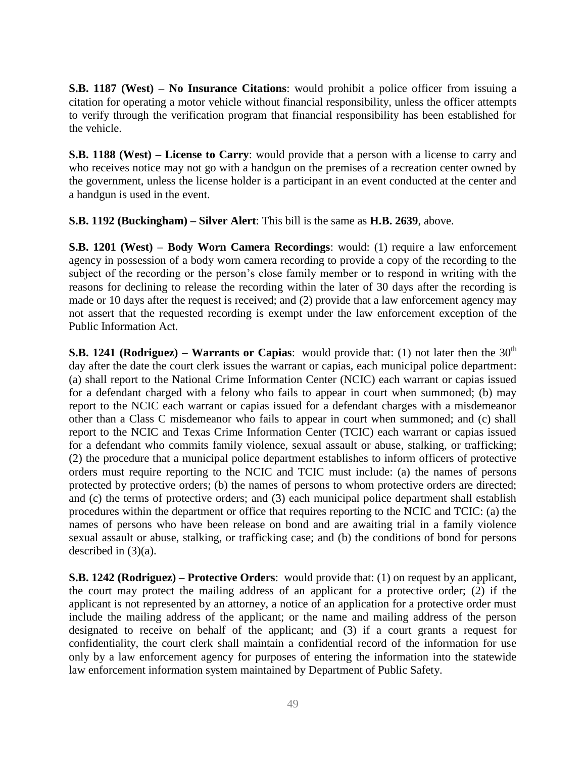**S.B. 1187 (West) – No Insurance Citations**: would prohibit a police officer from issuing a citation for operating a motor vehicle without financial responsibility, unless the officer attempts to verify through the verification program that financial responsibility has been established for the vehicle.

**S.B. 1188 (West) – License to Carry**: would provide that a person with a license to carry and who receives notice may not go with a handgun on the premises of a recreation center owned by the government, unless the license holder is a participant in an event conducted at the center and a handgun is used in the event.

**S.B. 1192 (Buckingham) – Silver Alert**: This bill is the same as **H.B. 2639**, above.

**S.B. 1201 (West) – Body Worn Camera Recordings**: would: (1) require a law enforcement agency in possession of a body worn camera recording to provide a copy of the recording to the subject of the recording or the person's close family member or to respond in writing with the reasons for declining to release the recording within the later of 30 days after the recording is made or 10 days after the request is received; and (2) provide that a law enforcement agency may not assert that the requested recording is exempt under the law enforcement exception of the Public Information Act.

**S.B. 1241 (Rodriguez) – Warrants or Capias:** would provide that: (1) not later then the  $30<sup>th</sup>$ day after the date the court clerk issues the warrant or capias, each municipal police department: (a) shall report to the National Crime Information Center (NCIC) each warrant or capias issued for a defendant charged with a felony who fails to appear in court when summoned; (b) may report to the NCIC each warrant or capias issued for a defendant charges with a misdemeanor other than a Class C misdemeanor who fails to appear in court when summoned; and (c) shall report to the NCIC and Texas Crime Information Center (TCIC) each warrant or capias issued for a defendant who commits family violence, sexual assault or abuse, stalking, or trafficking; (2) the procedure that a municipal police department establishes to inform officers of protective orders must require reporting to the NCIC and TCIC must include: (a) the names of persons protected by protective orders; (b) the names of persons to whom protective orders are directed; and (c) the terms of protective orders; and (3) each municipal police department shall establish procedures within the department or office that requires reporting to the NCIC and TCIC: (a) the names of persons who have been release on bond and are awaiting trial in a family violence sexual assault or abuse, stalking, or trafficking case; and (b) the conditions of bond for persons described in (3)(a).

**S.B. 1242 (Rodriguez) – Protective Orders**: would provide that: (1) on request by an applicant, the court may protect the mailing address of an applicant for a protective order; (2) if the applicant is not represented by an attorney, a notice of an application for a protective order must include the mailing address of the applicant; or the name and mailing address of the person designated to receive on behalf of the applicant; and (3) if a court grants a request for confidentiality, the court clerk shall maintain a confidential record of the information for use only by a law enforcement agency for purposes of entering the information into the statewide law enforcement information system maintained by Department of Public Safety.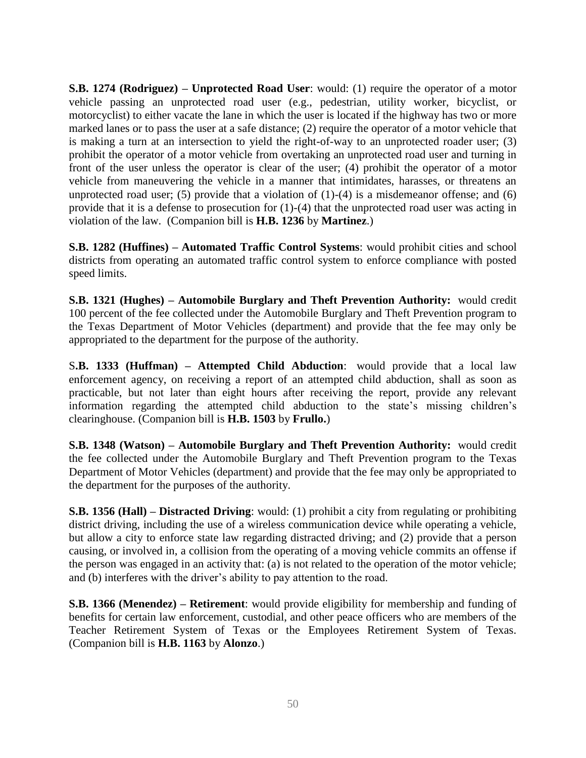**S.B. 1274 (Rodriguez) – Unprotected Road User**: would: (1) require the operator of a motor vehicle passing an unprotected road user (e.g., pedestrian, utility worker, bicyclist, or motorcyclist) to either vacate the lane in which the user is located if the highway has two or more marked lanes or to pass the user at a safe distance; (2) require the operator of a motor vehicle that is making a turn at an intersection to yield the right-of-way to an unprotected roader user; (3) prohibit the operator of a motor vehicle from overtaking an unprotected road user and turning in front of the user unless the operator is clear of the user; (4) prohibit the operator of a motor vehicle from maneuvering the vehicle in a manner that intimidates, harasses, or threatens an unprotected road user; (5) provide that a violation of  $(1)-(4)$  is a misdemeanor offense; and  $(6)$ provide that it is a defense to prosecution for (1)-(4) that the unprotected road user was acting in violation of the law. (Companion bill is **H.B. 1236** by **Martinez**.)

**S.B. 1282 (Huffines) – Automated Traffic Control Systems**: would prohibit cities and school districts from operating an automated traffic control system to enforce compliance with posted speed limits.

**S.B. 1321 (Hughes) – Automobile Burglary and Theft Prevention Authority:** would credit 100 percent of the fee collected under the Automobile Burglary and Theft Prevention program to the Texas Department of Motor Vehicles (department) and provide that the fee may only be appropriated to the department for the purpose of the authority.

S**.B. 1333 (Huffman) – Attempted Child Abduction**: would provide that a local law enforcement agency, on receiving a report of an attempted child abduction, shall as soon as practicable, but not later than eight hours after receiving the report, provide any relevant information regarding the attempted child abduction to the state's missing children's clearinghouse. (Companion bill is **H.B. 1503** by **Frullo.**)

**S.B. 1348 (Watson) – Automobile Burglary and Theft Prevention Authority:** would credit the fee collected under the Automobile Burglary and Theft Prevention program to the Texas Department of Motor Vehicles (department) and provide that the fee may only be appropriated to the department for the purposes of the authority.

**S.B. 1356 (Hall) – Distracted Driving**: would: (1) prohibit a city from regulating or prohibiting district driving, including the use of a wireless communication device while operating a vehicle, but allow a city to enforce state law regarding distracted driving; and (2) provide that a person causing, or involved in, a collision from the operating of a moving vehicle commits an offense if the person was engaged in an activity that: (a) is not related to the operation of the motor vehicle; and (b) interferes with the driver's ability to pay attention to the road.

**S.B. 1366 (Menendez) – Retirement**: would provide eligibility for membership and funding of benefits for certain law enforcement, custodial, and other peace officers who are members of the Teacher Retirement System of Texas or the Employees Retirement System of Texas. (Companion bill is **H.B. 1163** by **Alonzo**.)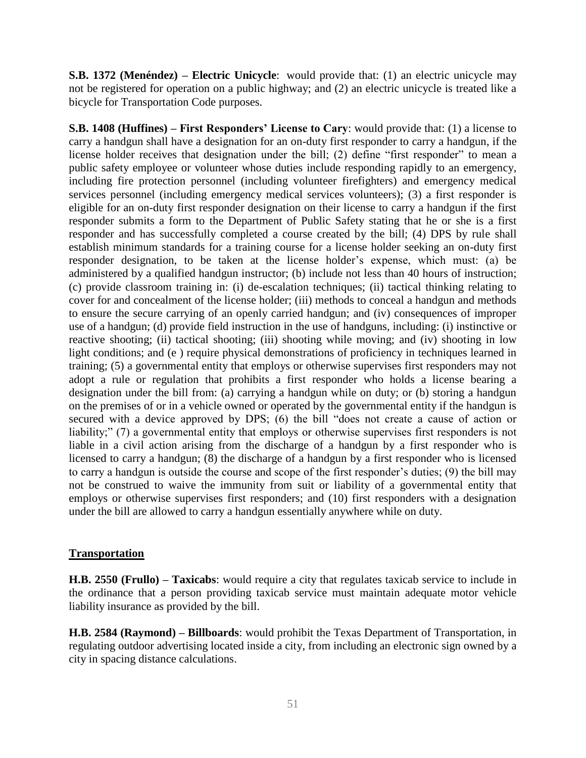**S.B. 1372 (Menéndez) – Electric Unicycle**: would provide that: (1) an electric unicycle may not be registered for operation on a public highway; and (2) an electric unicycle is treated like a bicycle for Transportation Code purposes.

**S.B. 1408 (Huffines) – First Responders' License to Cary**: would provide that: (1) a license to carry a handgun shall have a designation for an on-duty first responder to carry a handgun, if the license holder receives that designation under the bill; (2) define "first responder" to mean a public safety employee or volunteer whose duties include responding rapidly to an emergency, including fire protection personnel (including volunteer firefighters) and emergency medical services personnel (including emergency medical services volunteers); (3) a first responder is eligible for an on-duty first responder designation on their license to carry a handgun if the first responder submits a form to the Department of Public Safety stating that he or she is a first responder and has successfully completed a course created by the bill; (4) DPS by rule shall establish minimum standards for a training course for a license holder seeking an on-duty first responder designation, to be taken at the license holder's expense, which must: (a) be administered by a qualified handgun instructor; (b) include not less than 40 hours of instruction; (c) provide classroom training in: (i) de-escalation techniques; (ii) tactical thinking relating to cover for and concealment of the license holder; (iii) methods to conceal a handgun and methods to ensure the secure carrying of an openly carried handgun; and (iv) consequences of improper use of a handgun; (d) provide field instruction in the use of handguns, including: (i) instinctive or reactive shooting; (ii) tactical shooting; (iii) shooting while moving; and (iv) shooting in low light conditions; and (e ) require physical demonstrations of proficiency in techniques learned in training; (5) a governmental entity that employs or otherwise supervises first responders may not adopt a rule or regulation that prohibits a first responder who holds a license bearing a designation under the bill from: (a) carrying a handgun while on duty; or (b) storing a handgun on the premises of or in a vehicle owned or operated by the governmental entity if the handgun is secured with a device approved by DPS; (6) the bill "does not create a cause of action or liability;" (7) a governmental entity that employs or otherwise supervises first responders is not liable in a civil action arising from the discharge of a handgun by a first responder who is licensed to carry a handgun; (8) the discharge of a handgun by a first responder who is licensed to carry a handgun is outside the course and scope of the first responder's duties; (9) the bill may not be construed to waive the immunity from suit or liability of a governmental entity that employs or otherwise supervises first responders; and (10) first responders with a designation under the bill are allowed to carry a handgun essentially anywhere while on duty.

#### **Transportation**

**H.B. 2550 (Frullo) – Taxicabs**: would require a city that regulates taxicab service to include in the ordinance that a person providing taxicab service must maintain adequate motor vehicle liability insurance as provided by the bill.

**H.B. 2584 (Raymond) – Billboards**: would prohibit the Texas Department of Transportation, in regulating outdoor advertising located inside a city, from including an electronic sign owned by a city in spacing distance calculations.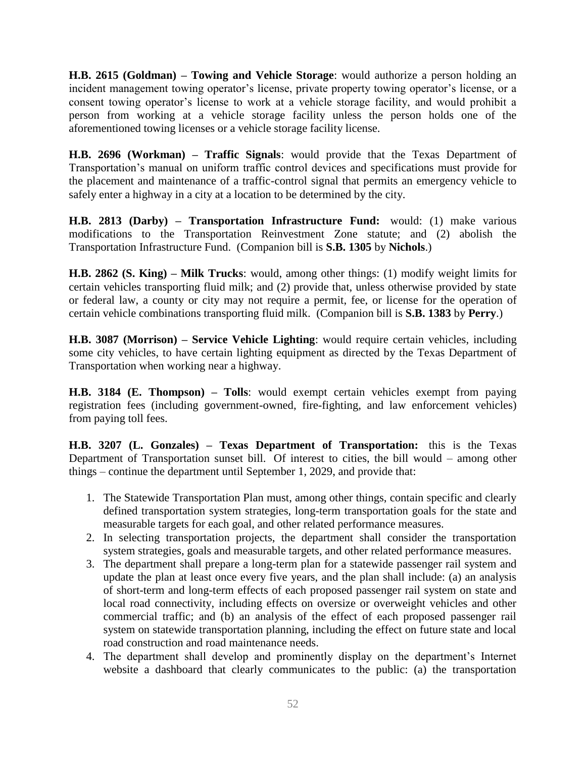**H.B. 2615 (Goldman) – Towing and Vehicle Storage**: would authorize a person holding an incident management towing operator's license, private property towing operator's license, or a consent towing operator's license to work at a vehicle storage facility, and would prohibit a person from working at a vehicle storage facility unless the person holds one of the aforementioned towing licenses or a vehicle storage facility license.

**H.B. 2696 (Workman) – Traffic Signals**: would provide that the Texas Department of Transportation's manual on uniform traffic control devices and specifications must provide for the placement and maintenance of a traffic-control signal that permits an emergency vehicle to safely enter a highway in a city at a location to be determined by the city.

**H.B. 2813 (Darby) – Transportation Infrastructure Fund:** would: (1) make various modifications to the Transportation Reinvestment Zone statute; and (2) abolish the Transportation Infrastructure Fund. (Companion bill is **S.B. 1305** by **Nichols**.)

**H.B. 2862 (S. King) – Milk Trucks**: would, among other things: (1) modify weight limits for certain vehicles transporting fluid milk; and (2) provide that, unless otherwise provided by state or federal law, a county or city may not require a permit, fee, or license for the operation of certain vehicle combinations transporting fluid milk. (Companion bill is **S.B. 1383** by **Perry**.)

**H.B. 3087 (Morrison) – Service Vehicle Lighting**: would require certain vehicles, including some city vehicles, to have certain lighting equipment as directed by the Texas Department of Transportation when working near a highway.

**H.B. 3184 (E. Thompson) – Tolls**: would exempt certain vehicles exempt from paying registration fees (including government-owned, fire-fighting, and law enforcement vehicles) from paying toll fees.

**H.B. 3207 (L. Gonzales) – Texas Department of Transportation:** this is the Texas Department of Transportation sunset bill. Of interest to cities, the bill would – among other things – continue the department until September 1, 2029, and provide that:

- 1. The Statewide Transportation Plan must, among other things, contain specific and clearly defined transportation system strategies, long-term transportation goals for the state and measurable targets for each goal, and other related performance measures.
- 2. In selecting transportation projects, the department shall consider the transportation system strategies, goals and measurable targets, and other related performance measures.
- 3. The department shall prepare a long-term plan for a statewide passenger rail system and update the plan at least once every five years, and the plan shall include: (a) an analysis of short-term and long-term effects of each proposed passenger rail system on state and local road connectivity, including effects on oversize or overweight vehicles and other commercial traffic; and (b) an analysis of the effect of each proposed passenger rail system on statewide transportation planning, including the effect on future state and local road construction and road maintenance needs.
- 4. The department shall develop and prominently display on the department's Internet website a dashboard that clearly communicates to the public: (a) the transportation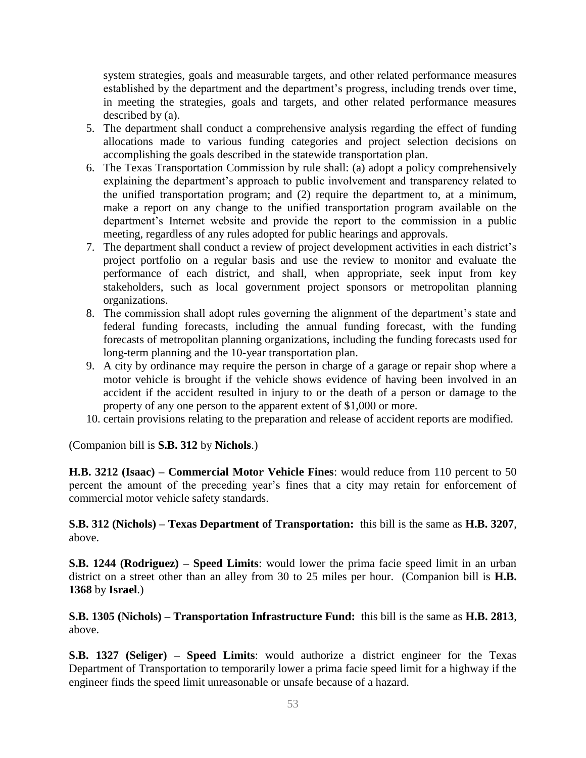system strategies, goals and measurable targets, and other related performance measures established by the department and the department's progress, including trends over time, in meeting the strategies, goals and targets, and other related performance measures described by (a).

- 5. The department shall conduct a comprehensive analysis regarding the effect of funding allocations made to various funding categories and project selection decisions on accomplishing the goals described in the statewide transportation plan.
- 6. The Texas Transportation Commission by rule shall: (a) adopt a policy comprehensively explaining the department's approach to public involvement and transparency related to the unified transportation program; and (2) require the department to, at a minimum, make a report on any change to the unified transportation program available on the department's Internet website and provide the report to the commission in a public meeting, regardless of any rules adopted for public hearings and approvals.
- 7. The department shall conduct a review of project development activities in each district's project portfolio on a regular basis and use the review to monitor and evaluate the performance of each district, and shall, when appropriate, seek input from key stakeholders, such as local government project sponsors or metropolitan planning organizations.
- 8. The commission shall adopt rules governing the alignment of the department's state and federal funding forecasts, including the annual funding forecast, with the funding forecasts of metropolitan planning organizations, including the funding forecasts used for long-term planning and the 10-year transportation plan.
- 9. A city by ordinance may require the person in charge of a garage or repair shop where a motor vehicle is brought if the vehicle shows evidence of having been involved in an accident if the accident resulted in injury to or the death of a person or damage to the property of any one person to the apparent extent of \$1,000 or more.
- 10. certain provisions relating to the preparation and release of accident reports are modified.

(Companion bill is **S.B. 312** by **Nichols**.)

**H.B. 3212 (Isaac) – Commercial Motor Vehicle Fines**: would reduce from 110 percent to 50 percent the amount of the preceding year's fines that a city may retain for enforcement of commercial motor vehicle safety standards.

**S.B. 312 (Nichols) – Texas Department of Transportation:** this bill is the same as **H.B. 3207**, above.

**S.B. 1244 (Rodriguez) – Speed Limits**: would lower the prima facie speed limit in an urban district on a street other than an alley from 30 to 25 miles per hour. (Companion bill is **H.B. 1368** by **Israel**.)

**S.B. 1305 (Nichols) – Transportation Infrastructure Fund:** this bill is the same as **H.B. 2813**, above.

**S.B. 1327 (Seliger) – Speed Limits**: would authorize a district engineer for the Texas Department of Transportation to temporarily lower a prima facie speed limit for a highway if the engineer finds the speed limit unreasonable or unsafe because of a hazard.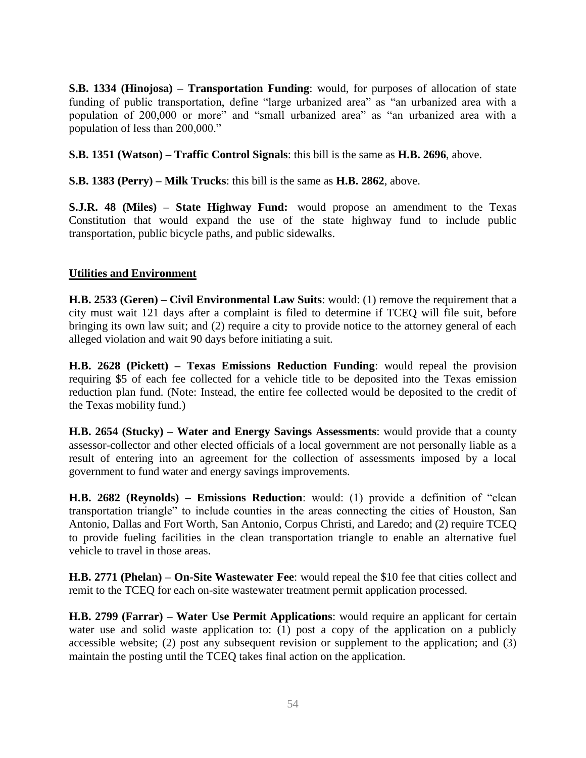**S.B. 1334 (Hinojosa) – Transportation Funding**: would, for purposes of allocation of state funding of public transportation, define "large urbanized area" as "an urbanized area with a population of 200,000 or more" and "small urbanized area" as "an urbanized area with a population of less than 200,000."

**S.B. 1351 (Watson) – Traffic Control Signals**: this bill is the same as **H.B. 2696**, above.

**S.B. 1383 (Perry) – Milk Trucks**: this bill is the same as **H.B. 2862**, above.

**S.J.R. 48 (Miles) – State Highway Fund:** would propose an amendment to the Texas Constitution that would expand the use of the state highway fund to include public transportation, public bicycle paths, and public sidewalks.

#### **Utilities and Environment**

**H.B. 2533 (Geren) – Civil Environmental Law Suits**: would: (1) remove the requirement that a city must wait 121 days after a complaint is filed to determine if TCEQ will file suit, before bringing its own law suit; and (2) require a city to provide notice to the attorney general of each alleged violation and wait 90 days before initiating a suit.

**H.B. 2628 (Pickett) – Texas Emissions Reduction Funding**: would repeal the provision requiring \$5 of each fee collected for a vehicle title to be deposited into the Texas emission reduction plan fund. (Note: Instead, the entire fee collected would be deposited to the credit of the Texas mobility fund.)

**H.B. 2654 (Stucky) – Water and Energy Savings Assessments**: would provide that a county assessor-collector and other elected officials of a local government are not personally liable as a result of entering into an agreement for the collection of assessments imposed by a local government to fund water and energy savings improvements.

**H.B. 2682 (Reynolds) – Emissions Reduction**: would: (1) provide a definition of "clean transportation triangle" to include counties in the areas connecting the cities of Houston, San Antonio, Dallas and Fort Worth, San Antonio, Corpus Christi, and Laredo; and (2) require TCEQ to provide fueling facilities in the clean transportation triangle to enable an alternative fuel vehicle to travel in those areas.

**H.B. 2771 (Phelan) – On-Site Wastewater Fee**: would repeal the \$10 fee that cities collect and remit to the TCEQ for each on-site wastewater treatment permit application processed.

**H.B. 2799 (Farrar) – Water Use Permit Applications**: would require an applicant for certain water use and solid waste application to: (1) post a copy of the application on a publicly accessible website; (2) post any subsequent revision or supplement to the application; and (3) maintain the posting until the TCEQ takes final action on the application.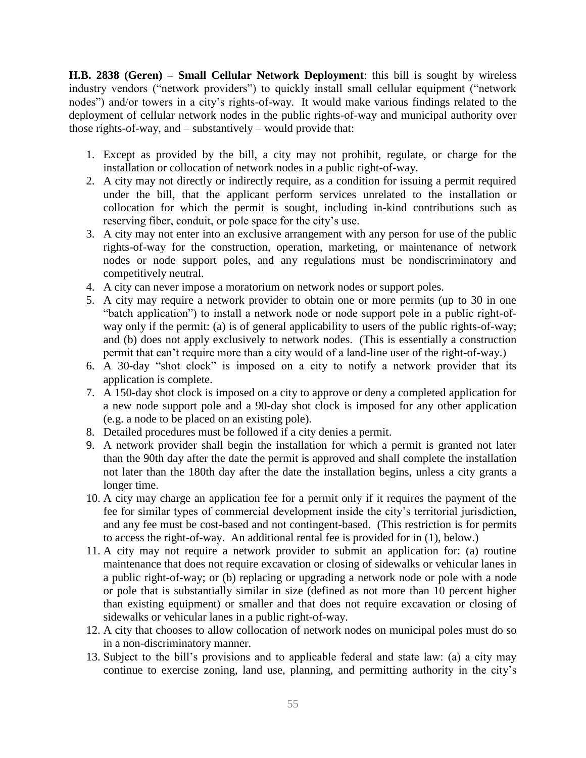**H.B. 2838 (Geren) – Small Cellular Network Deployment**: this bill is sought by wireless industry vendors ("network providers") to quickly install small cellular equipment ("network nodes") and/or towers in a city's rights-of-way. It would make various findings related to the deployment of cellular network nodes in the public rights-of-way and municipal authority over those rights-of-way, and – substantively – would provide that:

- 1. Except as provided by the bill, a city may not prohibit, regulate, or charge for the installation or collocation of network nodes in a public right-of-way.
- 2. A city may not directly or indirectly require, as a condition for issuing a permit required under the bill, that the applicant perform services unrelated to the installation or collocation for which the permit is sought, including in-kind contributions such as reserving fiber, conduit, or pole space for the city's use.
- 3. A city may not enter into an exclusive arrangement with any person for use of the public rights-of-way for the construction, operation, marketing, or maintenance of network nodes or node support poles, and any regulations must be nondiscriminatory and competitively neutral.
- 4. A city can never impose a moratorium on network nodes or support poles.
- 5. A city may require a network provider to obtain one or more permits (up to 30 in one "batch application") to install a network node or node support pole in a public right-ofway only if the permit: (a) is of general applicability to users of the public rights-of-way; and (b) does not apply exclusively to network nodes. (This is essentially a construction permit that can't require more than a city would of a land-line user of the right-of-way.)
- 6. A 30-day "shot clock" is imposed on a city to notify a network provider that its application is complete.
- 7. A 150-day shot clock is imposed on a city to approve or deny a completed application for a new node support pole and a 90-day shot clock is imposed for any other application (e.g. a node to be placed on an existing pole).
- 8. Detailed procedures must be followed if a city denies a permit.
- 9. A network provider shall begin the installation for which a permit is granted not later than the 90th day after the date the permit is approved and shall complete the installation not later than the 180th day after the date the installation begins, unless a city grants a longer time.
- 10. A city may charge an application fee for a permit only if it requires the payment of the fee for similar types of commercial development inside the city's territorial jurisdiction, and any fee must be cost-based and not contingent-based. (This restriction is for permits to access the right-of-way. An additional rental fee is provided for in (1), below.)
- 11. A city may not require a network provider to submit an application for: (a) routine maintenance that does not require excavation or closing of sidewalks or vehicular lanes in a public right-of-way; or (b) replacing or upgrading a network node or pole with a node or pole that is substantially similar in size (defined as not more than 10 percent higher than existing equipment) or smaller and that does not require excavation or closing of sidewalks or vehicular lanes in a public right-of-way.
- 12. A city that chooses to allow collocation of network nodes on municipal poles must do so in a non-discriminatory manner.
- 13. Subject to the bill's provisions and to applicable federal and state law: (a) a city may continue to exercise zoning, land use, planning, and permitting authority in the city's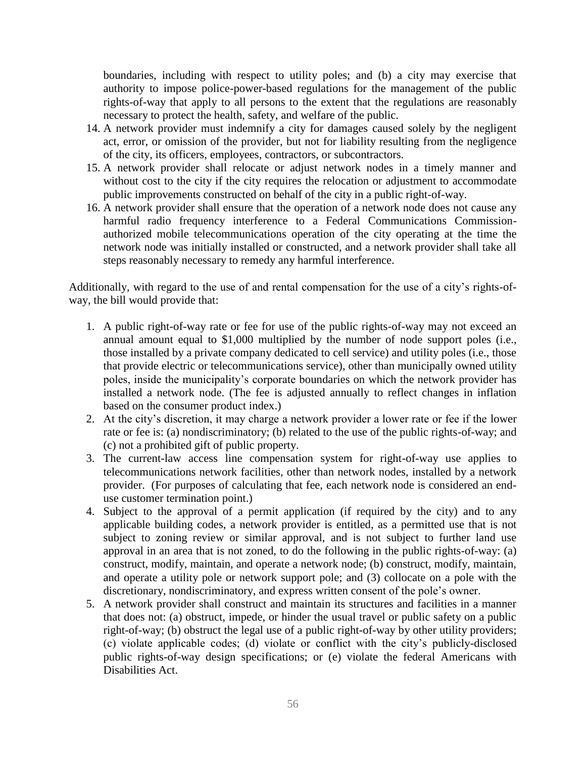boundaries, including with respect to utility poles; and (b) a city may exercise that authority to impose police-power-based regulations for the management of the public rights-of-way that apply to all persons to the extent that the regulations are reasonably necessary to protect the health, safety, and welfare of the public.

- 14. A network provider must indemnify a city for damages caused solely by the negligent act, error, or omission of the provider, but not for liability resulting from the negligence of the city, its officers, employees, contractors, or subcontractors.
- 15. A network provider shall relocate or adjust network nodes in a timely manner and without cost to the city if the city requires the relocation or adjustment to accommodate public improvements constructed on behalf of the city in a public right-of-way.
- 16. A network provider shall ensure that the operation of a network node does not cause any harmful radio frequency interference to a Federal Communications Commissionauthorized mobile telecommunications operation of the city operating at the time the network node was initially installed or constructed, and a network provider shall take all steps reasonably necessary to remedy any harmful interference.

Additionally, with regard to the use of and rental compensation for the use of a city's rights-ofway, the bill would provide that:

- 1. A public right-of-way rate or fee for use of the public rights-of-way may not exceed an annual amount equal to \$1,000 multiplied by the number of node support poles (i.e., those installed by a private company dedicated to cell service) and utility poles (i.e., those that provide electric or telecommunications service), other than municipally owned utility poles, inside the municipality's corporate boundaries on which the network provider has installed a network node. (The fee is adjusted annually to reflect changes in inflation based on the consumer product index.)
- 2. At the city's discretion, it may charge a network provider a lower rate or fee if the lower rate or fee is: (a) nondiscriminatory; (b) related to the use of the public rights-of-way; and (c) not a prohibited gift of public property.
- 3. The current-law access line compensation system for right-of-way use applies to telecommunications network facilities, other than network nodes, installed by a network provider. (For purposes of calculating that fee, each network node is considered an enduse customer termination point.)
- 4. Subject to the approval of a permit application (if required by the city) and to any applicable building codes, a network provider is entitled, as a permitted use that is not subject to zoning review or similar approval, and is not subject to further land use approval in an area that is not zoned, to do the following in the public rights-of-way: (a) construct, modify, maintain, and operate a network node; (b) construct, modify, maintain, and operate a utility pole or network support pole; and (3) collocate on a pole with the discretionary, nondiscriminatory, and express written consent of the pole's owner.
- 5. A network provider shall construct and maintain its structures and facilities in a manner that does not: (a) obstruct, impede, or hinder the usual travel or public safety on a public right-of-way; (b) obstruct the legal use of a public right-of-way by other utility providers; (c) violate applicable codes; (d) violate or conflict with the city's publicly-disclosed public rights-of-way design specifications; or (e) violate the federal Americans with Disabilities Act.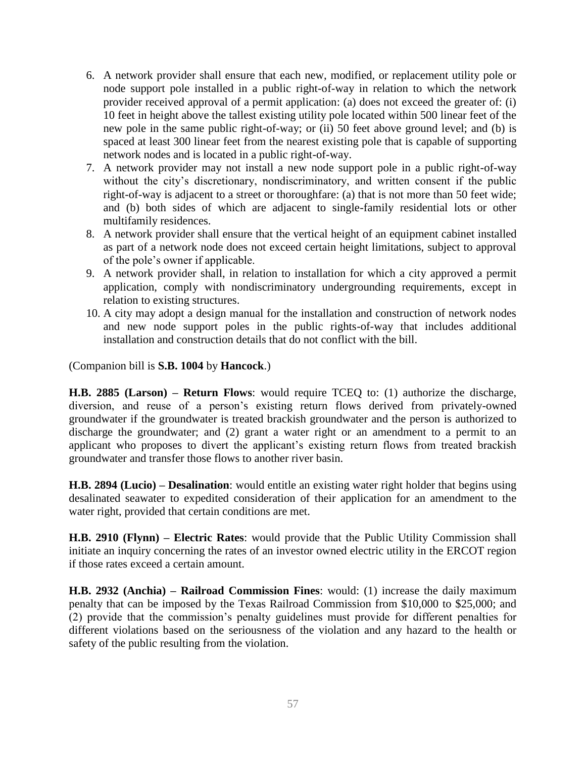- 6. A network provider shall ensure that each new, modified, or replacement utility pole or node support pole installed in a public right-of-way in relation to which the network provider received approval of a permit application: (a) does not exceed the greater of: (i) 10 feet in height above the tallest existing utility pole located within 500 linear feet of the new pole in the same public right-of-way; or (ii) 50 feet above ground level; and (b) is spaced at least 300 linear feet from the nearest existing pole that is capable of supporting network nodes and is located in a public right-of-way.
- 7. A network provider may not install a new node support pole in a public right-of-way without the city's discretionary, nondiscriminatory, and written consent if the public right-of-way is adjacent to a street or thoroughfare: (a) that is not more than 50 feet wide; and (b) both sides of which are adjacent to single-family residential lots or other multifamily residences.
- 8. A network provider shall ensure that the vertical height of an equipment cabinet installed as part of a network node does not exceed certain height limitations, subject to approval of the pole's owner if applicable.
- 9. A network provider shall, in relation to installation for which a city approved a permit application, comply with nondiscriminatory undergrounding requirements, except in relation to existing structures.
- 10. A city may adopt a design manual for the installation and construction of network nodes and new node support poles in the public rights-of-way that includes additional installation and construction details that do not conflict with the bill.

(Companion bill is **S.B. 1004** by **Hancock**.)

**H.B. 2885 (Larson) – Return Flows**: would require TCEQ to: (1) authorize the discharge, diversion, and reuse of a person's existing return flows derived from privately-owned groundwater if the groundwater is treated brackish groundwater and the person is authorized to discharge the groundwater; and (2) grant a water right or an amendment to a permit to an applicant who proposes to divert the applicant's existing return flows from treated brackish groundwater and transfer those flows to another river basin.

**H.B. 2894 (Lucio) – Desalination**: would entitle an existing water right holder that begins using desalinated seawater to expedited consideration of their application for an amendment to the water right, provided that certain conditions are met.

**H.B. 2910 (Flynn) – Electric Rates**: would provide that the Public Utility Commission shall initiate an inquiry concerning the rates of an investor owned electric utility in the ERCOT region if those rates exceed a certain amount.

**H.B. 2932 (Anchia) – Railroad Commission Fines**: would: (1) increase the daily maximum penalty that can be imposed by the Texas Railroad Commission from \$10,000 to \$25,000; and (2) provide that the commission's penalty guidelines must provide for different penalties for different violations based on the seriousness of the violation and any hazard to the health or safety of the public resulting from the violation.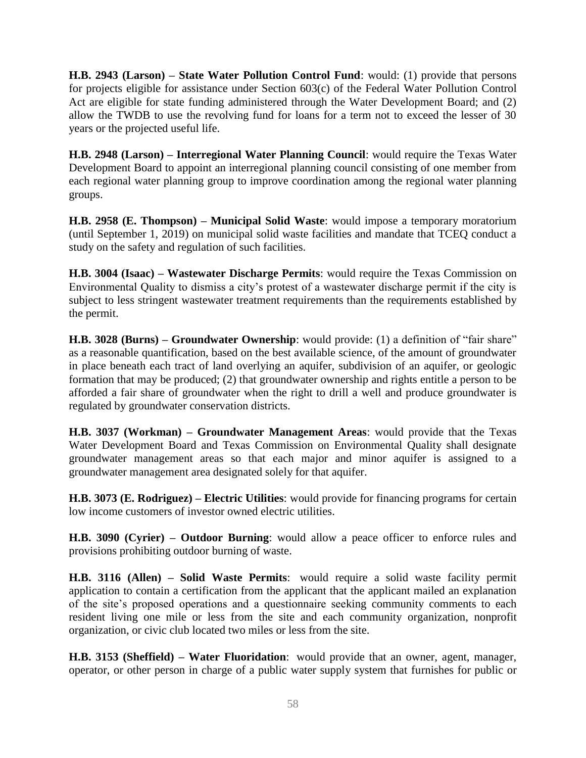**H.B. 2943 (Larson) – State Water Pollution Control Fund**: would: (1) provide that persons for projects eligible for assistance under Section 603(c) of the Federal Water Pollution Control Act are eligible for state funding administered through the Water Development Board; and (2) allow the TWDB to use the revolving fund for loans for a term not to exceed the lesser of 30 years or the projected useful life.

**H.B. 2948 (Larson) – Interregional Water Planning Council**: would require the Texas Water Development Board to appoint an interregional planning council consisting of one member from each regional water planning group to improve coordination among the regional water planning groups.

**H.B. 2958 (E. Thompson) – Municipal Solid Waste**: would impose a temporary moratorium (until September 1, 2019) on municipal solid waste facilities and mandate that TCEQ conduct a study on the safety and regulation of such facilities.

**H.B. 3004 (Isaac) – Wastewater Discharge Permits**: would require the Texas Commission on Environmental Quality to dismiss a city's protest of a wastewater discharge permit if the city is subject to less stringent wastewater treatment requirements than the requirements established by the permit.

**H.B. 3028 (Burns) – Groundwater Ownership**: would provide: (1) a definition of "fair share" as a reasonable quantification, based on the best available science, of the amount of groundwater in place beneath each tract of land overlying an aquifer, subdivision of an aquifer, or geologic formation that may be produced; (2) that groundwater ownership and rights entitle a person to be afforded a fair share of groundwater when the right to drill a well and produce groundwater is regulated by groundwater conservation districts.

**H.B. 3037 (Workman) – Groundwater Management Areas**: would provide that the Texas Water Development Board and Texas Commission on Environmental Quality shall designate groundwater management areas so that each major and minor aquifer is assigned to a groundwater management area designated solely for that aquifer.

**H.B. 3073 (E. Rodriguez) – Electric Utilities**: would provide for financing programs for certain low income customers of investor owned electric utilities.

**H.B. 3090 (Cyrier) – Outdoor Burning**: would allow a peace officer to enforce rules and provisions prohibiting outdoor burning of waste.

**H.B. 3116 (Allen) – Solid Waste Permits**: would require a solid waste facility permit application to contain a certification from the applicant that the applicant mailed an explanation of the site's proposed operations and a questionnaire seeking community comments to each resident living one mile or less from the site and each community organization, nonprofit organization, or civic club located two miles or less from the site.

**H.B. 3153 (Sheffield) – Water Fluoridation**: would provide that an owner, agent, manager, operator, or other person in charge of a public water supply system that furnishes for public or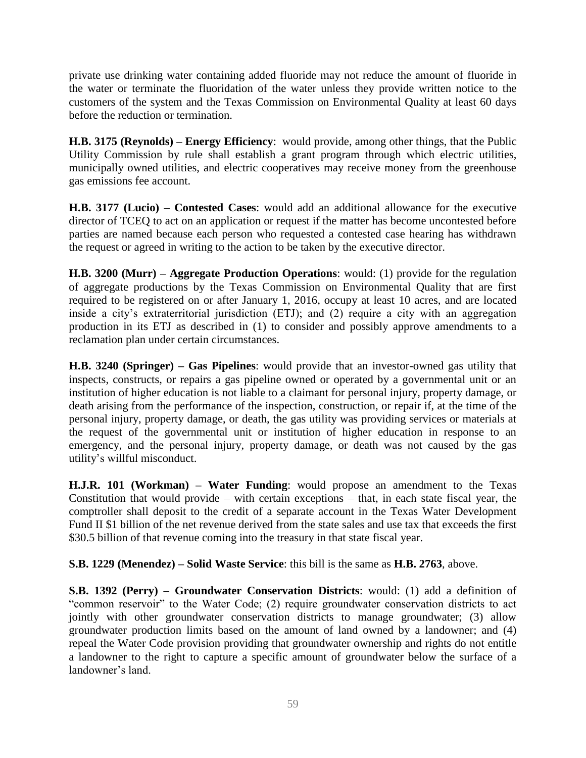private use drinking water containing added fluoride may not reduce the amount of fluoride in the water or terminate the fluoridation of the water unless they provide written notice to the customers of the system and the Texas Commission on Environmental Quality at least 60 days before the reduction or termination.

**H.B. 3175 (Reynolds) – Energy Efficiency**: would provide, among other things, that the Public Utility Commission by rule shall establish a grant program through which electric utilities, municipally owned utilities, and electric cooperatives may receive money from the greenhouse gas emissions fee account.

**H.B. 3177 (Lucio) – Contested Cases**: would add an additional allowance for the executive director of TCEQ to act on an application or request if the matter has become uncontested before parties are named because each person who requested a contested case hearing has withdrawn the request or agreed in writing to the action to be taken by the executive director.

**H.B. 3200 (Murr) – Aggregate Production Operations**: would: (1) provide for the regulation of aggregate productions by the Texas Commission on Environmental Quality that are first required to be registered on or after January 1, 2016, occupy at least 10 acres, and are located inside a city's extraterritorial jurisdiction (ETJ); and (2) require a city with an aggregation production in its ETJ as described in (1) to consider and possibly approve amendments to a reclamation plan under certain circumstances.

**H.B. 3240 (Springer) – Gas Pipelines**: would provide that an investor-owned gas utility that inspects, constructs, or repairs a gas pipeline owned or operated by a governmental unit or an institution of higher education is not liable to a claimant for personal injury, property damage, or death arising from the performance of the inspection, construction, or repair if, at the time of the personal injury, property damage, or death, the gas utility was providing services or materials at the request of the governmental unit or institution of higher education in response to an emergency, and the personal injury, property damage, or death was not caused by the gas utility's willful misconduct.

**H.J.R. 101 (Workman) – Water Funding**: would propose an amendment to the Texas Constitution that would provide – with certain exceptions – that, in each state fiscal year, the comptroller shall deposit to the credit of a separate account in the Texas Water Development Fund II \$1 billion of the net revenue derived from the state sales and use tax that exceeds the first \$30.5 billion of that revenue coming into the treasury in that state fiscal year.

**S.B. 1229 (Menendez) – Solid Waste Service**: this bill is the same as **H.B. 2763**, above.

**S.B. 1392 (Perry) – Groundwater Conservation Districts**: would: (1) add a definition of "common reservoir" to the Water Code; (2) require groundwater conservation districts to act jointly with other groundwater conservation districts to manage groundwater; (3) allow groundwater production limits based on the amount of land owned by a landowner; and (4) repeal the Water Code provision providing that groundwater ownership and rights do not entitle a landowner to the right to capture a specific amount of groundwater below the surface of a landowner's land.